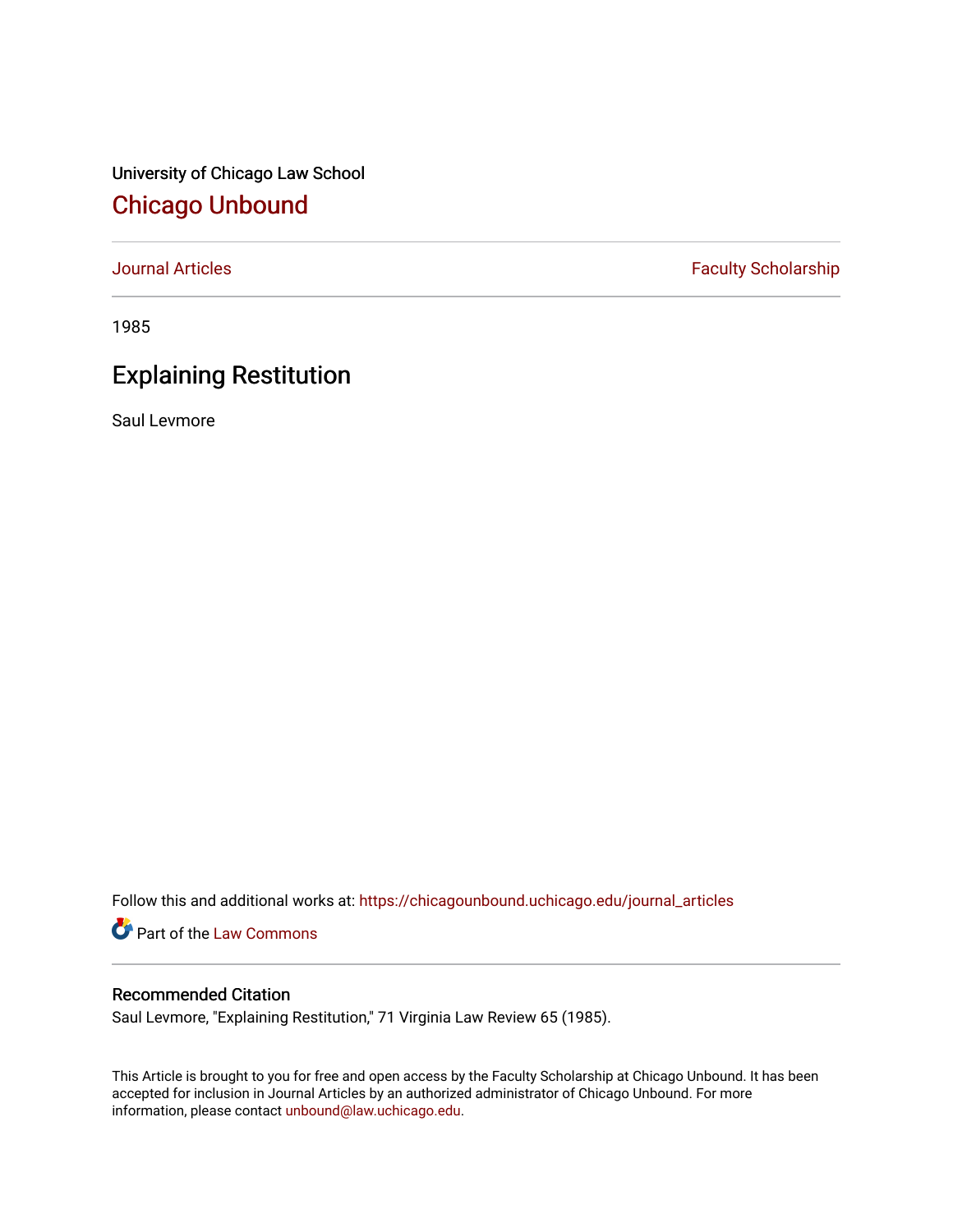University of Chicago Law School [Chicago Unbound](https://chicagounbound.uchicago.edu/)

[Journal Articles](https://chicagounbound.uchicago.edu/journal_articles) **Faculty Scholarship Faculty Scholarship** 

1985

# Explaining Restitution

Saul Levmore

Follow this and additional works at: [https://chicagounbound.uchicago.edu/journal\\_articles](https://chicagounbound.uchicago.edu/journal_articles?utm_source=chicagounbound.uchicago.edu%2Fjournal_articles%2F1593&utm_medium=PDF&utm_campaign=PDFCoverPages) 

Part of the [Law Commons](http://network.bepress.com/hgg/discipline/578?utm_source=chicagounbound.uchicago.edu%2Fjournal_articles%2F1593&utm_medium=PDF&utm_campaign=PDFCoverPages)

# Recommended Citation

Saul Levmore, "Explaining Restitution," 71 Virginia Law Review 65 (1985).

This Article is brought to you for free and open access by the Faculty Scholarship at Chicago Unbound. It has been accepted for inclusion in Journal Articles by an authorized administrator of Chicago Unbound. For more information, please contact [unbound@law.uchicago.edu](mailto:unbound@law.uchicago.edu).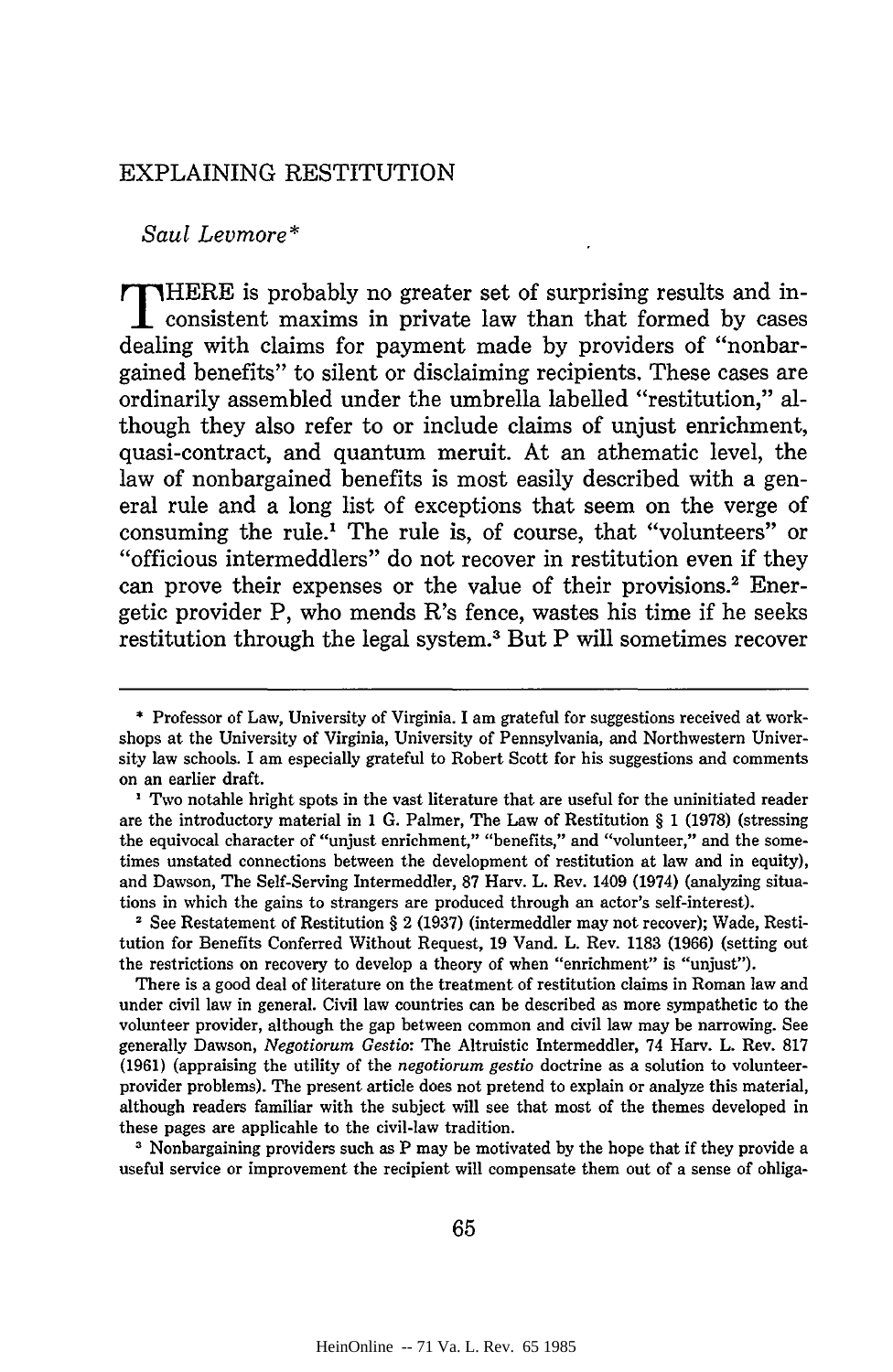#### EXPLAINING RESTITUTION

#### *Saul Levmore\**

T HERE is probably no greater set of surprising results and inconsistent maxims in private law than that formed by cases dealing with claims for payment made by providers of "nonbargained benefits" to silent or disclaiming recipients. These cases are ordinarily assembled under the umbrella labelled "restitution," although they also refer to or include claims of unjust enrichment, quasi-contract, and quantum meruit. At an athematic level, the law of nonbargained benefits is most easily described with a general rule and a long list of exceptions that seem on the verge of consuming the rule.' The rule is, of course, that "volunteers" or "officious intermeddlers" do not recover in restitution even if they can prove their expenses or the value of their provisions.<sup>2</sup> Energetic provider P, who mends R's fence, wastes his time if he seeks restitution through the legal system.3 But P will sometimes recover

**-** Nonbargaining providers such as P may be motivated by the hope that if they provide a useful service or improvement the recipient will compensate them out of a sense of obliga-

**<sup>\*</sup>** Professor of Law, University of Virginia. I am grateful for suggestions received at workshops at the University of Virginia, University of Pennsylvania, and Northwestern University law schools. I am especially grateful to Robert Scott for his suggestions and comments on an earlier draft.

Two notable bright spots in the vast literature that are useful for the uninitiated reader are the introductory material in 1 G. Palmer, The Law of Restitution § 1 (1978) (stressing the equivocal character of "unjust enrichment," "benefits," and "volunteer," and the sometimes unstated connections between the development of restitution at law and in equity), and Dawson, The Self-Serving Intermeddler, 87 Harv. L. Rev. 1409 (1974) (analyzing situations in which the gains to strangers are produced through an actor's self-interest).

<sup>2</sup> See Restatement of Restitution § 2 (1937) (intermeddler may not recover); Wade, Restitution for Benefits Conferred Without Request, 19 Vand. L. Rev. 1183 (1966) (setting out the restrictions on recovery to develop a theory of when "enrichment" is "unjust").

There is a good deal of literature on the treatment of restitution claims in Roman law and under civil law in general. Civil law countries can be described as more sympathetic to the volunteer provider, although the gap between common and civil law may be narrowing. See generally Dawson, *Negotiorum Gestio:* The Altruistic Intermeddler, 74 Harv. L. Rev. 817 (1961) (appraising the utility of the *negotiorum gestio* doctrine as a solution to volunteerprovider problems). The present article does not pretend to explain or analyze this material, although readers familiar with the subject will see that most of the themes developed in these pages are applicable to the civil-law tradition.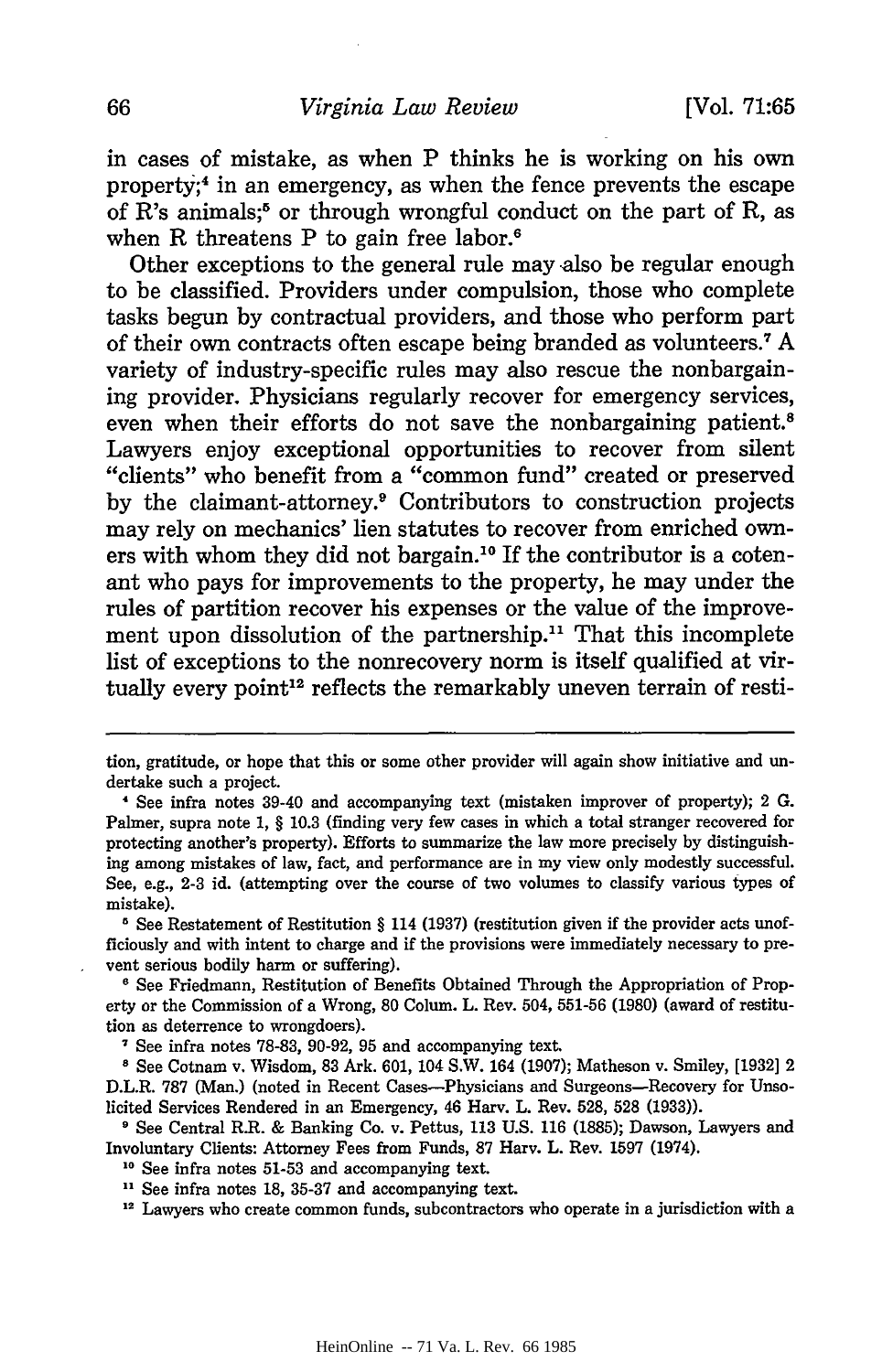in cases of mistake, as when P thinks he is working on his own property;<sup>4</sup> in an emergency, as when the fence prevents the escape of R's animals;<sup>5</sup> or through wrongful conduct on the part of R, as when R threatens P to gain free labor.<sup>6</sup>

Other exceptions to the general rule may also be regular enough to be classified. Providers under compulsion, those who complete tasks begun by contractual providers, and those who perform part of their own contracts often escape being branded as volunteers.' A variety of industry-specific rules may also rescue the nonbargaining provider. Physicians regularly recover for emergency services, even when their efforts do not save the nonbargaining patient.<sup>8</sup> Lawyers enjoy exceptional opportunities to recover from silent "clients" who benefit from a "common fund" created or preserved by the claimant-attorney.9 Contributors to construction projects may rely on mechanics' lien statutes to recover from enriched owners with whom they did not bargain.10 If the contributor is a cotenant who pays for improvements to the property, he may under the rules of partition recover his expenses or the value of the improvement upon dissolution of the partnership.<sup>11</sup> That this incomplete list of exceptions to the nonrecovery norm is itself qualified at virtually every point<sup>12</sup> reflects the remarkably uneven terrain of resti-

**1** See Restatement of Restitution § 114 (1937) (restitution given if the provider acts unofficiously and with intent to charge and if the provisions were immediately necessary to prevent serious bodily harm or suffering).

**8** See Friedmann, Restitution of Benefits Obtained Through the Appropriation of Property or the Commission of a Wrong, 80 Colum. L. Rev. 504, 551-56 (1980) (award of restitution as deterrence to wrongdoers).

**<sup>7</sup>**See infra notes 78-83, 90-92, 95 and accompanying text.

**<sup>8</sup>**See Cotnam v. Wisdom, 83 Ark. 601, 104 S.W. 164 (1907); Matheson v. Smiley, [1932] 2 D.L.R. 787 (Man.) (noted in Recent Cases-Physicians and Surgeons-Recovery for Unsolicited Services Rendered in an Emergency, 46 Harv. L. Rev. 528, 528 (1933)).

**'** See Central R.R. & Banking Co. v. Pettus, 113 U.S. 116 (1885); Dawson, Lawyers and Involuntary Clients: Attorney Fees from Funds, 87 Harv. L. Rev. 1597 (1974).

**10** See infra notes 51-53 and accompanying text.

**11** See infra notes 18, 35-37 and accompanying text.

 $12$  Lawyers who create common funds, subcontractors who operate in a jurisdiction with a

tion, gratitude, or hope that this or some other provider will again show initiative and undertake such a project.

**<sup>&#</sup>x27;** See infra notes 39-40 and accompanying text (mistaken improver of property); 2 G. Palmer, supra note 1, § 10.3 (finding very few cases in which a total stranger recovered for protecting another's property). Efforts to summarize the law more precisely by distinguishing among mistakes of law, fact, and performance are in my view only modestly successful. See, e.g., 2-3 id. (attempting over the course of two volumes to classify various types of mistake).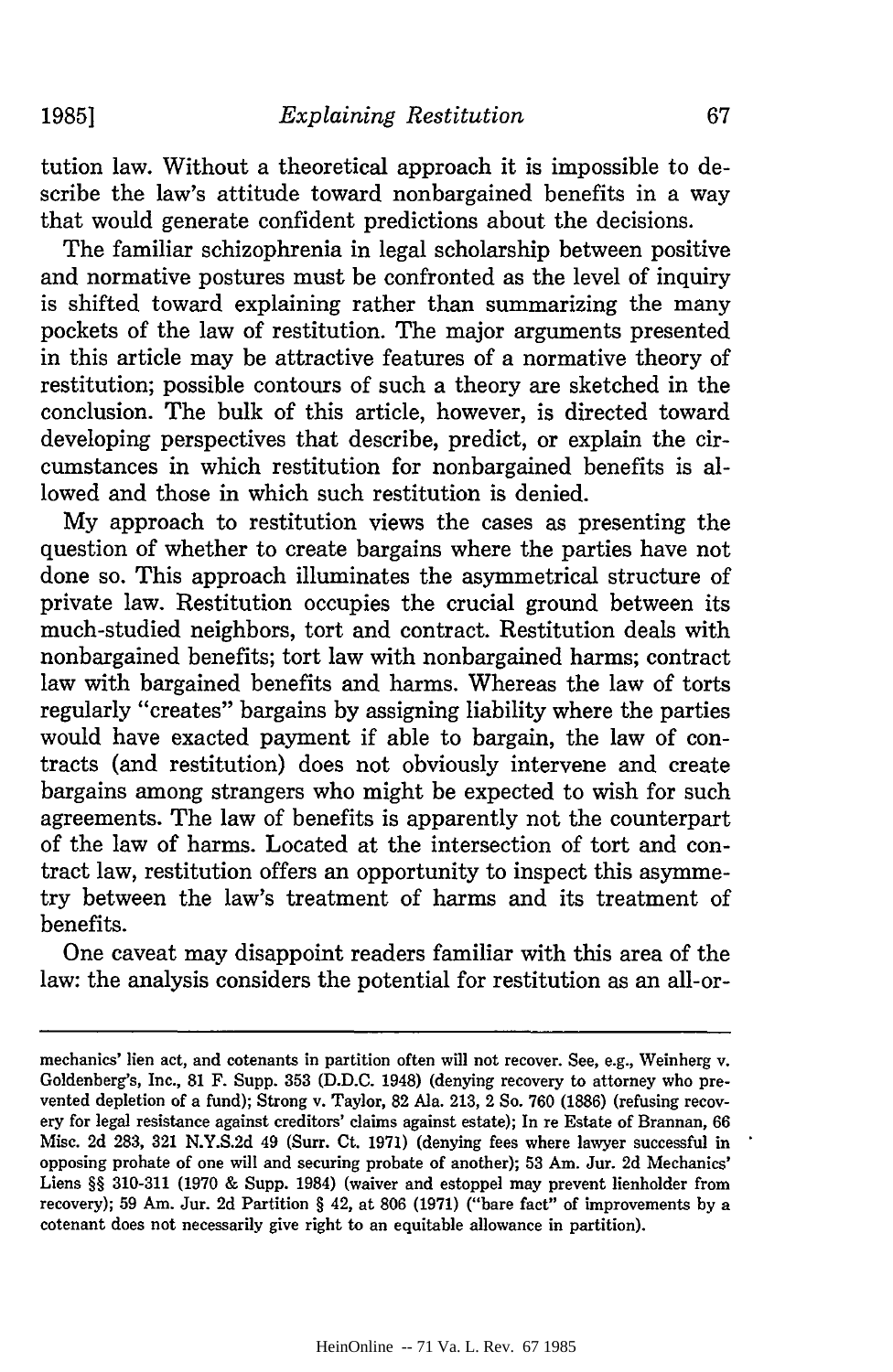**19851**

tution law. Without a theoretical approach it is impossible to describe the law's attitude toward nonbargained benefits in a way that would generate confident predictions about the decisions.

The familiar schizophrenia in legal scholarship between positive and normative postures must be confronted as the level of inquiry is shifted toward explaining rather than summarizing the many pockets of the law of restitution. The major arguments presented in this article may be attractive features of a normative theory of restitution; possible contours of such a theory are sketched in the conclusion. The bulk of this article, however, is directed toward developing perspectives that describe, predict, or explain the circumstances in which restitution for nonbargained benefits is allowed and those in which such restitution is denied.

My approach to restitution views the cases as presenting the question of whether to create bargains where the parties have not done so. This approach illuminates the asymmetrical structure of private law. Restitution occupies the crucial ground between its much-studied neighbors, tort and contract. Restitution deals with nonbargained benefits; tort law with nonbargained harms; contract law with bargained benefits and harms. Whereas the law of torts regularly "creates" bargains by assigning liability where the parties would have exacted payment if able to bargain, the law of contracts (and restitution) does not obviously intervene and create bargains among strangers who might be expected to wish for such agreements. The law of benefits is apparently not the counterpart of the law of harms. Located at the intersection of tort and contract law, restitution offers an opportunity to inspect this asymmetry between the law's treatment of harms and its treatment of benefits.

One caveat may disappoint readers familiar with this area of the law: the analysis considers the potential for restitution as an all-or-

mechanics' lien act, and cotenants in partition often will not recover. See, e.g., Weinberg v. Goldenberg's, Inc., 81 F. Supp. 353 (D.D.C. 1948) (denying recovery to attorney who prevented depletion of a fund); Strong v. Taylor, 82 Ala. 213, 2 So. 760 (1886) (refusing recovery for legal resistance against creditors' claims against estate); In re Estate of Brannan, 66 Misc. 2d 283, 321 N.Y.S.2d 49 (Surr. Ct. 1971) (denying fees where lawyer successful in opposing probate of one will and securing probate of another); 53 Am. Jur. 2d Mechanics' Liens *§§* 310-311 (1970 & Supp. 1984) (waiver and estoppel may prevent lienholder from recovery); 59 Am. Jur. 2d Partition § 42, at 806 (1971) ("bare fact" of improvements by a cotenant does not necessarily give right to an equitable allowance in partition).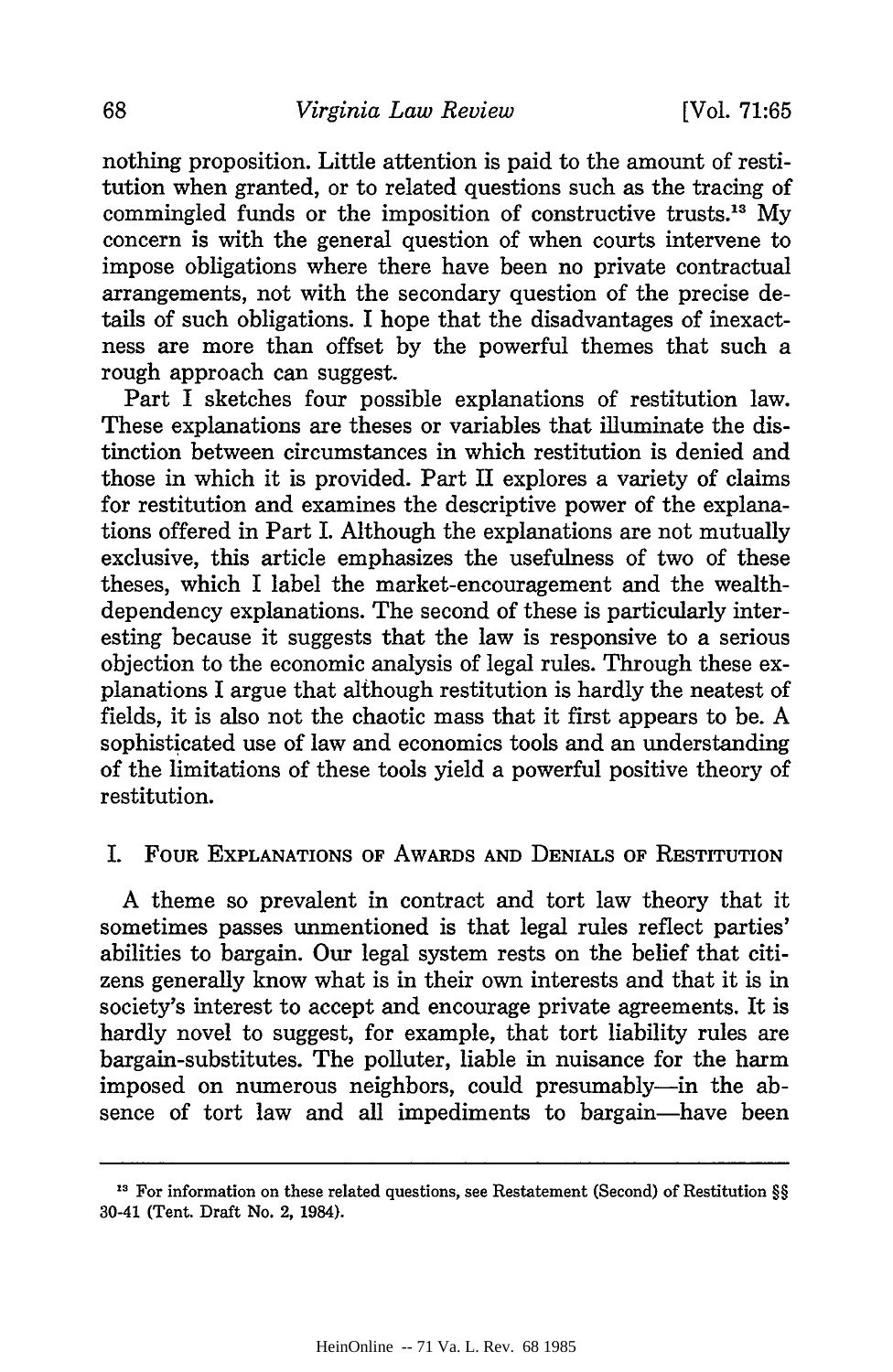nothing proposition. Little attention is paid to the amount of restitution when granted, or to related questions such as the tracing of commingled funds or the imposition of constructive trusts.13 My concern is with the general question of when courts intervene to impose obligations where there have been no private contractual arrangements, not with the secondary question of the precise details of such obligations. I hope that the disadvantages of inexactness are more than offset by the powerful themes that such a rough approach can suggest.

Part I sketches four possible explanations of restitution law. These explanations are theses or variables that illuminate the distinction between circumstances in which restitution is denied and those in which it is provided. Part II explores a variety of claims for restitution and examines the descriptive power of the explanations offered in Part I. Although the explanations are not mutually exclusive, this article emphasizes the usefulness of two of these theses, which I label the market-encouragement and the wealthdependency explanations. The second of these is particularly interesting because it suggests that the law is responsive to a serious objection to the economic analysis of legal rules. Through these explanations I argue that although restitution is hardly the neatest of fields, it is also not the chaotic mass that it first appears to be. A sophisticated use of law and economics tools and an understanding of the limitations of these tools yield a powerful positive theory of restitution.

# I. FOUR EXPLANATIONS OF AWARDS AND DENIALS OF RESTITUTION

A theme so prevalent in contract and tort law theory that it sometimes passes unmentioned is that legal rules reflect parties' abilities to bargain. Our legal system rests on the belief that citizens generally know what is in their own interests and that it is in society's interest to accept and encourage private agreements. It is hardly novel to suggest, for example, that tort liability rules are bargain-substitutes. The polluter, liable in nuisance for the harm imposed on numerous neighbors, could presumably—in the absence of tort law and all impediments to bargain-have been

<sup>&</sup>lt;sup>13</sup> For information on these related questions, see Restatement (Second) of Restitution §§ 30-41 (Tent. Draft No. 2, 1984).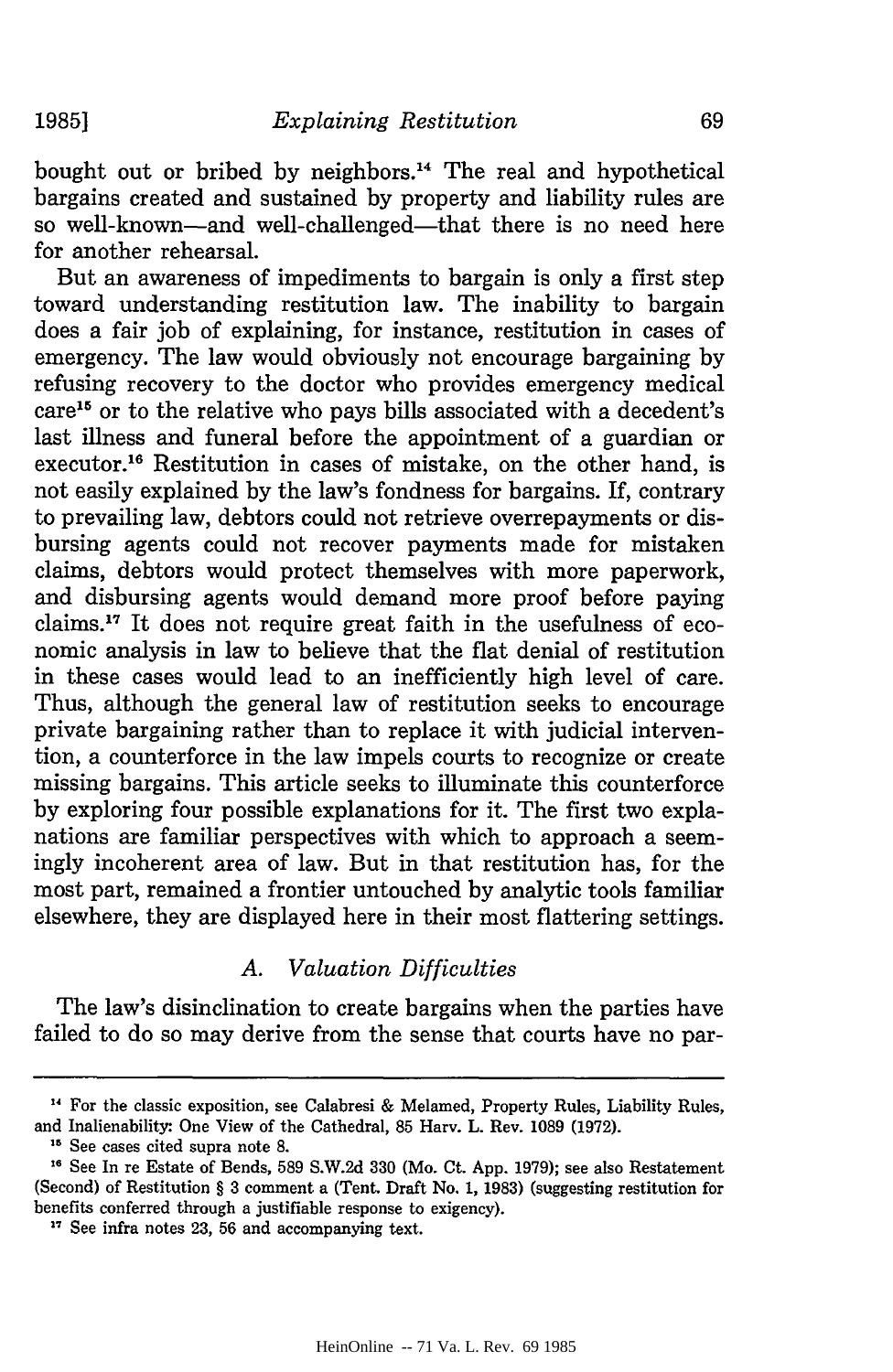bought out or bribed by neighbors.<sup>14</sup> The real and hypothetical bargains created and sustained by property and liability rules are so well-known-and well-challenged-that there is no need here for another rehearsal.

But an awareness of impediments to bargain is only a first step toward understanding restitution law. The inability to bargain does a fair job of explaining, for instance, restitution in cases of emergency. The law would obviously not encourage bargaining by refusing recovery to the doctor who provides emergency medical care<sup>15</sup> or to the relative who pays bills associated with a decedent's last illness and funeral before the appointment of a guardian or executor.<sup>16</sup> Restitution in cases of mistake, on the other hand, is not easily explained by the law's fondness for bargains. If, contrary to prevailing law, debtors could not retrieve overrepayments or disbursing agents could not recover payments made for mistaken claims, debtors would protect themselves with more paperwork, and disbursing agents would demand more proof before paying claims. 17 It does not require great faith in the usefulness of economic analysis in law to believe that the flat denial of restitution in these cases would lead to an inefficiently high level of care. Thus, although the general law of restitution seeks to encourage private bargaining rather than to replace it with judicial intervention, a counterforce in the law impels courts to recognize or create missing bargains. This article seeks to illuminate this counterforce by exploring four possible explanations for it. The first two explanations are familiar perspectives with which to approach a seemingly incoherent area of law. But in that restitution has, for the most part, remained a frontier untouched by analytic tools familiar elsewhere, they are displayed here in their most flattering settings.

# *A. Valuation Difficulties*

The law's disinclination to create bargains when the parties have failed to do so may derive from the sense that courts have no par-

1985]

**<sup>&</sup>quot;** For the classic exposition, see Calabresi & Melamed, Property Rules, Liability Rules, and Inalienability: One View of the Cathedral, 85 Harv. L. Rev. 1089 (1972).

**<sup>&</sup>quot;s** See cases cited supra note **8.**

**<sup>&</sup>quot;e** See In re Estate of Bends, 589 S.W.2d 330 (Mo. Ct. App. 1979); see also Restatement (Second) of Restitution § 3 comment a (Tent. Draft No. 1, 1983) (suggesting restitution for benefits conferred through a justifiable response to exigency).

<sup>&</sup>lt;sup>17</sup> See infra notes 23, 56 and accompanying text.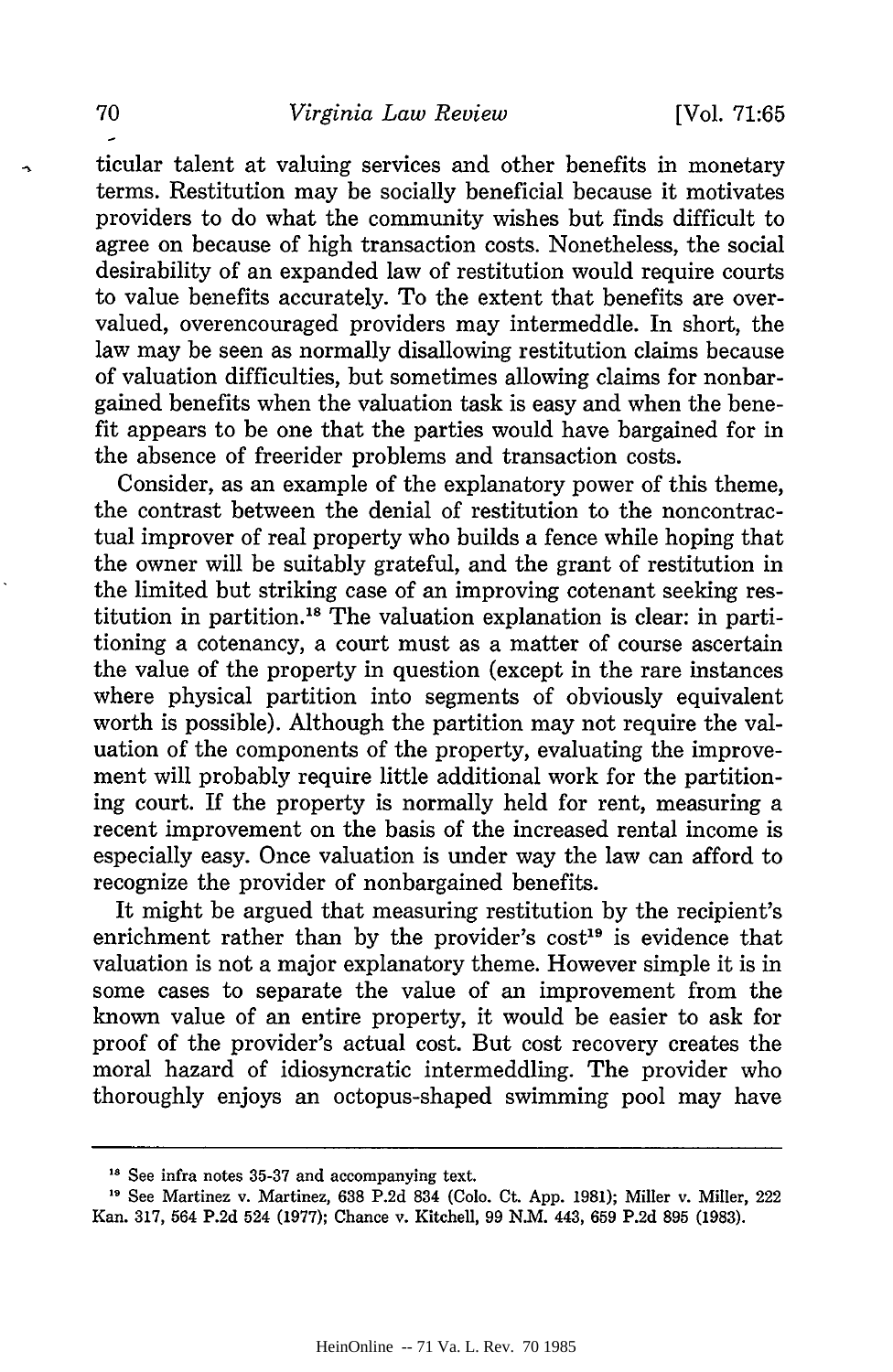ticular talent at valuing services and other benefits in monetary terms. Restitution may be socially beneficial because it motivates providers to do what the community wishes but finds difficult to agree on because of high transaction costs. Nonetheless, the social desirability of an expanded law of restitution would require courts to value benefits accurately. To the extent that benefits are overvalued, overencouraged providers may intermeddle. In short, the law may be seen as normally disallowing restitution claims because of valuation difficulties, but sometimes allowing claims for nonbargained benefits when the valuation task is easy and when the benefit appears to be one that the parties would have bargained for in the absence of freerider problems and transaction costs.

Consider, as an example of the explanatory power of this theme, the contrast between the denial of restitution to the noncontractual improver of real property who builds a fence while hoping that the owner will be suitably grateful, and the grant of restitution in the limited but striking case of an improving cotenant seeking restitution in partition.18 The valuation explanation is clear: in partitioning a cotenancy, a court must as a matter of course ascertain the value of the property in question (except in the rare instances where physical partition into segments of obviously equivalent worth is possible). Although the partition may not require the valuation of the components of the property, evaluating the improvement will probably require little additional work for the partitioning court. If the property is normally held for rent, measuring a recent improvement on the basis of the increased rental income is especially easy. Once valuation is under way the law can afford to recognize the provider of nonbargained benefits.

It might be argued that measuring restitution by the recipient's enrichment rather than by the provider's  $cost^{19}$  is evidence that valuation is not a major explanatory theme. However simple it is in some cases to separate the value of an improvement from the known value of an entire property, it would be easier to ask for proof of the provider's actual cost. But cost recovery creates the moral hazard of idiosyncratic intermeddling. The provider who thoroughly enjoys an octopus-shaped swimming pool may have

<sup>&</sup>lt;sup>18</sup> See infra notes 35-37 and accompanying text.

<sup>&</sup>lt;sup>19</sup> See Martinez v. Martinez, 638 P.2d 834 (Colo. Ct. App. 1981); Miller v. Miller, 222 Kan. 317, 564 P.2d 524 (1977); Chance v. Kitchell, 99 N.M. 443, 659 P.2d 895 (1983).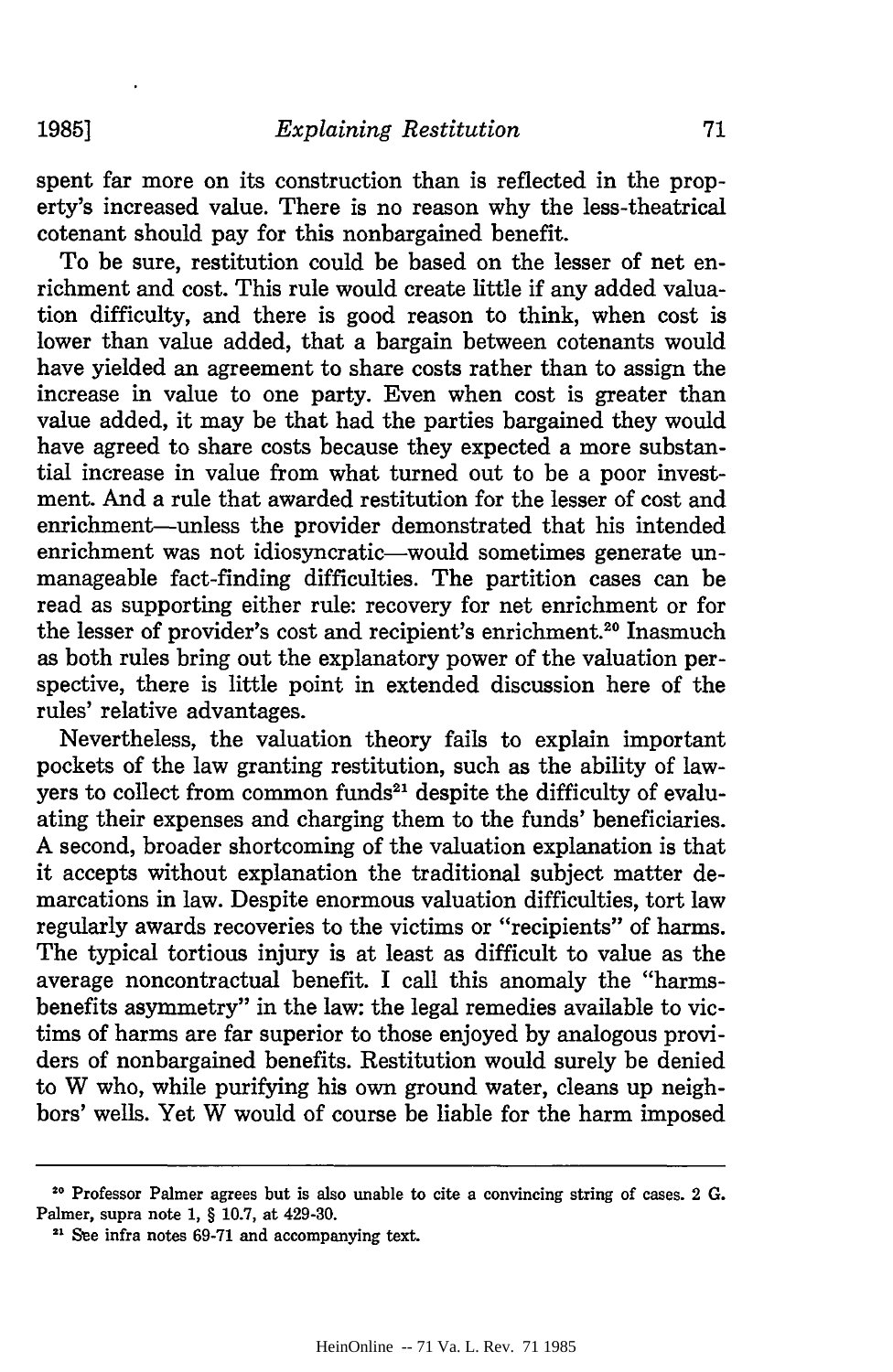spent far more on its construction than is reflected in the property's increased value. There is no reason why the less-theatrical cotenant should pay for this nonbargained benefit.

To be sure, restitution could be based on the lesser of net enrichment and cost. This rule would create little if any added valuation difficulty, and there is good reason to think, when cost is lower than value added, that a bargain between cotenants would have yielded an agreement to share costs rather than to assign the increase in value to one party. Even when cost is greater than value added, it may be that had the parties bargained they would have agreed to share costs because they expected a more substantial increase in value from what turned out to be a poor investment. And a rule that awarded restitution for the lesser of cost and enrichment—unless the provider demonstrated that his intended enrichment was not idiosyncratic-would sometimes generate unmanageable fact-finding difficulties. The partition cases can be read as supporting either rule: recovery for net enrichment or for the lesser of provider's cost and recipient's enrichment.<sup>20</sup> Inasmuch as both rules bring out the explanatory power of the valuation perspective, there is little point in extended discussion here of the rules' relative advantages.

Nevertheless, the valuation theory fails to explain important pockets of the law granting restitution, such as the ability of lawyers to collect from common funds<sup>21</sup> despite the difficulty of evaluating their expenses and charging them to the funds' beneficiaries. A second, broader shortcoming of the valuation explanation is that it accepts without explanation the traditional subject matter demarcations in law. Despite enormous valuation difficulties, tort law regularly awards recoveries to the victims or "recipients" of harms. The typical tortious injury is at least as difficult to value as the average noncontractual benefit. I call this anomaly the "harmsbenefits asymmetry" in the law: the legal remedies available to victims of harms are far superior to those enjoyed by analogous providers of nonbargained benefits. Restitution would surely be denied to W who, while purifying his own ground water, cleans up neighbors' wells. Yet W would of course be liable for the harm imposed

<sup>21</sup> Professor Palmer agrees but is also unable to cite a convincing string of cases. 2 **G.** Palmer, supra note 1, § 10.7, at 429-30.

<sup>&</sup>lt;sup>21</sup> See infra notes 69-71 and accompanying text.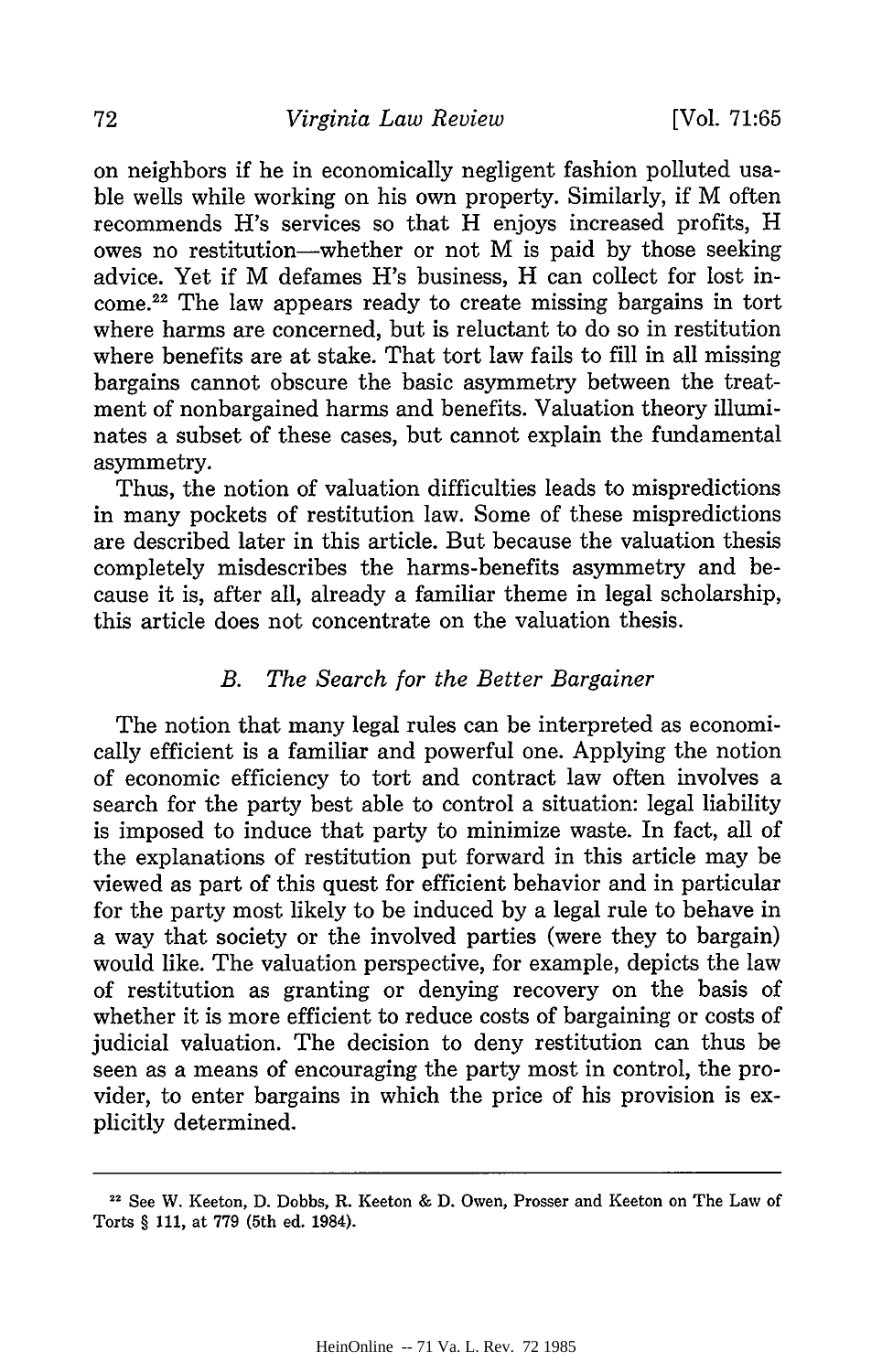on neighbors if he in economically negligent fashion polluted usable wells while working on his own property. Similarly, if M often recommends H's services so that H enjoys increased profits, H owes no restitution-whether or not M is paid by those seeking advice. Yet if M defames H's business, H can collect for lost income.22 The law appears ready to create missing bargains in tort where harms are concerned, but is reluctant to do so in restitution where benefits are at stake. That tort law fails to fill in all missing bargains cannot obscure the basic asymmetry between the treatment of nonbargained harms and benefits. Valuation theory illuminates a subset of these cases, but cannot explain the fundamental asymmetry.

Thus, the notion of valuation difficulties leads to mispredictions in many pockets of restitution law. Some of these mispredictions are described later in this article. But because the valuation thesis completely misdescribes the harms-benefits asymmetry and because it is, after all, already a familiar theme in legal scholarship, this article does not concentrate on the valuation thesis.

# *B. The Search for the Better Bargainer*

The notion that many legal rules can be interpreted as economically efficient is a familiar and powerful one. Applying the notion of economic efficiency to tort and contract law often involves a search for the party best able to control a situation: legal liability is imposed to induce that party to minimize waste. In fact, all of the explanations of restitution put forward in this article may be viewed as part of this quest for efficient behavior and in particular for the party most likely to be induced by a legal rule to behave in a way that society or the involved parties (were they to bargain) would like. The valuation perspective, for example, depicts the law of restitution as granting or denying recovery on the basis of whether it is more efficient to reduce costs of bargaining or costs of judicial valuation. The decision to deny restitution can thus be seen as a means of encouraging the party most in control, the provider, to enter bargains in which the price of his provision is explicitly determined.

<sup>&</sup>lt;sup>22</sup> See W. Keeton, D. Dobbs, R. Keeton & D. Owen, Prosser and Keeton on The Law of Torts § **111,** at 779 (5th ed. 1984).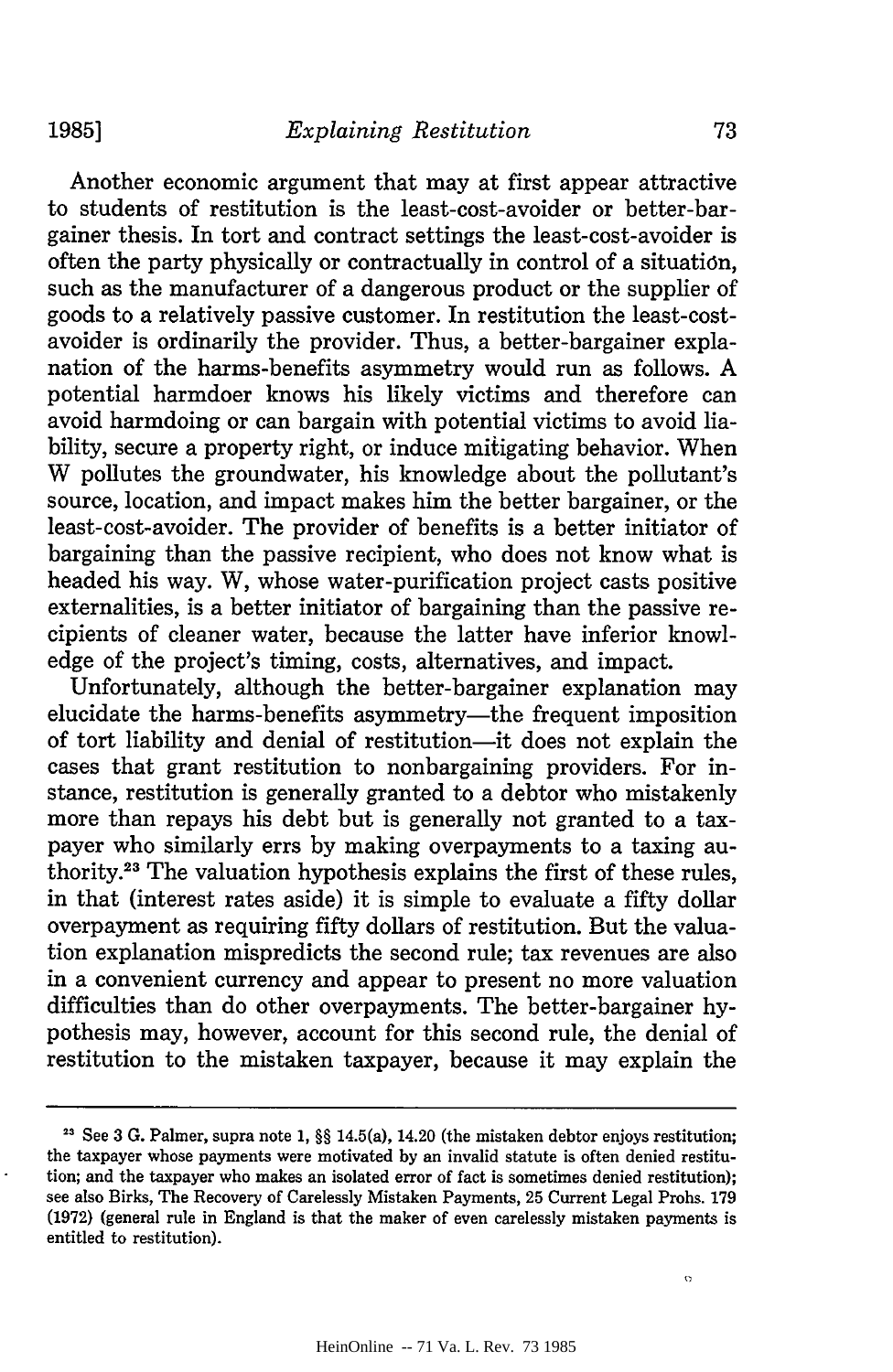Another economic argument that may at first appear attractive to students of restitution is the least-cost-avoider or better-bargainer thesis. In tort and contract settings the least-cost-avoider is often the party physically or contractually in control of a situation, such as the manufacturer of a dangerous product or the supplier of goods to a relatively passive customer. In restitution the least-costavoider is ordinarily the provider. Thus, a better-bargainer explanation of the harms-benefits asymmetry would run as follows. A potential harmdoer knows his likely victims and therefore can avoid harmdoing or can bargain with potential victims to avoid liability, secure a property right, or induce mitigating behavior. When W pollutes the groundwater, his knowledge about the pollutant's source, location, and impact makes him the better bargainer, or the least-cost-avoider. The provider of benefits is a better initiator of bargaining than the passive recipient, who does not know what is headed his way. W, whose water-purification project casts positive externalities, is a better initiator of bargaining than the passive recipients of cleaner water, because the latter have inferior knowledge of the project's timing, costs, alternatives, and impact.

Unfortunately, although the better-bargainer explanation may elucidate the harms-benefits asymmetry-the frequent imposition of tort liability and denial of restitution-it does not explain the cases that grant restitution to nonbargaining providers. For instance, restitution is generally granted to a debtor who mistakenly more than repays his debt but is generally not granted to a taxpayer who similarly errs by making overpayments to a taxing authority.23 The valuation hypothesis explains the first of these rules, in that (interest rates aside) it is simple to evaluate a fifty dollar overpayment as requiring fifty dollars of restitution. But the valuation explanation mispredicts the second rule; tax revenues are also in a convenient currency and appear to present no more valuation difficulties than do other overpayments. The better-bargainer hypothesis may, however, account for this second rule, the denial of restitution to the mistaken taxpayer, because it may explain the

**1985]**

**<sup>3</sup>**See 3 **G.** Palmer, supra note **1,** §§ 14.5(a), 14.20 (the mistaken debtor enjoys restitution; the taxpayer whose payments were motivated by an invalid statute is often denied restitution; and the taxpayer who makes an isolated error of fact is sometimes denied restitution); see also Birks, The Recovery of Carelessly Mistaken Payments, 25 Current Legal Probs. 179 (1972) (general rule in England is that the maker of even carelessly mistaken payments is entitled to restitution).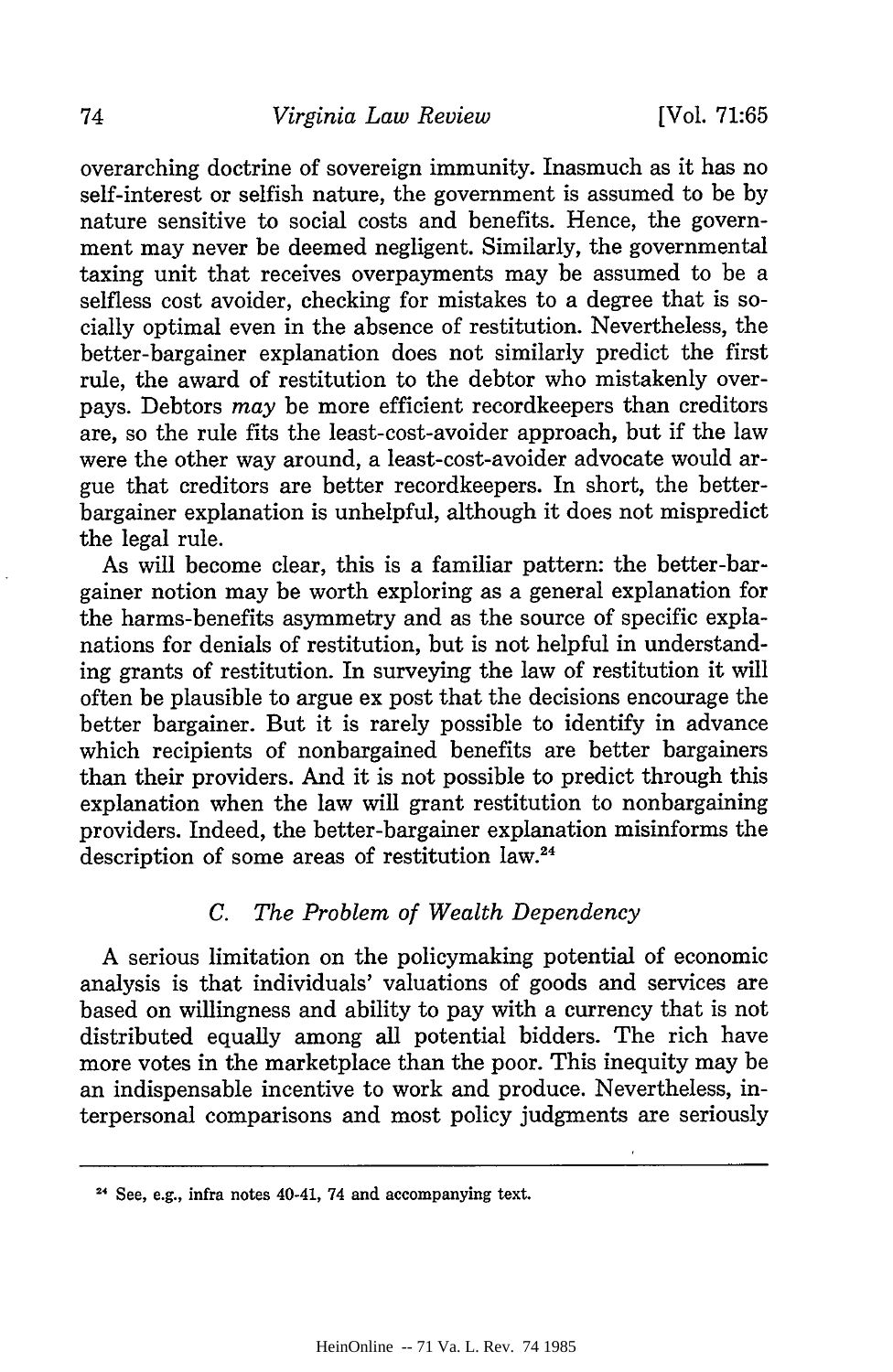## 74 *Virginia Law Review* [Vol. 71:65

overarching doctrine of sovereign immunity. Inasmuch as it has no self-interest or selfish nature, the government is assumed to be by nature sensitive to social costs and benefits. Hence, the government may never be deemed negligent. Similarly, the governmental taxing unit that receives overpayments may be assumed to be a selfless cost avoider, checking for mistakes to a degree that is socially optimal even in the absence of restitution. Nevertheless, the better-bargainer explanation does not similarly predict the first rule, the award of restitution to the debtor who mistakenly overpays. Debtors *may* be more efficient recordkeepers than creditors are, so the rule fits the least-cost-avoider approach, but if the law were the other way around, a least-cost-avoider advocate would argue that creditors are better recordkeepers. In short, the betterbargainer explanation is unhelpful, although it does not mispredict the legal rule.

As will become clear, this is a familiar pattern: the better-bargainer notion may be worth exploring as a general explanation for the harms-benefits asymmetry and as the source of specific explanations for denials of restitution, but is not helpful in understanding grants of restitution. In surveying the law of restitution it will often be plausible to argue ex post that the decisions encourage the better bargainer. But it is rarely possible to identify in advance which recipients of nonbargained benefits are better bargainers than their providers. And it is not possible to predict through this explanation when the law will grant restitution to nonbargaining providers. Indeed, the better-bargainer explanation misinforms the description of some areas of restitution law.24

## *C. The Problem of Wealth Dependency*

A serious limitation on the policymaking potential of economic analysis is that individuals' valuations of goods and services are based on willingness and ability to pay with a currency that is not distributed equally among all potential bidders. The rich have more votes in the marketplace than the poor. This inequity may be an indispensable incentive to work and produce. Nevertheless, interpersonal comparisons and most policy judgments are seriously

**<sup>24</sup>** See, e.g., infra notes 40-41, 74 and accompanying text.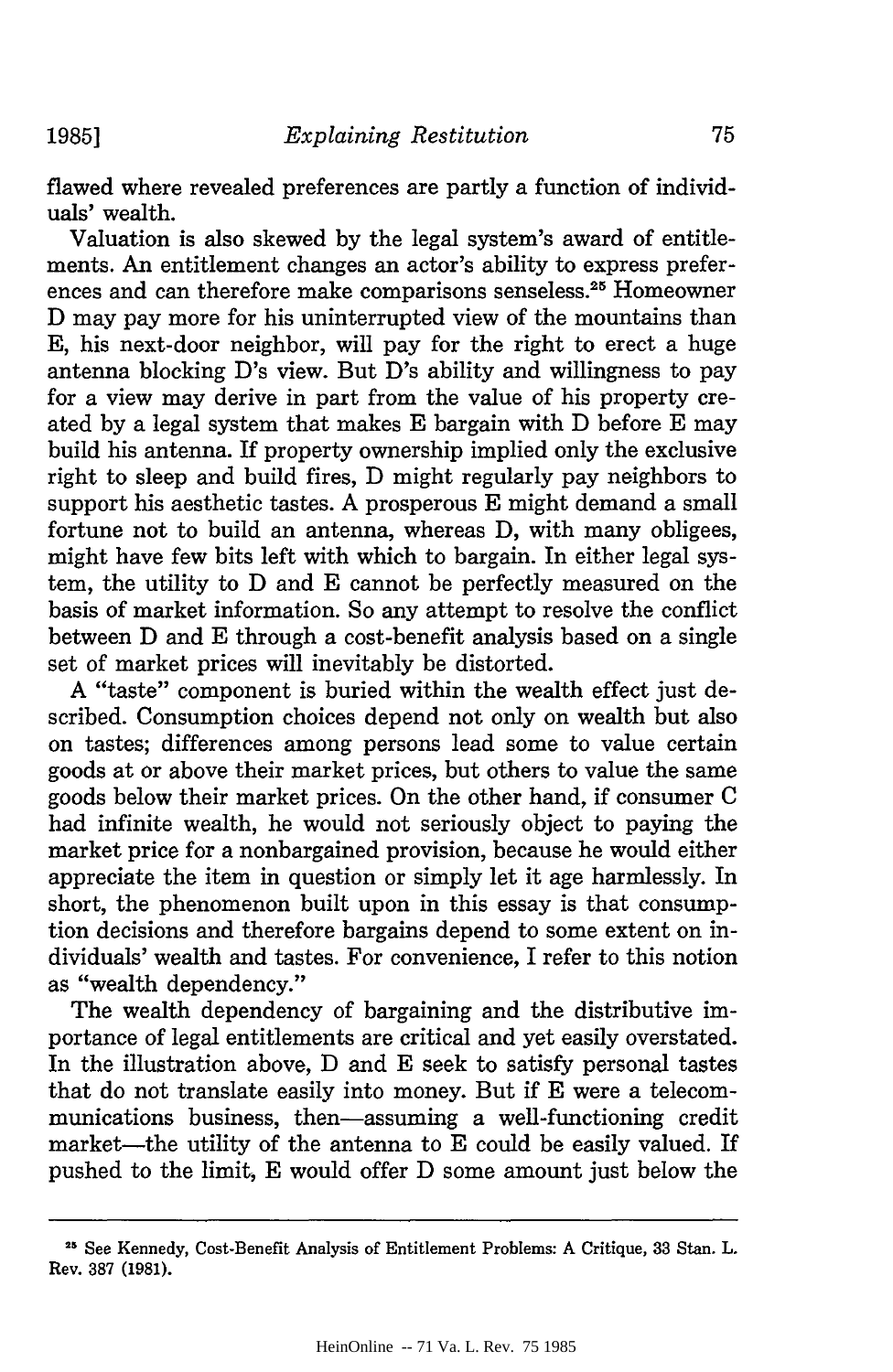flawed where revealed preferences are partly a function of individuals' wealth.

Valuation is also skewed by the legal system's award of entitlements. An entitlement changes an actor's ability to express preferences and can therefore make comparisons senseless.25 Homeowner D may pay more for his uninterrupted view of the mountains than E, his next-door neighbor, will pay for the right to erect a huge antenna blocking D's view. But D's ability and willingness to pay for a view may derive in part from the value of his property created by a legal system that makes E bargain with D before E may build his antenna. If property ownership implied only the exclusive right to sleep and build fires, D might regularly pay neighbors to support his aesthetic tastes. A prosperous E might demand a small fortune not to build an antenna, whereas D, with many obligees, might have few bits left with which to bargain. In either legal system, the utility to D and E cannot be perfectly measured on the basis of market information. So any attempt to resolve the conflict between D and E through a cost-benefit analysis based on a single set of market prices will inevitably be distorted.

A "taste" component is buried within the wealth effect just described. Consumption choices depend not only on wealth but also on tastes; differences among persons lead some to value certain goods at or above their market prices, but others to value the same goods below their market prices. On the other hand, if consumer C had infinite wealth, he would not seriously object to paying the market price for a nonbargained provision, because he would either appreciate the item in question or simply let it age harmlessly. In short, the phenomenon built upon in this essay is that consumption decisions and therefore bargains depend to some extent on individuals' wealth and tastes. For convenience, I refer to this notion as "wealth dependency."

The wealth dependency of bargaining and the distributive importance of legal entitlements are critical and yet easily overstated. In the illustration above, D and E seek to satisfy personal tastes that do not translate easily into money. But if E were a telecommunications business, then-assuming a well-functioning credit market-the utility of the antenna to E could be easily valued. If pushed to the limit, E would offer D some amount just below the

1985]

**<sup>25</sup>**See Kennedy, Cost-Benefit Analysis of Entitlement Problems: A Critique, 33 Stan. L. Rev. 387 (1981).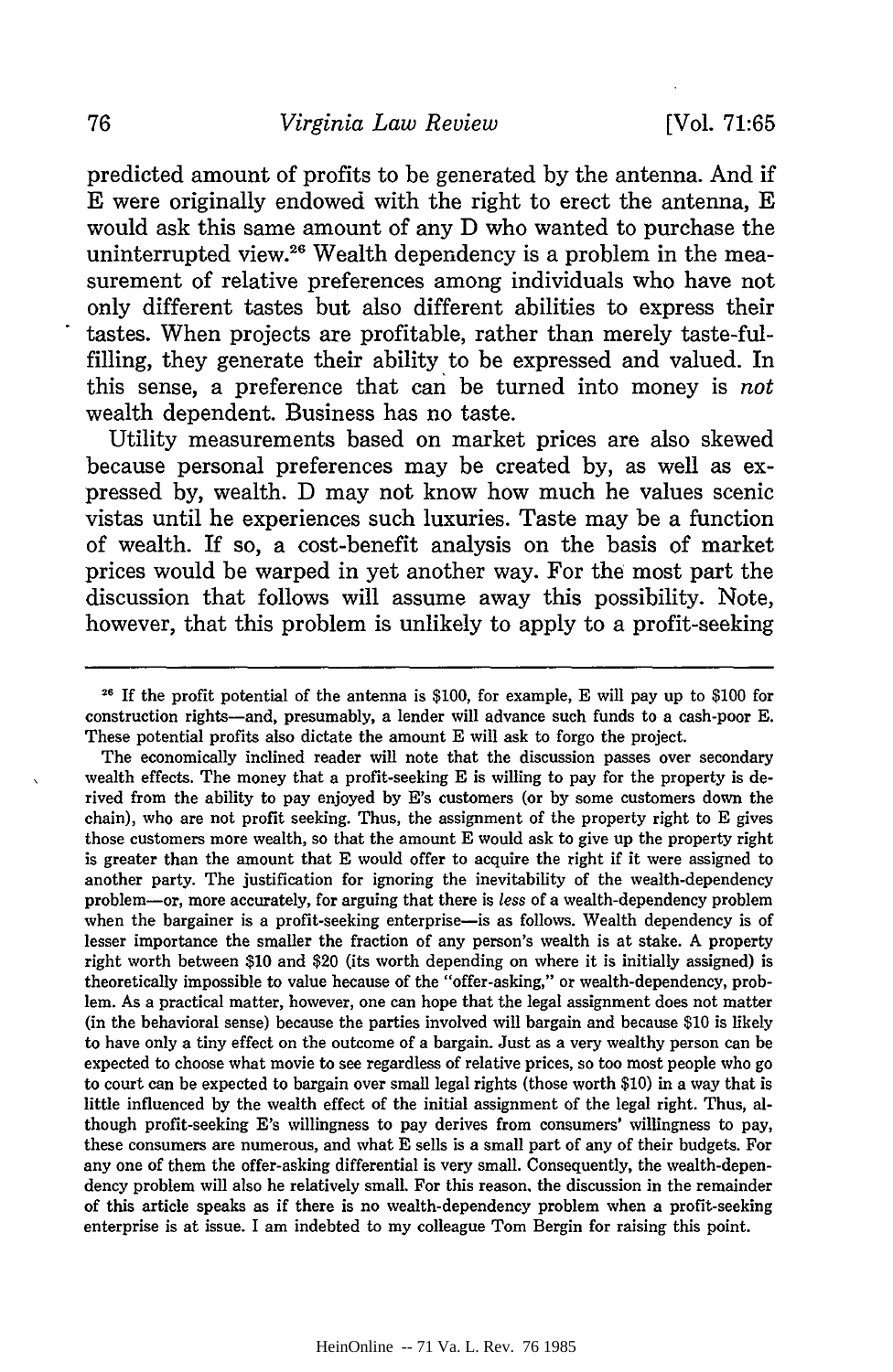predicted amount of profits to be generated by the antenna. And if E were originally endowed with the right to erect the antenna, E would ask this same amount of any D who wanted to purchase the uninterrupted view.26 Wealth dependency is a problem in the measurement of relative preferences among individuals who have not only different tastes but also different abilities to express their tastes. When projects are profitable, rather than merely taste-fulfilling, they generate their ability to be expressed and valued. In this sense, a preference that can be turned into money is *not* wealth dependent. Business has no taste.

Utility measurements based on market prices are also skewed because personal preferences may be created by, as well as expressed by, wealth. D may not know how much he values scenic vistas until he experiences such luxuries. Taste may be a function of wealth. If so, a cost-benefit analysis on the basis of market prices would be warped in yet another way. For the most part the discussion that follows will assume away this possibility. Note, however, that this problem is unlikely to apply to a profit-seeking

The economically inclined reader will note that the discussion passes over secondary wealth effects. The money that a profit-seeking E is willing to pay for the property is derived from the ability to pay enjoyed by E's customers (or by some customers down the chain), who are not profit seeking. Thus, the assignment of the property right to E gives those customers more wealth, so that the amount E would ask to give up the property right is greater than the amount that E would offer to acquire the right if it were assigned to another party. The justification for ignoring the inevitability of the wealth-dependency problem-or, more accurately, for arguing that there is *less* of a wealth-dependency problem when the bargainer is a profit-seeking enterprise—is as follows. Wealth dependency is of lesser importance the smaller the fraction of any person's wealth is at stake. A property right worth between \$10 and \$20 (its worth depending on where it is initially assigned) is theoretically impossible to value because of the "offer-asking," or wealth-dependency, problem. As a practical matter, however, one can hope that the legal assignment does not matter (in the behavioral sense) because the parties involved will bargain and because \$10 is likely to have only a tiny effect on the outcome of a bargain. Just as a very wealthy person can be expected to choose what movie to see regardless of relative prices, so too most people who go to court can be expected to bargain over small legal rights (those worth \$10) in a way that is little influenced by the wealth effect of the initial assignment of the legal right. Thus, although profit-seeking E's willingness to pay derives from consumers' willingness to pay, these consumers are numerous, and what E sells is a small part of any of their budgets. For any one of them the offer-asking differential is very small. Consequently, the wealth-dependency problem will also be relatively small. For this reason, the discussion in the remainder of this article speaks as if there is no wealth-dependency problem when a profit-seeking enterprise is at issue. I am indebted to my colleague Tom Bergin for raising this point.

**<sup>26</sup>**If the profit potential of the antenna is \$100, for example, E will pay up to \$100 for construction rights-and, presumably, a lender will advance such funds to a cash-poor E. These potential profits also dictate the amount E will ask to forgo the project.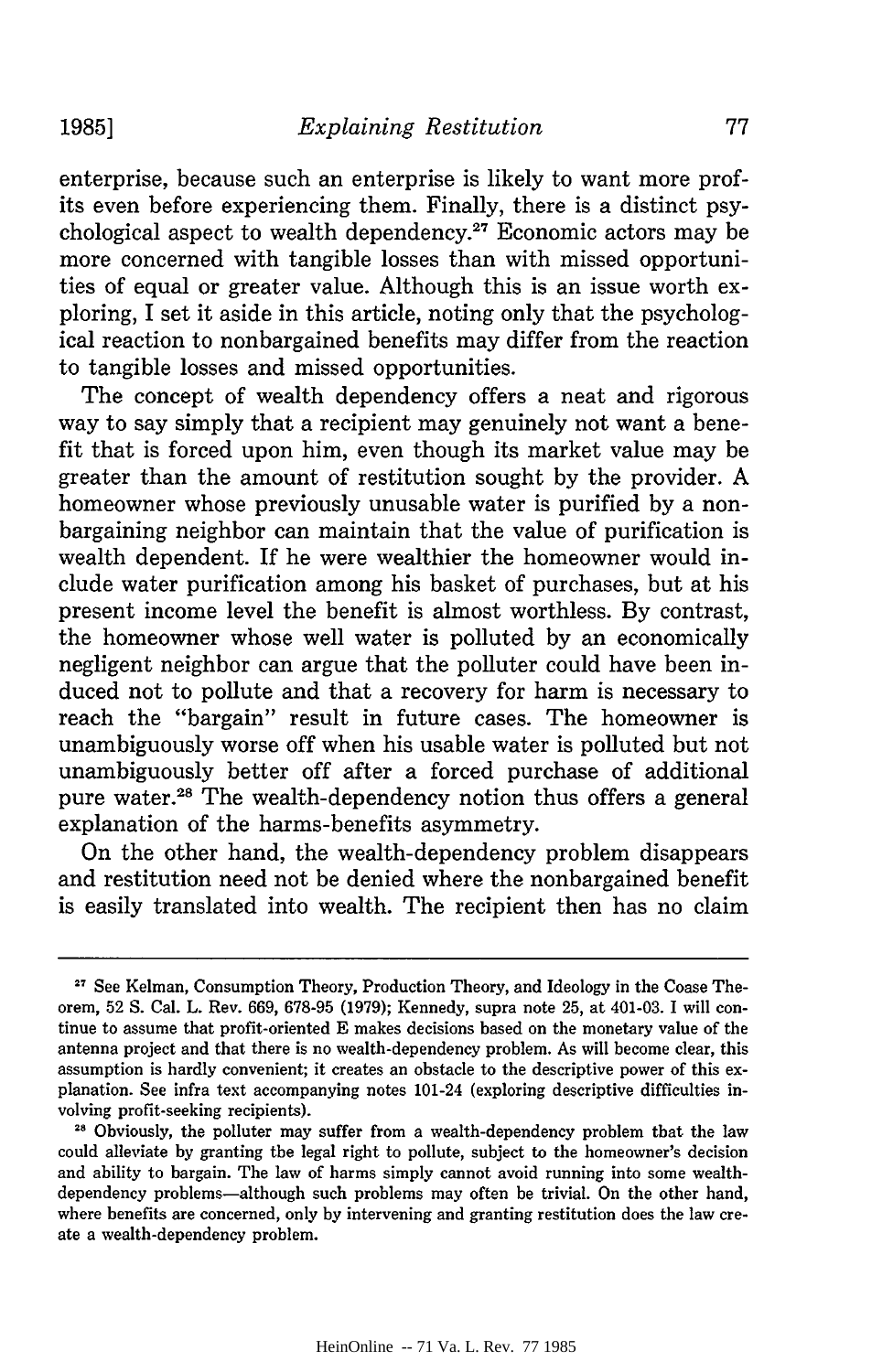enterprise, because such an enterprise is likely to want more profits even before experiencing them. Finally, there is a distinct psychological aspect to wealth dependency.<sup>27</sup> Economic actors may be more concerned with tangible losses than with missed opportunities of equal or greater value. Although this is an issue worth exploring, I set it aside in this article, noting only that the psychological reaction to nonbargained benefits may differ from the reaction to tangible losses and missed opportunities.

The concept of wealth dependency offers a neat and rigorous way to say simply that a recipient may genuinely not want a benefit that is forced upon him, even though its market value may be greater than the amount of restitution sought by the provider. A homeowner whose previously unusable water is purified by a nonbargaining neighbor can maintain that the value of purification is wealth dependent. If he were wealthier the homeowner would include water purification among his basket of purchases, but at his present income level the benefit is almost worthless. By contrast, the homeowner whose well water is polluted by an economically negligent neighbor can argue that the polluter could have been induced not to pollute and that a recovery for harm is necessary to reach the "bargain" result in future cases. The homeowner is unambiguously worse off when his usable water is polluted but not unambiguously better off after a forced purchase of additional pure water.<sup>28</sup> The wealth-dependency notion thus offers a general explanation of the harms-benefits asymmetry.

On the other hand, the wealth-dependency problem disappears and restitution need not be denied where the nonbargained benefit is easily translated into wealth. The recipient then has no claim

**<sup>27</sup>** See Kelman, Consumption Theory, Production Theory, and Ideology in the Coase Theorem, 52 S. Cal. L. Rev. 669, 678-95 (1979); Kennedy, supra note 25, at 401-03. I will continue to assume that profit-oriented E makes decisions based on the monetary value of the antenna project and that there is no wealth-dependency problem. As will become clear, this assumption is hardly convenient; it creates an obstacle to the descriptive power of this explanation. See infra text accompanying notes 101-24 (exploring descriptive difficulties involving profit-seeking recipients).

<sup>&</sup>lt;sup>28</sup> Obviously, the polluter may suffer from a wealth-dependency problem that the law could alleviate **by** granting the legal right to pollute, subject to the homeowner's decision and ability to bargain. The law of harms simply cannot avoid running into some wealthdependency problems-although such problems may often be trivial. On the other hand, where benefits are concerned, only **by** intervening and granting restitution does the law create a wealth-dependency problem.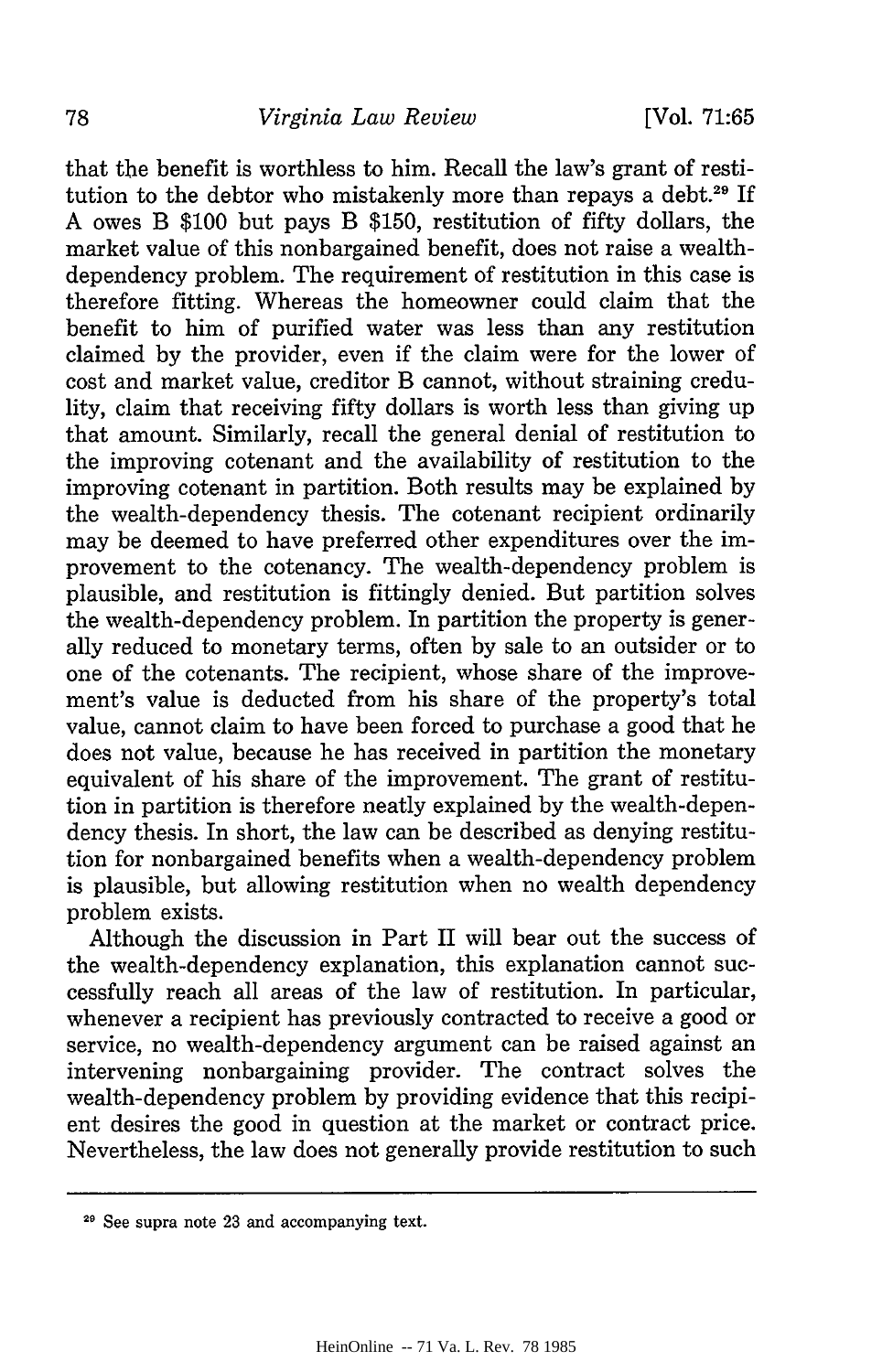that the benefit is worthless to him. Recall the law's grant of restitution to the debtor who mistakenly more than repays a debt.<sup>29</sup> If A owes B \$100 but pays B \$150, restitution of fifty dollars, the market value of this nonbargained benefit, does not raise a wealthdependency problem. The requirement of restitution in this case is therefore fitting. Whereas the homeowner could claim that the benefit to him of purified water was less than any restitution claimed by the provider, even if the claim were for the lower of cost and market value, creditor B cannot, without straining credulity, claim that receiving fifty dollars is worth less than giving up that amount. Similarly, recall the general denial of restitution to the improving cotenant and the availability of restitution to the improving cotenant in partition. Both results may be explained by the wealth-dependency thesis. The cotenant recipient ordinarily may be deemed to have preferred other expenditures over the improvement to the cotenancy. The wealth-dependency problem is plausible, and restitution is fittingly denied. But partition solves the wealth-dependency problem. In partition the property is generally reduced to monetary terms, often by sale to an outsider or to one of the cotenants. The recipient, whose share of the improvement's value is deducted from his share of the property's total value, cannot claim to have been forced to purchase a good that he does not value, because he has received in partition the monetary equivalent of his share of the improvement. The grant of restitution in partition is therefore neatly explained by the wealth-dependency thesis. In short, the law can be described as denying restitution for nonbargained benefits when a wealth-dependency problem is plausible, but allowing restitution when no wealth dependency problem exists.

Although the discussion in Part II will bear out the success of the wealth-dependency explanation, this explanation cannot successfully reach all areas of the law of restitution. In particular, whenever a recipient has previously contracted to receive a good or service, no wealth-dependency argument can be raised against an intervening nonbargaining provider. The contract solves the wealth-dependency problem by providing evidence that this recipient desires the good in question at the market or contract price. Nevertheless, the law does not generally provide restitution to such

**<sup>29</sup>** See supra note 23 and accompanying text.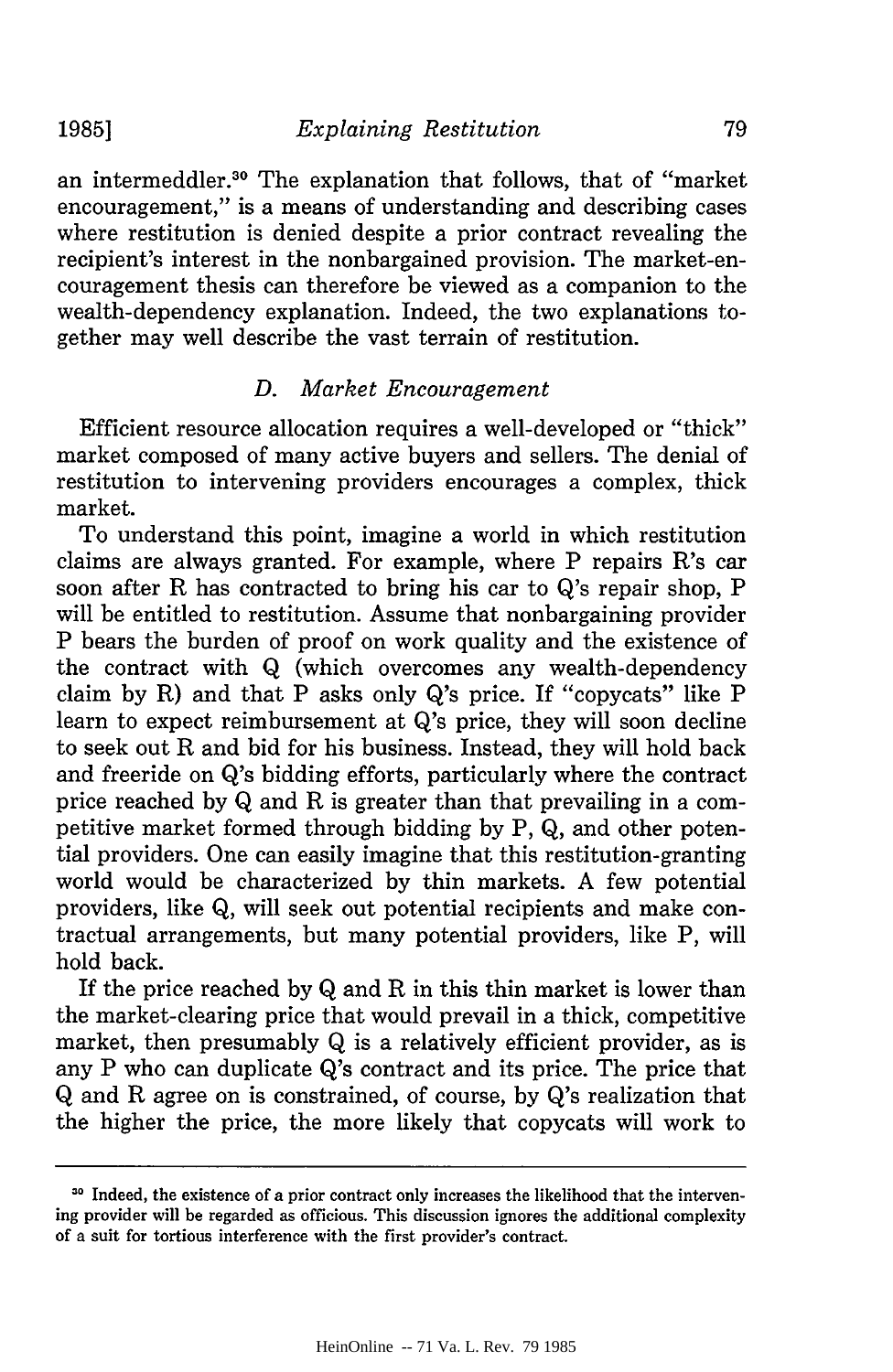an intermeddler.<sup>30</sup> The explanation that follows, that of "market" encouragement," is a means of understanding and describing cases where restitution is denied despite a prior contract revealing the recipient's interest in the nonbargained provision. The market-encouragement thesis can therefore be viewed as a companion to the wealth-dependency explanation. Indeed, the two explanations together may well describe the vast terrain of restitution.

#### *D. Market Encouragement*

Efficient resource allocation requires a well-developed or "thick" market composed of many active buyers and sellers. The denial of restitution to intervening providers encourages a complex, thick market.

To understand this point, imagine a world in which restitution claims are always granted. For example, where P repairs R's car soon after R has contracted to bring his car to Q's repair shop, P will be entitled to restitution. Assume that nonbargaining provider P bears the burden of proof on work quality and the existence of the contract with Q (which overcomes any wealth-dependency claim by R) and that P asks only Q's price. If "copycats" like P learn to expect reimbursement at Q's price, they will soon decline to seek out R and bid for his business. Instead, they will hold back and freeride on Q's bidding efforts, particularly where the contract price reached by Q and R is greater than that prevailing in a competitive market formed through bidding by P, Q, and other potential providers. One can easily imagine that this restitution-granting world would be characterized by thin markets. A few potential providers, like Q, will seek out potential recipients and make contractual arrangements, but many potential providers, like P, will hold back.

If the price reached by Q and R in this thin market is lower than the market-clearing price that would prevail in a thick, competitive market, then presumably Q is a relatively efficient provider, as is any P who can duplicate Q's contract and its price. The price that Q and R agree on is constrained, of course, by Q's realization that the higher the price, the more likely that copycats will work to

**19851**

**<sup>&</sup>quot;o** Indeed, the existence of a prior contract only increases the likelihood that the intervening provider will be regarded as officious. This discussion ignores the additional complexity of a suit for tortious interference with the first provider's contract.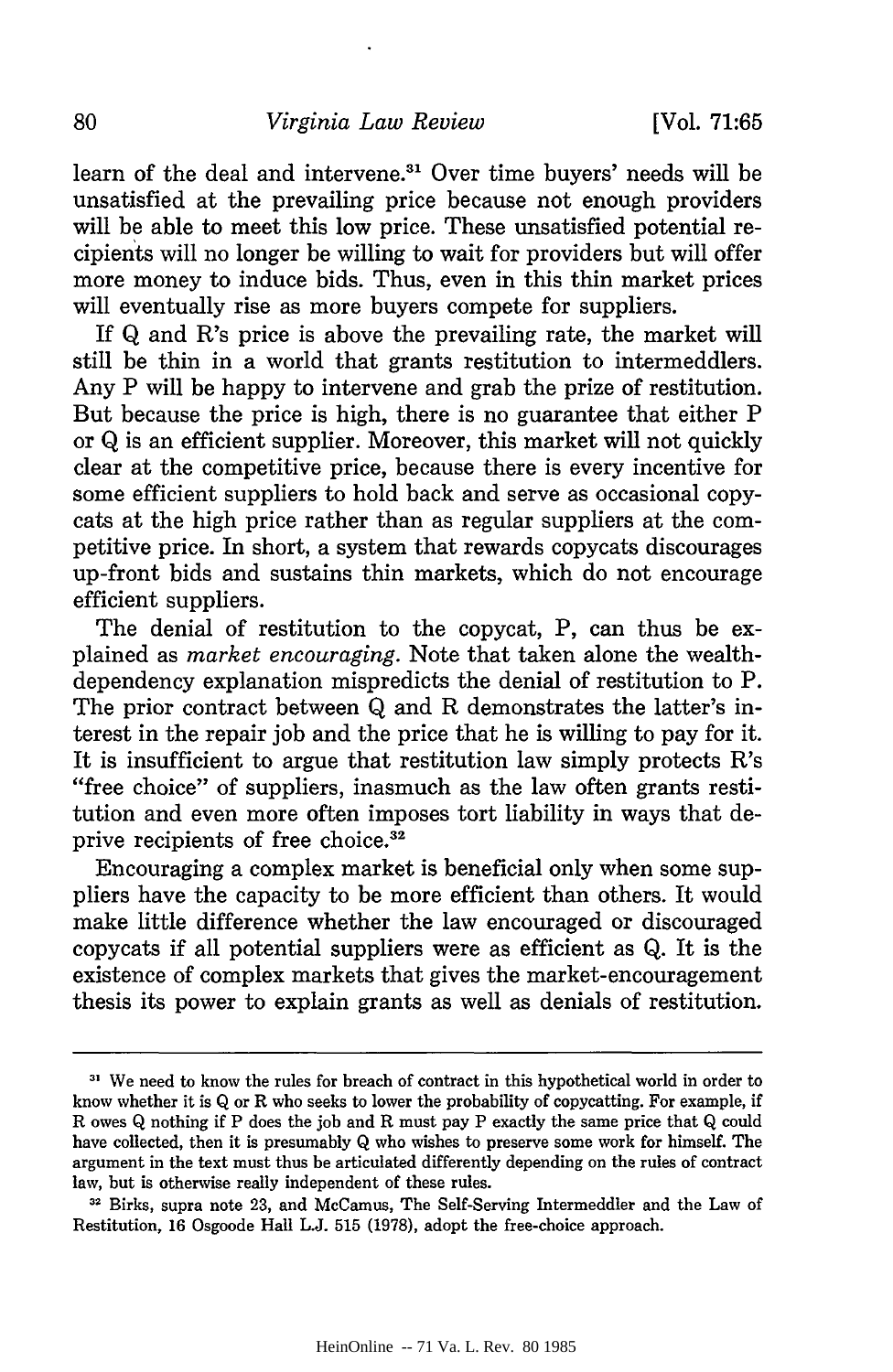learn of the deal and intervene.<sup>31</sup> Over time buyers' needs will be unsatisfied at the prevailing price because not enough providers will be able to meet this low price. These unsatisfied potential recipients will no longer be willing to wait for providers but will offer more money to induce bids. Thus, even in this thin market prices will eventually rise as more buyers compete for suppliers.

If Q and R's price is above the prevailing rate, the market will still be thin in a world that grants restitution to intermeddlers. Any P will be happy to intervene and grab the prize of restitution. But because the price is high, there is no guarantee that either P or Q is an efficient supplier. Moreover, this market will not quickly clear at the competitive price, because there is every incentive for some efficient suppliers to hold back and serve as occasional copycats at the high price rather than as regular suppliers at the competitive price. In short, a system that rewards copycats discourages up-front bids and sustains thin markets, which do not encourage efficient suppliers.

The denial of restitution to the copycat, P, can thus be explained as *market encouraging.* Note that taken alone the wealthdependency explanation mispredicts the denial of restitution to P. The prior contract between Q and R demonstrates the latter's interest in the repair job and the price that he is willing to pay for it. It is insufficient to argue that restitution law simply protects R's "free choice" of suppliers, inasmuch as the law often grants restitution and even more often imposes tort liability in ways that deprive recipients of free choice.<sup>32</sup>

Encouraging a complex market is beneficial only when some suppliers have the capacity to be more efficient than others. It would make little difference whether the law encouraged or discouraged copycats if all potential suppliers were as efficient as Q. It is the existence of complex markets that gives the market-encouragement thesis its power to explain grants as well as denials of restitution.

**<sup>3&#</sup>x27;** We need to know the rules for breach of contract in this hypothetical world in order to know whether it is Q or R who seeks to lower the probability of copycatting. For example, if R owes Q nothing if P does the **job** and R must pay P exactly the same price that Q could have collected, then it is presumably Q who wishes to preserve some work for himself. The argument in the text must thus be articulated differently depending on the rules of contract law, but is otherwise really independent of these rules.

**<sup>32</sup>**Birks, supra note 23, and McCamus, The Self-Serving Intermeddler and the Law of Restitution, 16 Osgoode Hall L.J. 515 (1978), adopt the free-choice approach.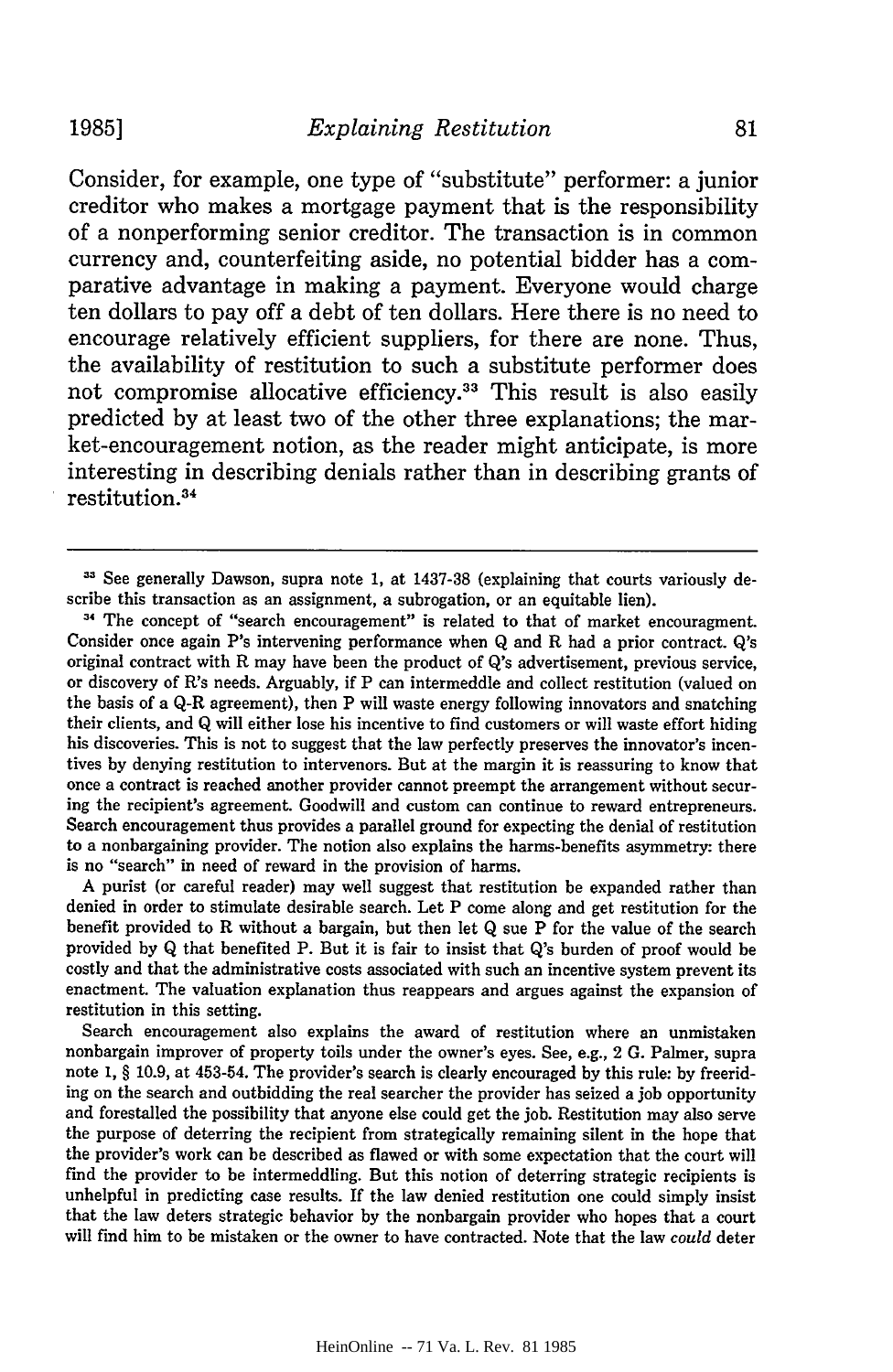Consider, for example, one type of "substitute" performer: a junior creditor who makes a mortgage payment that is the responsibility of a nonperforming senior creditor. The transaction is in common currency and, counterfeiting aside, no potential bidder has a comparative advantage in making a payment. Everyone would charge ten dollars to pay off a debt of ten dollars. Here there is no need to encourage relatively efficient suppliers, for there are none. Thus, the availability of restitution to such a substitute performer does not compromise allocative efficiency.<sup>33</sup> This result is also easily predicted by at least two of the other three explanations; the market-encouragement notion, as the reader might anticipate, is more interesting in describing denials rather than in describing grants of restitution.34

**"** The concept of "search encouragement" is related to that of market encouragment. Consider once again P's intervening performance when Q and R had a prior contract. Q's original contract with R may have been the product of Q's advertisement, previous service, or discovery of R's needs. Arguably, if P can intermeddle and collect restitution (valued on the basis of a Q-R agreement), then P will waste energy following innovators and snatching their clients, and Q will either lose his incentive to find customers or will waste effort hiding his discoveries. This is not to suggest that the law perfectly preserves the innovator's incentives by denying restitution to intervenors. But at the margin it is reassuring to know that once a contract is reached another provider cannot preempt the arrangement without securing the recipient's agreement. Goodwill and custom can continue to reward entrepreneurs. Search encouragement thus provides a parallel ground for expecting the denial of restitution to a nonbargaining provider. The notion also explains the harms-benefits asymmetry: there is no "search" in need of reward in the provision of harms.

A purist (or careful reader) may well suggest that restitution be expanded rather than denied in order to stimulate desirable search. Let P come along and get restitution for the benefit provided to R without a bargain, but then let Q sue P for the value of the search provided by Q that benefited P. But it is fair to insist that Q's burden of proof would be costly and that the administrative costs associated with such an incentive system prevent its enactment. The valuation explanation thus reappears and argues against the expansion of restitution in this setting.

Search encouragement also explains the award of restitution where an unmistaken nonbargain improver of property toils under the owner's eyes. See, e.g., 2 **G.** Palmer, supra note **1,** § **10.9,** at 453-54. The provider's search is clearly encouraged **by** this rule: **by** freeriding on the search and outbidding the real searcher the provider has seized a **job** opportunity and forestalled the possibility that anyone else could get the **job.** Restitution may also serve the purpose of deterring the recipient from strategically remaining silent in the hope that the provider's work can be described as flawed or with some expectation that the court will find the provider to be intermeddling. But this notion of deterring strategic recipients is unhelpful in predicting case results. If the law denied restitution one could simply insist that the law deters strategic behavior **by** the nonbargain provider who hopes that a court will find him to be mistaken or the owner to have contracted. Note that the law could deter

**<sup>&</sup>quot;** See generally Dawson, supra note 1, at 1437-38 (explaining that courts variously describe this transaction as an assignment, a subrogation, or an equitable lien).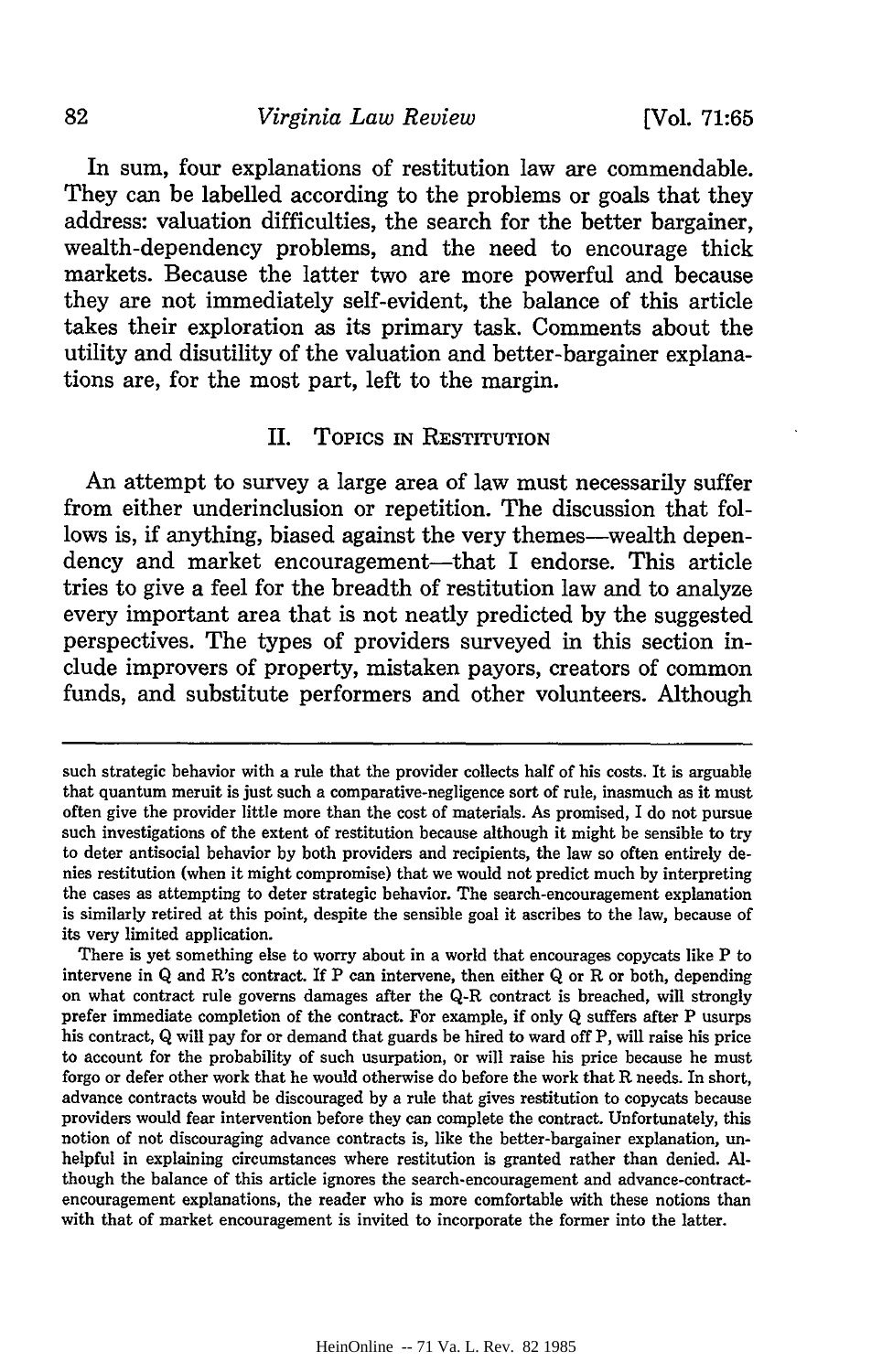#### 82 *Virginia Law Review* [Vol. 71:65

In sum, four explanations of restitution law are commendable. They can be labelled according to the problems or goals that they address: valuation difficulties, the search for the better bargainer, wealth-dependency problems, and the need to encourage thick markets. Because the latter two are more powerful and because they are not immediately self-evident, the balance of this article takes their exploration as its primary task. Comments about the utility and disutility of the valuation and better-bargainer explanations are, for the most part, left to the margin.

#### II. TOPICS IN RESTITUTION

An attempt to survey a large area of law must necessarily suffer from either underinclusion or repetition. The discussion that follows is, if anything, biased against the very themes-wealth dependency and market encouragement—that I endorse. This article tries to give a feel for the breadth of restitution law and to analyze every important area that is not neatly predicted by the suggested perspectives. The types of providers surveyed in this section include improvers of property, mistaken payors, creators of common funds, and substitute performers and other volunteers. Although

such strategic behavior with a rule that the provider collects half of his costs. It is arguable that quantum meruit is just such a comparative-negligence sort of rule, inasmuch as it must often give the provider little more than the cost of materials. As promised, I do not pursue such investigations of the extent of restitution because although it might be sensible to try to deter antisocial behavior by both providers and recipients, the law so often entirely denies restitution (when it might compromise) that we would not predict much by interpreting the cases as attempting to deter strategic behavior. The search-encouragement explanation is similarly retired at this point, despite the sensible goal it ascribes to the law, because of its very limited application.

There is yet something else to worry about in a world that encourages copycats like P to intervene in Q and R's contract. If P can intervene, then either Q or R or both, depending on what contract rule governs damages after the Q-R contract is breached, will strongly prefer immediate completion of the contract. For example, if only Q suffers after P usurps his contract, Q will pay for or demand that guards be hired to ward off P, will raise his price to account for the probability of such usurpation, or will raise his price because he must forgo or defer other work that he would otherwise do before the work that R needs. In short, advance contracts would be discouraged by a rule that gives restitution to copycats because providers would fear intervention before they can complete the contract. Unfortunately, this notion of not discouraging advance contracts is, like the better-bargainer explanation, unhelpful in explaining circumstances where restitution is granted rather than denied. Although the balance of this article ignores the search-encouragement and advance-contractencouragement explanations, the reader who is more comfortable with these notions than with that of market encouragement is invited to incorporate the former into the latter.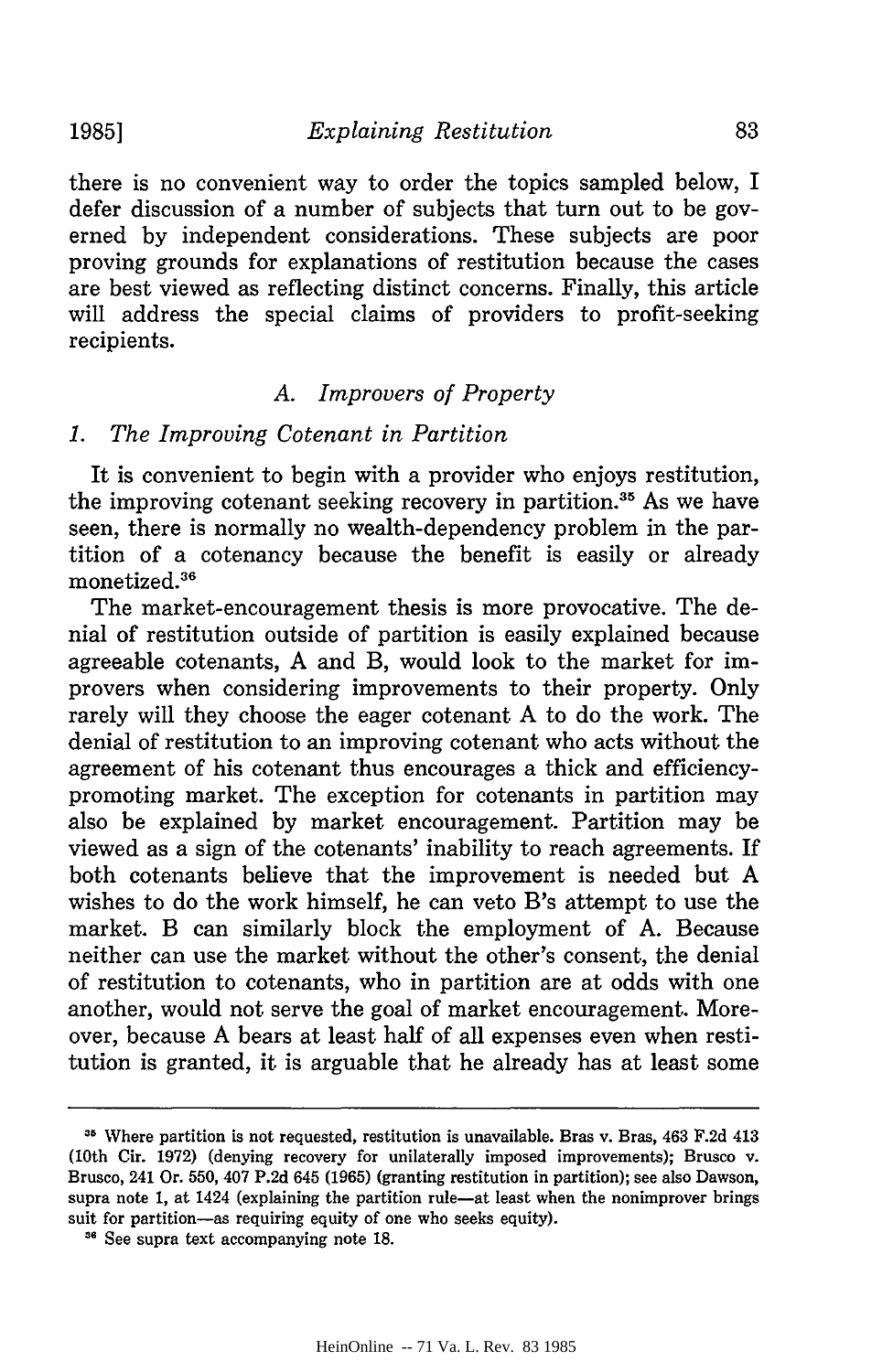there is no convenient way to order the topics sampled below, I defer discussion of a number of subjects that turn out to be governed by independent considerations. These subjects are poor proving grounds for explanations of restitution because the cases are best viewed as reflecting distinct concerns. Finally, this article will address the special claims of providers to profit-seeking recipients.

# *A. Improvers of Property*

# *1. The Improving Cotenant in Partition*

It is convenient to begin with a provider who enjoys restitution, the improving cotenant seeking recovery in partition.<sup>35</sup> As we have seen, there is normally no wealth-dependency problem in the partition of a cotenancy because the benefit is easily or already monetized.36

The market-encouragement thesis is more provocative. The denial of restitution outside of partition is easily explained because agreeable cotenants, A and B, would look to the market for improvers when considering improvements to their property. Only rarely will they choose the eager cotenant A to do the work. The denial of restitution to an improving cotenant who acts without the agreement of his cotenant thus encourages a thick and efficiencypromoting market. The exception for cotenants in partition may also be explained by market encouragement. Partition may be viewed as a sign of the cotenants' inability to reach agreements. If both cotenants believe that the improvement is needed but A wishes to do the work himself, he can veto B's attempt to use the market. B can similarly block the employment of A. Because neither can use the market without the other's consent, the denial of restitution to cotenants, who in partition are at odds with one another, would not serve the goal of market encouragement. Moreover, because A bears at least half of all expenses even when restitution is granted, it is arguable that he already has at least some

**19851**

**<sup>35</sup>**Where partition is not requested, restitution is unavailable. Bras v. Bras, 463 F.2d 413 (10th Cir. **1972)** (denying recovery for unilaterally imposed improvements); Brusco v. Brusco, 241 Or. **550,** 407 **P.2d** 645 **(1965)** (granting restitution in partition); see also Dawson, supra note 1, at 1424 (explaining the partition rule-at least when the nonimprover brings suit for partition-as requiring equity of one who seeks equity).

**<sup>3</sup>** See supra text accompanying note **18.**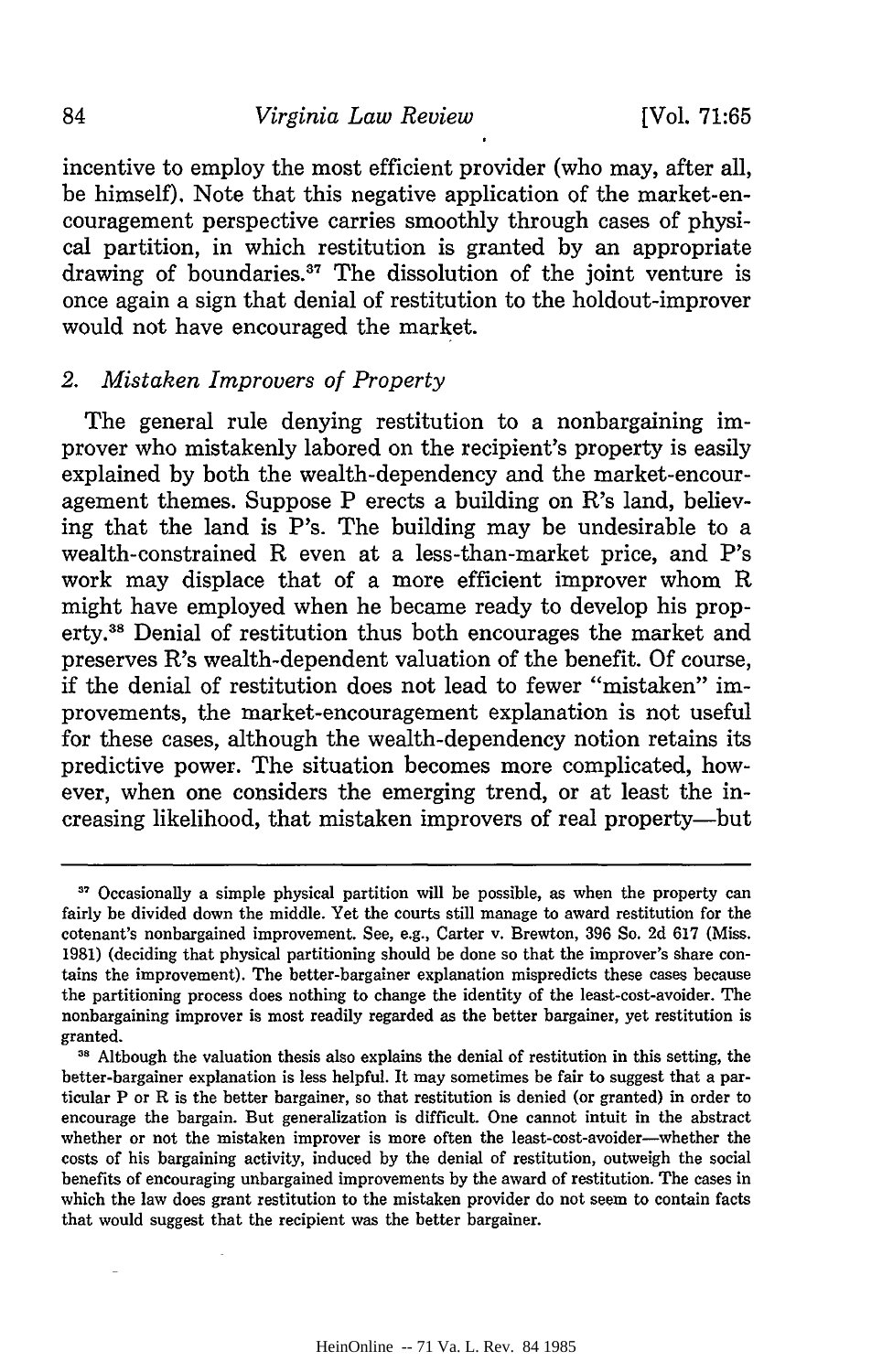## *Virginia Law Review*

incentive to employ the most efficient provider (who may, after all, be himself). Note that this negative application of the market-encouragement perspective carries smoothly through cases of physical partition, in which restitution is granted by an appropriate drawing of boundaries.<sup>37</sup> The dissolution of the joint venture is once again a sign that denial of restitution to the holdout-improver would not have encouraged the market.

## *2. Mistaken Improvers of Property*

The general rule denying restitution to a nonbargaining improver who mistakenly labored on the recipient's property is easily explained by both the wealth-dependency and the market-encouragement themes. Suppose P erects a building on R's land, believing that the land is P's. The building may be undesirable to a wealth-constrained R even at a less-than-market price, and P's work may displace that of a more efficient improver whom R might have employed when he became ready to develop his property.<sup>38</sup> Denial of restitution thus both encourages the market and preserves R's wealth-dependent valuation of the benefit. Of course, if the denial of restitution does not lead to fewer "mistaken" improvements, the market-encouragement explanation is not useful for these cases, although the wealth-dependency notion retains its predictive power. The situation becomes more complicated, however, when one considers the emerging trend, or at least the increasing likelihood, that mistaken improvers of real property-but

<sup>&</sup>lt;sup>37</sup> Occasionally a simple physical partition will be possible, as when the property can fairly be divided down the middle. Yet the courts still manage to award restitution for the cotenant's nonbargained improvement. See, e.g., Carter v. Brewton, **396** So. 2d **617** (Miss. **1981)** (deciding that physical partitioning should be done so that the improver's share contains the improvement). The better-bargainer explanation mispredicts these cases because the partitioning process does nothing to change the identity of the least-cost-avoider. The nonbargaining improver is most readily regarded as the better bargainer, yet restitution is granted.

<sup>&</sup>lt;sup>38</sup> Although the valuation thesis also explains the denial of restitution in this setting, the better-bargainer explanation is less helpful. It may sometimes be fair to suggest that a particular P or R is the better bargainer, so that restitution is denied (or granted) in order to encourage the bargain. But generalization is difficult. One cannot intuit in the abstract whether or not the mistaken improver is more often the least-cost-avoider--whether the costs of his bargaining activity, induced by the denial of restitution, outweigh the social benefits of encouraging unbargained improvements by the award of restitution. The cases in which the law does grant restitution to the mistaken provider do not seem to contain facts that would suggest that the recipient was the better bargainer.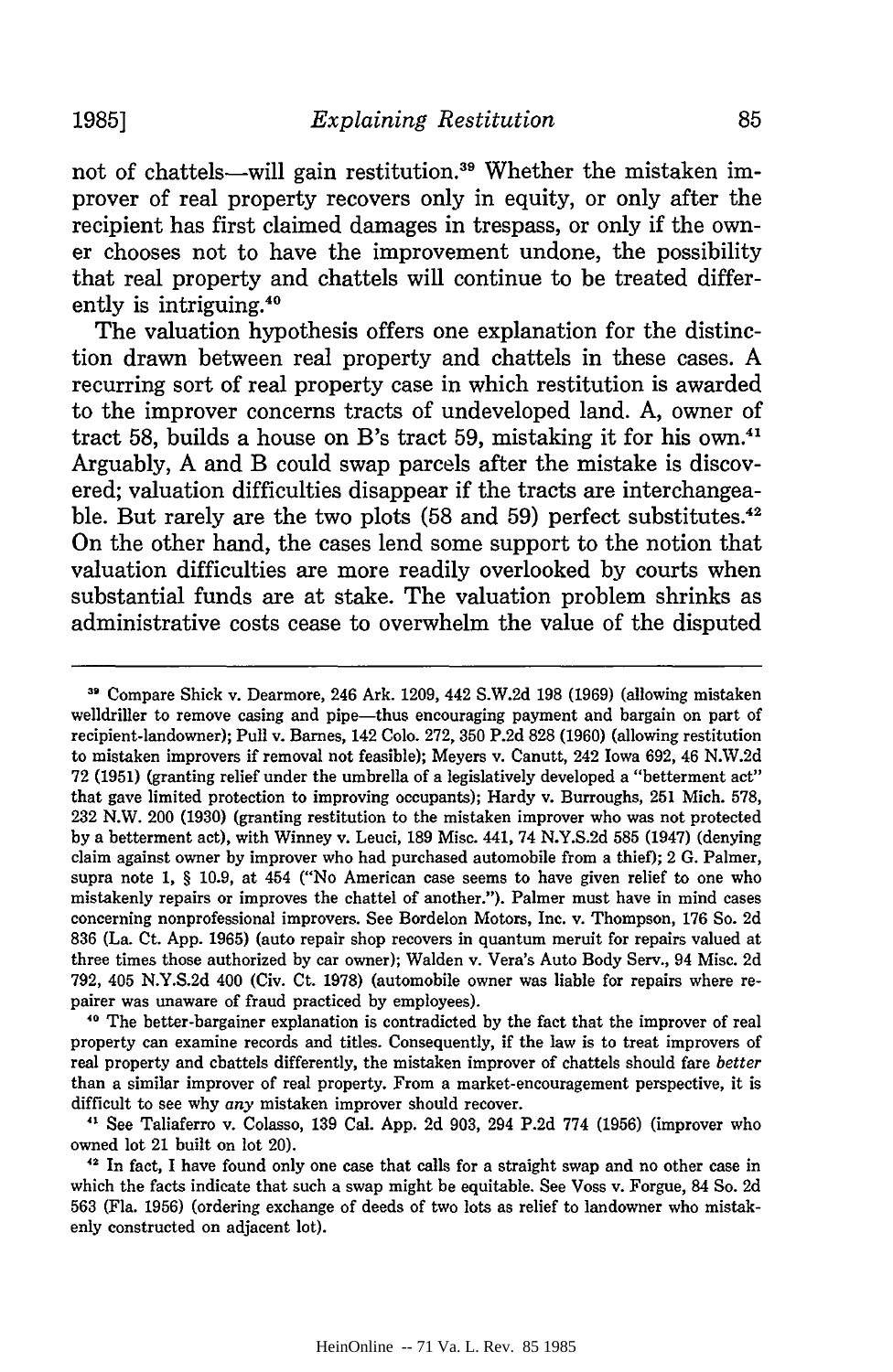not of chattels—will gain restitution.<sup>39</sup> Whether the mistaken im-

prover of real property recovers only in equity, or only after the recipient has first claimed damages in trespass, or only if the owner chooses not to have the improvement undone, the possibility that real property and chattels will continue to be treated differently is intriguing.<sup>40</sup>

The valuation hypothesis offers one explanation for the distinction drawn between real property and chattels in these cases. A recurring sort of real property case in which restitution is awarded to the improver concerns tracts of undeveloped land. A, owner of tract 58, builds a house on B's tract 59, mistaking it for his own.<sup>41</sup> Arguably, A and B could swap parcels after the mistake is discovered; valuation difficulties disappear if the tracts are interchangeable. But rarely are the two plots (58 and 59) perfect substitutes.<sup>42</sup> On the other hand, the cases lend some support to the notion that valuation difficulties are more readily overlooked by courts when substantial funds are at stake. The valuation problem shrinks as administrative costs cease to overwhelm the value of the disputed

**"** Compare Shick v. Dearmore, 246 Ark. 1209, 442 S.W.2d **198** (1969) (allowing mistaken welldriller to remove casing and pipe-thus encouraging payment and bargain on part of recipient-landowner); Pull v. Barnes, 142 Colo. 272, 350 P.2d 828 (1960) (allowing restitution to mistaken improvers if removal not feasible); Meyers v. Canutt, 242 Iowa 692, 46 N.W.2d 72 (1951) (granting relief under the umbrella of a legislatively developed a "betterment act" that gave limited protection to improving occupants); Hardy v. Burroughs, 251 Mich. 578, **232** N.W. 200 **(1930)** (granting restitution to the mistaken improver who was not protected by a betterment act), with Winney v. Leuci, 189 Misc. 441, 74 N.Y.S.2d 585 (1947) (denying claim against owner by improver who had purchased automobile from a thief); 2 G. Palmer, supra note 1, § 10.9, at 454 ("No American case seems to have given relief to one who mistakenly repairs or improves the chattel of another."). Palmer must have in mind cases concerning nonprofessional improvers. See Bordelon Motors, Inc. v. Thompson, 176 So. 2d 836 (La. Ct. App. 1965) (auto repair shop recovers in quantum meruit for repairs valued at three times those authorized by car owner); Walden v. Vera's Auto Body Serv., 94 Misc. 2d 792, 405 N.Y.S.2d 400 (Civ. Ct. 1978) (automobile owner was liable for repairs where repairer was unaware of fraud practiced by employees).

**<sup>40</sup>**The better-bargainer explanation is contradicted by the fact that the improver of real property can examine records and titles. Consequently, if the law is to treat improvers of real property and chattels differently, the mistaken improver of chattels should fare *better* than a similar improver of real property. From a market-encouragement perspective, it is difficult to see why *any* mistaken improver should recover.

**41** See Taliaferro v. Colasso, 139 Cal. App. 2d 903, 294 P.2d 774 (1956) (improver who owned lot 21 built on lot 20).

**42** In fact, I have found only one case that calls for a straight swap and no other case in which the facts indicate that such a swap might be equitable. See Voss v. Forgue, 84 So. 2d 563 (Fla. 1956) (ordering exchange of deeds of two lots as relief to landowner who mistakenly constructed on adjacent lot).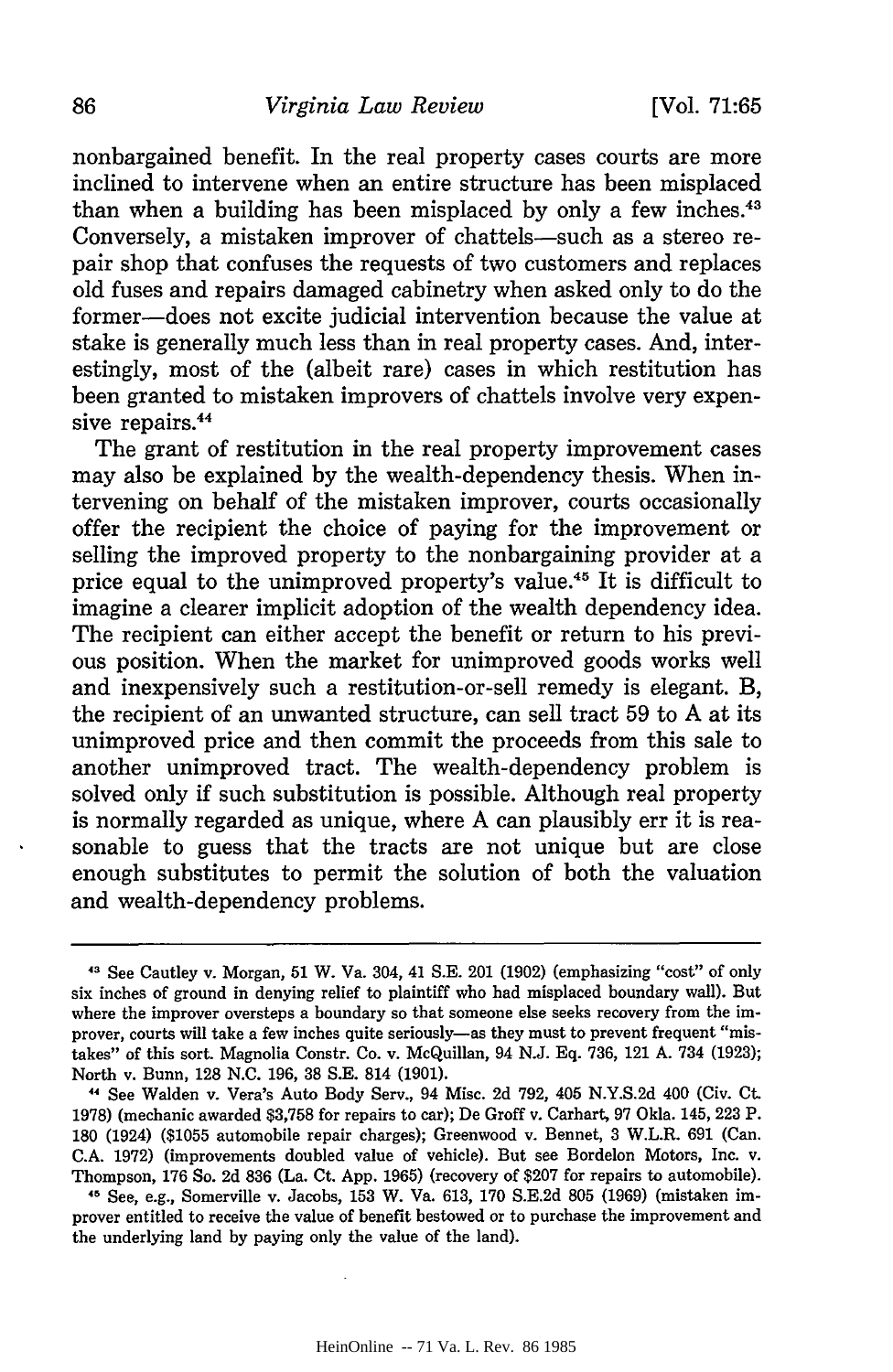nonbargained benefit. In the real property cases courts are more inclined to intervene when an entire structure has been misplaced than when a building has been misplaced by only a few inches.<sup>43</sup> Conversely, a mistaken improver of chattels—such as a stereo repair shop that confuses the requests of two customers and replaces old fuses and repairs damaged cabinetry when asked only to do the former-does not excite judicial intervention because the value at stake is generally much less than in real property cases. And, interestingly, most of the (albeit rare) cases in which restitution has been granted to mistaken improvers of chattels involve very expensive repairs.<sup>44</sup>

The grant of restitution in the real property improvement cases may also be explained by the wealth-dependency thesis. When intervening on behalf of the mistaken improver, courts occasionally offer the recipient the choice of paying for the improvement or selling the improved property to the nonbargaining provider at a price equal to the unimproved property's value.45 It is difficult to imagine a clearer implicit adoption of the wealth dependency idea. The recipient can either accept the benefit or return to his previous position. When the market for unimproved goods works well and inexpensively such a restitution-or-sell remedy is elegant. B, the recipient of an unwanted structure, can sell tract 59 to A at its unimproved price and then commit the proceeds from this sale to another unimproved tract. The wealth-dependency problem is solved only if such substitution is possible. Although real property is normally regarded as unique, where A can plausibly err it is reasonable to guess that the tracts are not unique but are close enough substitutes to permit the solution of both the valuation and wealth-dependency problems.

**<sup>13</sup>**See Cautley v. Morgan, 51 W. Va. 304, 41 **S.E.** 201 (1902) (emphasizing "cost" of only six inches of ground in denying relief to plaintiff who had misplaced boundary wall). But where the improver oversteps a boundary so that someone else seeks recovery from the improver, courts will take a few inches quite seriously-as they must to prevent frequent "mistakes" of this sort. Magnolia Constr. Co. v. McQuillan, 94 N.J. Eq. 736, 121 A. 734 (1923); North v. Bunn, 128 N.C. 196, 38 S.E. 814 (1901).

<sup>14</sup>See Walden v. Vera's Auto Body Serv., 94 Misc. 2d 792, 405 N.Y.S.2d 400 (Civ. Ct. 1978) (mechanic awarded \$3,758 for repairs to car); De Groff v. Carhart, 97 Okla. 145, 223 P. **180** (1924) (\$1055 automobile repair charges); Greenwood v. Bennet, 3 W.L.R. 691 (Can. C.A. 1972) (improvements doubled value of vehicle). But see Bordelon Motors, Inc. v. Thompson, 176 So. 2d 836 (La. Ct. App. 1965) (recovery of \$207 for repairs to automobile).

**<sup>-</sup>'** See, e.g., Somerville v. Jacobs, 153 W. Va. 613, 170 S.E.2d 805 (1969) (mistaken improver entitled to receive the value of benefit bestowed or to purchase the improvement and the underlying land by paying only the value of the land).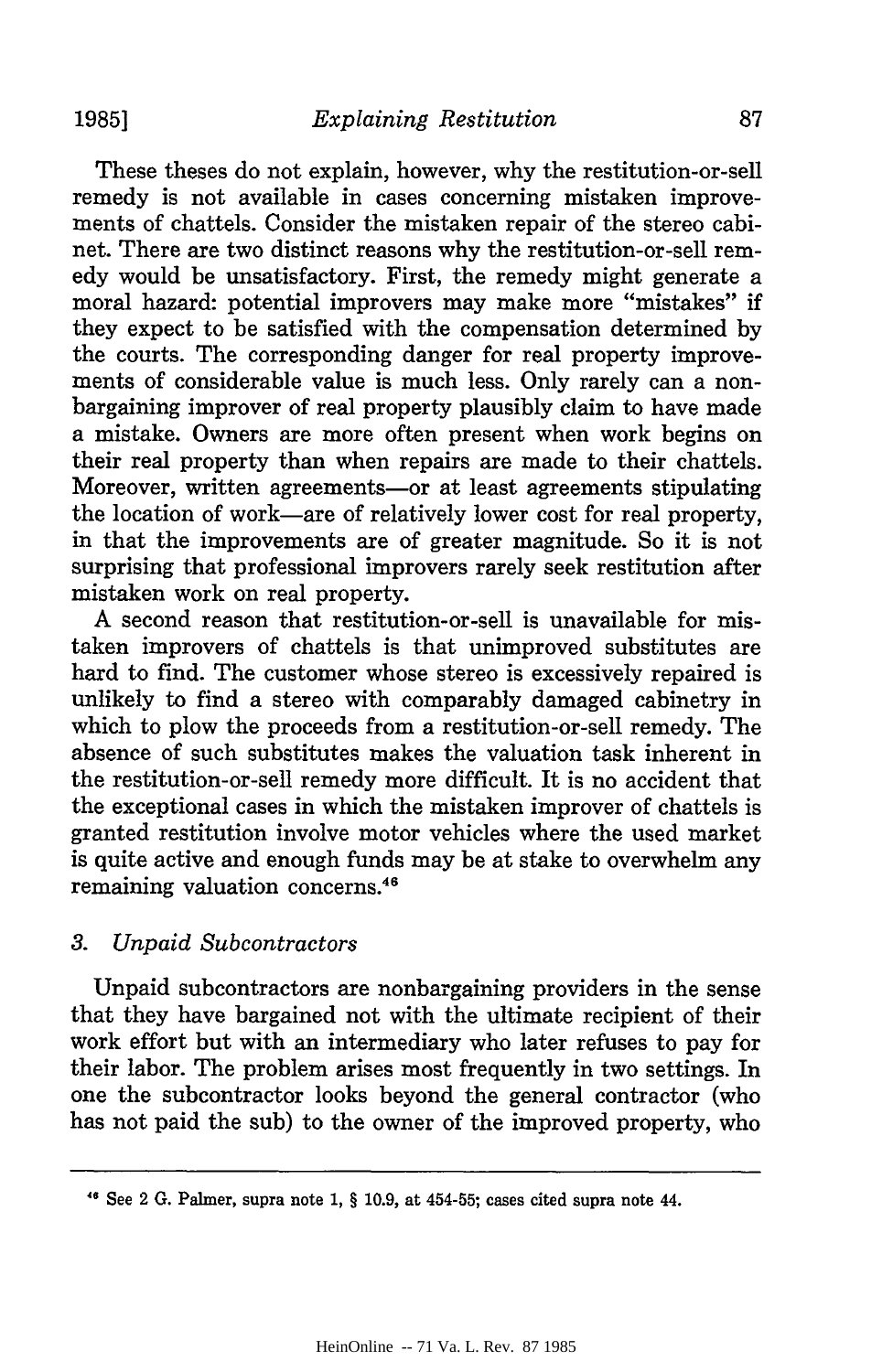**1985]**

These theses do not explain, however, why the restitution-or-sell remedy is not available in cases concerning mistaken improvements of chattels. Consider the mistaken repair of the stereo cabinet. There are two distinct reasons why the restitution-or-sell remedy would be unsatisfactory. First, the remedy might generate a moral hazard: potential improvers may make more "mistakes" if they expect to be satisfied with the compensation determined by the courts. The corresponding danger for real property improvements of considerable value is much less. Only rarely can a nonbargaining improver of real property plausibly claim to have made a mistake. Owners are more often present when work begins on their real property than when repairs are made to their chattels. Moreover, written agreements-or at least agreements stipulating the location of work-are of relatively lower cost for real property, in that the improvements are of greater magnitude. So it is not surprising that professional improvers rarely seek restitution after mistaken work on real property.

A second reason that restitution-or-sell is unavailable for mistaken improvers of chattels is that unimproved substitutes are hard to find. The customer whose stereo is excessively repaired is unlikely to find a stereo with comparably damaged cabinetry in which to plow the proceeds from a restitution-or-sell remedy. The absence of such substitutes makes the valuation task inherent in the restitution-or-sell remedy more difficult. It is no accident that the exceptional cases in which the mistaken improver of chattels is granted restitution involve motor vehicles where the used market is quite active and enough funds may be at stake to overwhelm any remaining valuation concerns.<sup>46</sup>

# *3. Unpaid Subcontractors*

Unpaid subcontractors are nonbargaining providers in the sense that they have bargained not with the ultimate recipient of their work effort but with an intermediary who later refuses to pay for their labor. The problem arises most frequently in two settings. In one the subcontractor looks beyond the general contractor (who has not paid the sub) to the owner of the improved property, who

**<sup>&</sup>quot;** See 2 **G.** Palmer, supra note **1,** § **10.9,** at 454-55; cases cited supra note 44.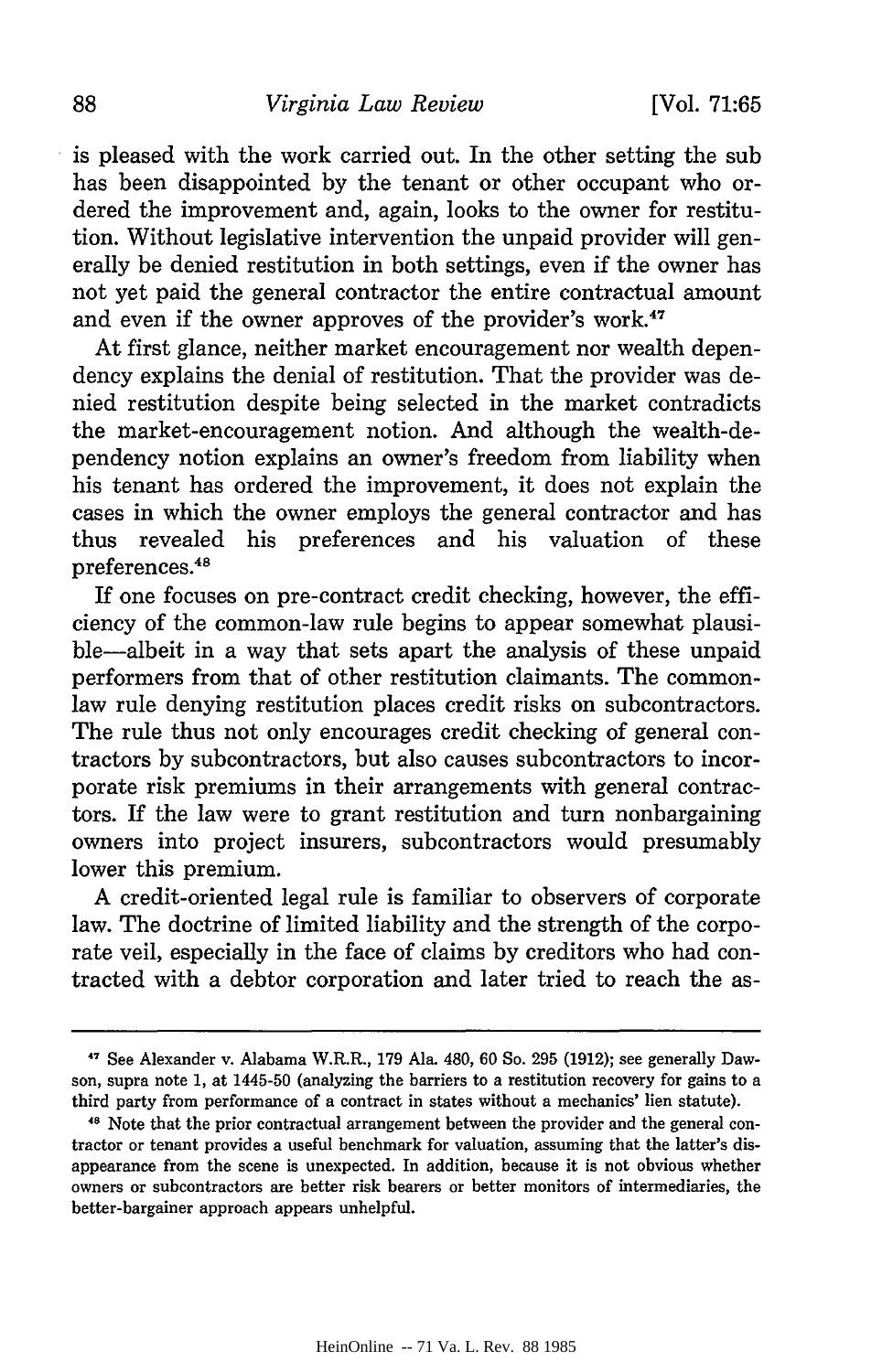is pleased with the work carried out. In the other setting the sub has been disappointed by the tenant or other occupant who ordered the improvement and, again, looks to the owner for restitution. Without legislative intervention the unpaid provider will generally be denied restitution in both settings, even if the owner has not yet paid the general contractor the entire contractual amount and even if the owner approves of the provider's work.<sup>47</sup>

At first glance, neither market encouragement nor wealth dependency explains the denial of restitution. That the provider was denied restitution despite being selected in the market contradicts the market-encouragement notion. And although the wealth-dependency notion explains an owner's freedom from liability when his tenant has ordered the improvement, it does not explain the cases in which the owner employs the general contractor and has thus revealed his preferences and his valuation of these preferences.<sup>48</sup>

If one focuses on pre-contract credit checking, however, the efficiency of the common-law rule begins to appear somewhat plausible-albeit in a way that sets apart the analysis of these unpaid performers from that of other restitution claimants. The commonlaw rule denying restitution places credit risks on subcontractors. The rule thus not only encourages credit checking of general contractors by subcontractors, but also causes subcontractors to incorporate risk premiums in their arrangements with general contractors. If the law were to grant restitution and turn nonbargaining owners into project insurers, subcontractors would presumably lower this premium.

A credit-oriented legal rule is familiar to observers of corporate law. The doctrine of limited liability and the strength of the corporate veil, especially in the face of claims by creditors who had contracted with a debtor corporation and later tried to reach the as-

**<sup>17</sup>** See Alexander v. Alabama W.R.R., 179 Ala. 480, 60 So. **295** (1912); see generally Dawson, supra note 1, at 1445-50 (analyzing the barriers to a restitution recovery for gains to a third party from performance of a contract in states without a mechanics' lien statute).

<sup>&</sup>lt;sup>48</sup> Note that the prior contractual arrangement between the provider and the general contractor or tenant provides a useful benchmark for valuation, assuming that the latter's disappearance from the scene is unexpected. In addition, because it is not obvious whether owners or subcontractors are better risk bearers or better monitors of intermediaries, the better-bargainer approach appears unhelpful.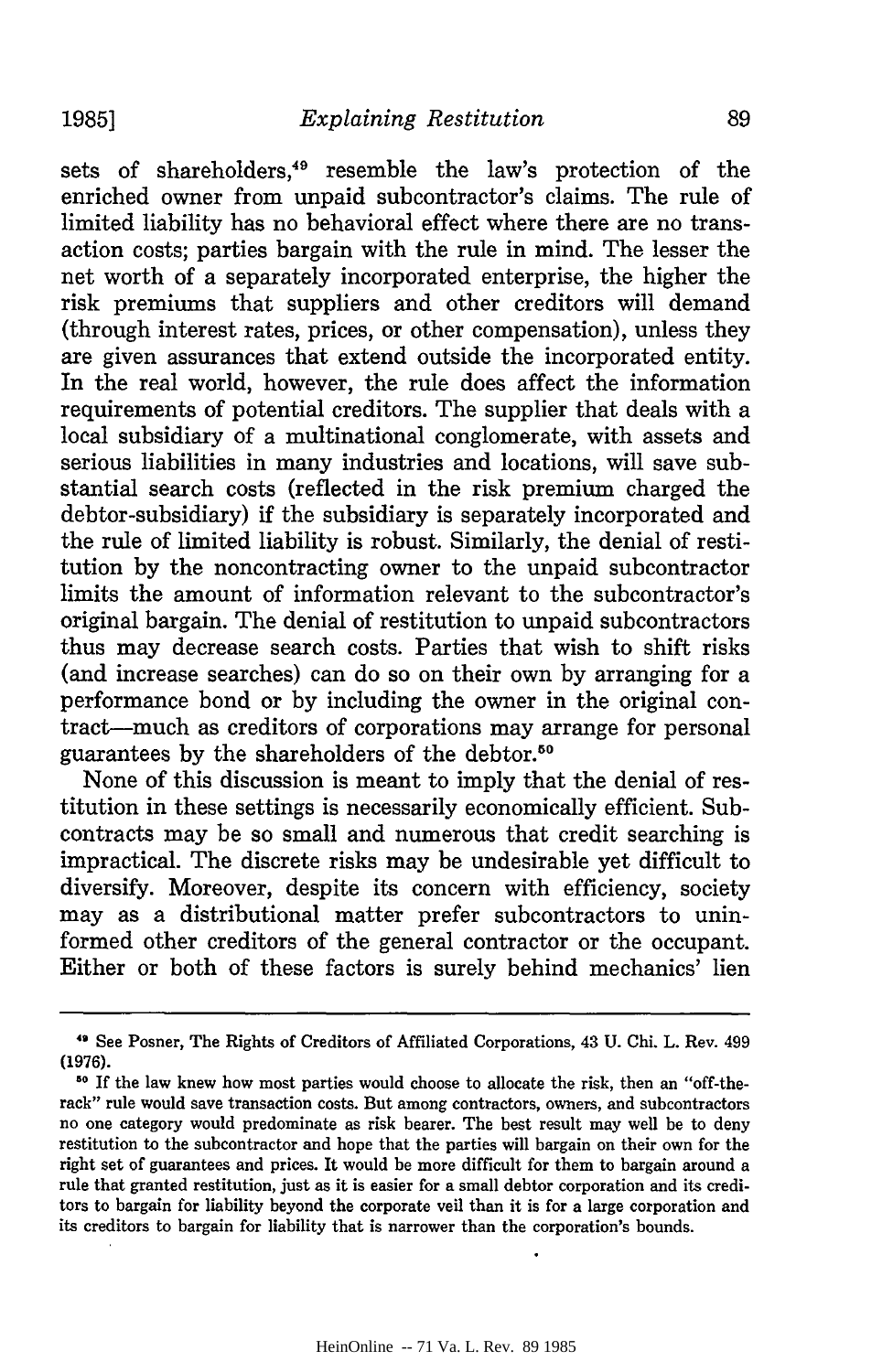sets of shareholders,<sup>49</sup> resemble the law's protection of the enriched owner from unpaid subcontractor's claims. The rule of limited liability has no behavioral effect where there are no transaction costs; parties bargain with the rule in mind. The lesser the net worth of a separately incorporated enterprise, the higher the risk premiums that suppliers and other creditors will demand (through interest rates, prices, or other compensation), unless they are given assurances that extend outside the incorporated entity. In the real world, however, the rule does affect the information requirements of potential creditors. The supplier that deals with a local subsidiary of a multinational conglomerate, with assets and serious liabilities in many industries and locations, will save substantial search costs (reflected in the risk premium charged the debtor-subsidiary) if the subsidiary is separately incorporated and the rule of limited liability is robust. Similarly, the denial of restitution by the noncontracting owner to the unpaid subcontractor limits the amount of information relevant to the subcontractor's original bargain. The denial of restitution to unpaid subcontractors thus may decrease search costs. Parties that wish to shift risks (and increase searches) can do so on their own by arranging for a performance bond or by including the owner in the original contract-much as creditors of corporations may arrange for personal guarantees by the shareholders of the debtor.<sup>50</sup>

None of this discussion is meant to imply that the denial of restitution in these settings is necessarily economically efficient. Subcontracts may be so small and numerous that credit searching is impractical. The discrete risks may be undesirable yet difficult to diversify. Moreover, despite its concern with efficiency, society may as a distributional matter prefer subcontractors to uninformed other creditors of the general contractor or the occupant. Either or both of these factors is surely behind mechanics' lien

**<sup>&#</sup>x27;9** See Posner, The Rights of Creditors of Affiliated Corporations, 43 **U.** Chi. L. Rev. 499 (1976).

**<sup>50</sup>** If the law knew how most parties would choose to allocate the risk, then an "off-therack" rule would save transaction costs. But among contractors, owners, and subcontractors no one category would predominate as risk bearer. The best result may well be to deny restitution to the subcontractor and hope that the parties will bargain on their own for the right set of guarantees and prices. It would be more difficult for them to bargain around a rule that granted restitution, just as it is easier for a small debtor corporation and its creditors to bargain for liability beyond the corporate veil than it is for a large corporation and its creditors to bargain for liability that is narrower than the corporation's bounds.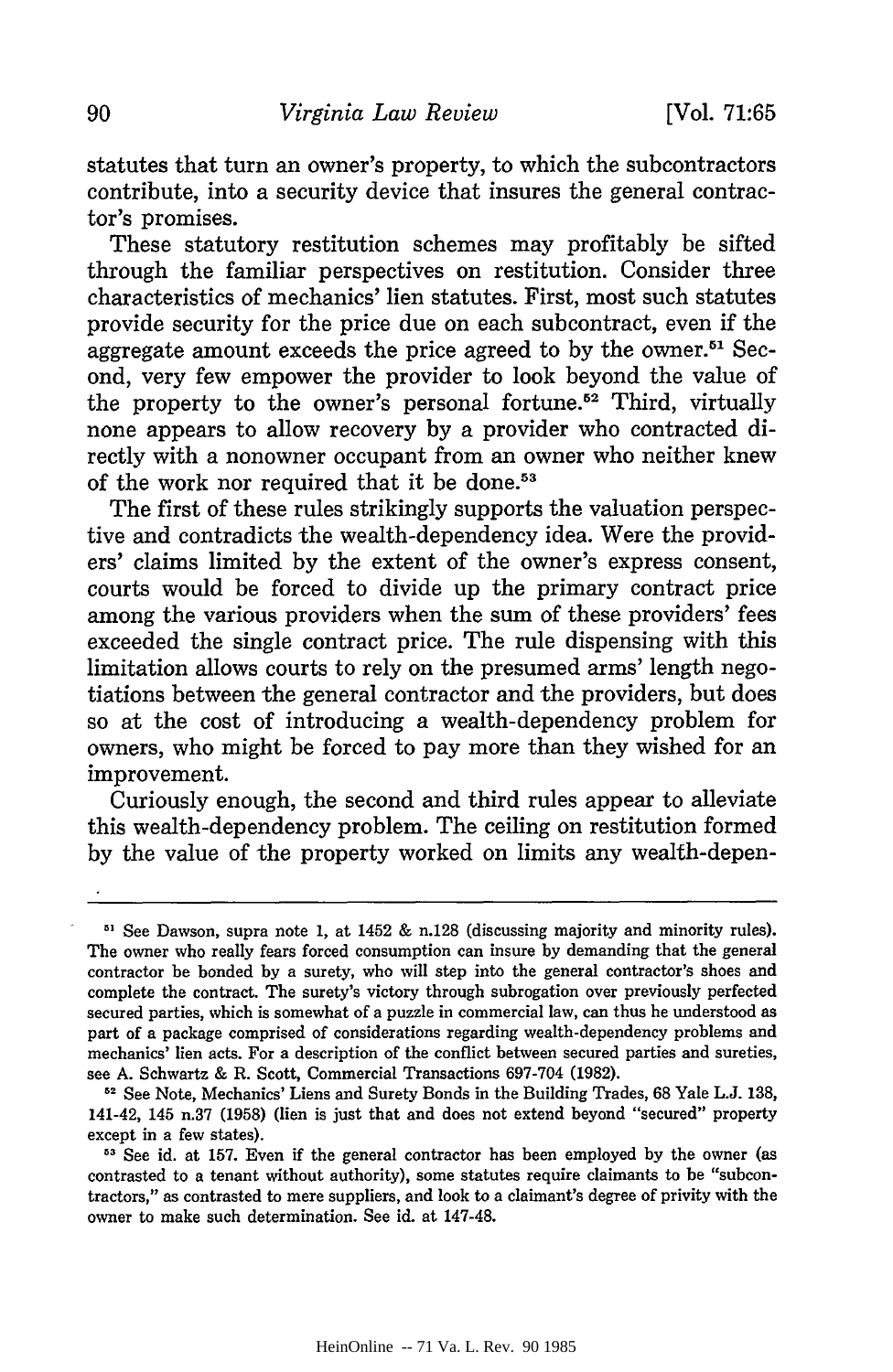statutes that turn an owner's property, to which the subcontractors contribute, into a security device that insures the general contractor's promises.

These statutory restitution schemes may profitably be sifted through the familiar perspectives on restitution. Consider three characteristics of mechanics' lien statutes. First, most such statutes provide security for the price due on each subcontract, even if the aggregate amount exceeds the price agreed to by the owner.<sup>51</sup> Second, very few empower the provider to look beyond the value of the property to the owner's personal fortune.52 Third, virtually none appears to allow recovery by a provider who contracted directly with a nonowner occupant from an owner who neither knew of the work nor required that it be done.<sup>53</sup>

The first of these rules strikingly supports the valuation perspective and contradicts the wealth-dependency idea. Were the providers' claims limited by the extent of the owner's express consent, courts would be forced to divide up the primary contract price among the various providers when the sum of these providers' fees exceeded the single contract price. The rule dispensing with this limitation allows courts to rely on the presumed arms' length negotiations between the general contractor and the providers, but does so at the cost of introducing a wealth-dependency problem for owners, who might be forced to pay more than they wished for an improvement.

Curiously enough, the second and third rules appear to alleviate this wealth-dependency problem. The ceiling on restitution formed by the value of the property worked on limits any wealth-depen-

**<sup>51</sup>**See Dawson, supra note 1, at 1452 & n.128 (discussing majority and minority rules). The owner who really fears forced consumption can insure by demanding that the general contractor be bonded by a surety, who will step into the general contractor's shoes and complete the contract. The surety's victory through subrogation over previously perfected secured parties, which is somewhat of a puzzle in commercial law, can thus be understood as part of a package comprised of considerations regarding wealth-dependency problems and mechanics' lien acts. For a description of the conflict between secured parties and sureties, see **A.** Schwartz **&** R. Scott, Commercial Transactions **697-704 (1982).**

<sup>12</sup> See Note, Mechanics' Liens and Surety Bonds in the Building Trades, **68** Yale **L.J. 138,** 141-42, 145 n.37 **(1958)** (lien is just that and does not extend beyond "secured" property except in a few states).

**<sup>53</sup>**See id. at **157.** Even if the general contractor has been employed **by** the owner (as contrasted to a tenant without authority), some statutes require claimants to be "subcontractors," as contrasted to mere suppliers, and look to a claimant's degree of privity with the owner to make such determination. See id. at 147-48.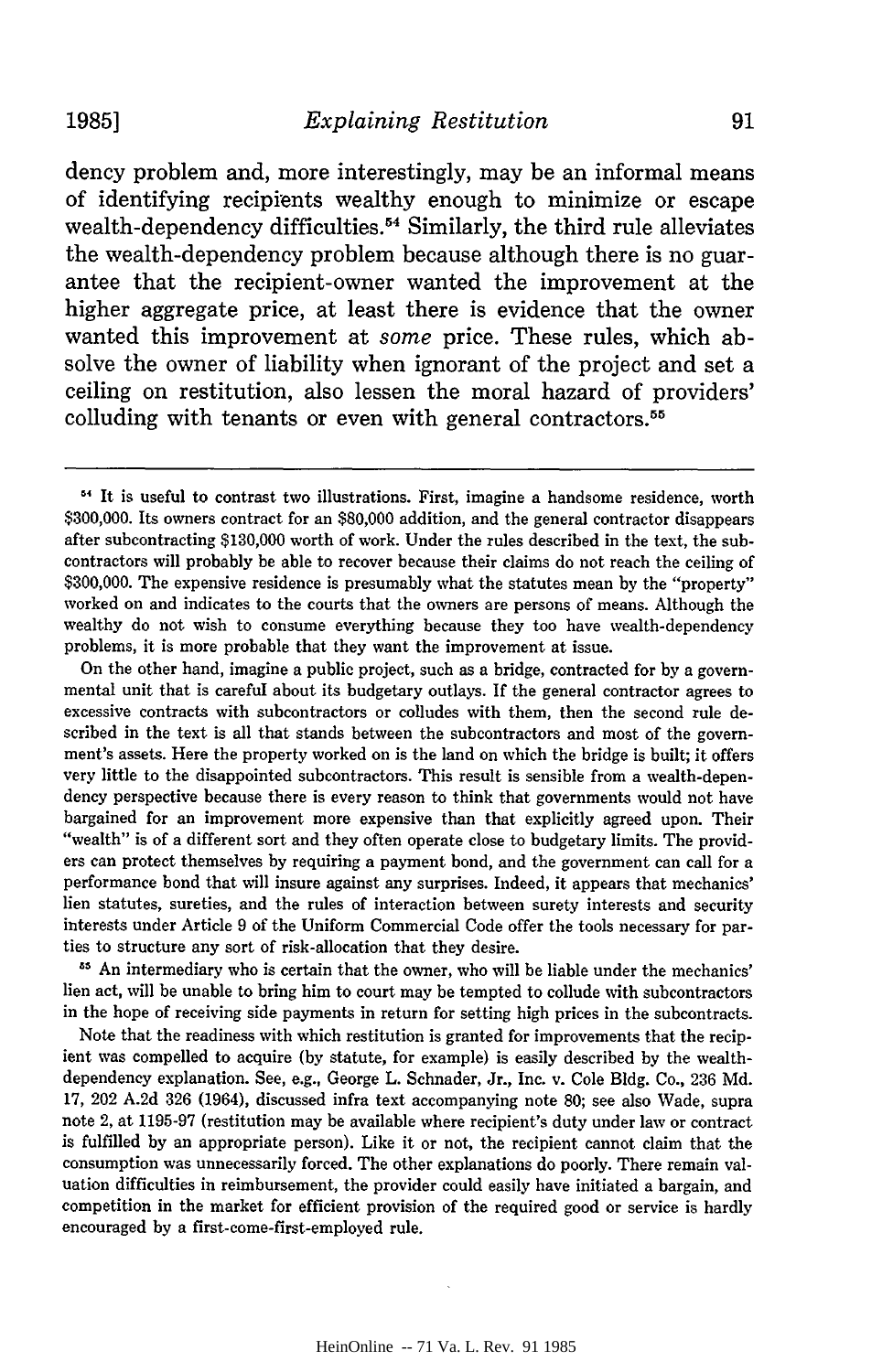dency problem and, more interestingly, may be an informal means of identifying recipients wealthy enough to minimize or escape wealth-dependency difficulties.<sup>54</sup> Similarly, the third rule alleviates the wealth-dependency problem because although there is no guarantee that the recipient-owner wanted the improvement at the higher aggregate price, at least there is evidence that the owner wanted this improvement at *some* price. These rules, which absolve the owner of liability when ignorant of the project and set a ceiling on restitution, also lessen the moral hazard of providers' colluding with tenants or even with general contractors.<sup>55</sup>

On the other hand, imagine a public project, such as a bridge, contracted for by a governmental unit that is careful about its budgetary outlays. If the general contractor agrees to excessive contracts with subcontractors or colludes with them, then the second rule described in the text is all that stands between the subcontractors and most of the government's assets. Here the property worked on is the land on which the bridge is built; it offers very little to the disappointed subcontractors. This result is sensible from a wealth-dependency perspective because there is every reason to think that governments would not have bargained for an improvement more expensive than that explicitly agreed upon. Their "wealth" is of a different sort and they often operate close to budgetary limits. The providers can protect themselves by requiring a payment bond, and the government can call for a performance bond that will insure against any surprises. Indeed, it appears that mechanics' lien statutes, sureties, and the rules of interaction between surety interests and security interests under Article 9 of the Uniform Commercial Code offer the tools necessary for parties to structure any sort of risk-allocation that they desire.

<sup>55</sup> An intermediary who is certain that the owner, who will be liable under the mechanics' lien act, will be unable to bring him to court may be tempted to collude with subcontractors in the hope of receiving side payments in return for setting high prices in the subcontracts.

Note that the readiness with which restitution is granted for improvements that the recipient was compelled to acquire (by statute, for example) is easily described by the wealthdependency explanation. See, e.g., George L. Schnader, Jr., Inc. v. Cole Bldg. Co., 236 Md. 17, 202 A.2d 326 (1964), discussed infra text accompanying note 80; see also Wade, supra note 2, at 1195-97 (restitution may be available where recipient's duty under law or contract is fulfilled **by** an appropriate person). Like it or not, the recipient cannot claim that the consumption was unnecessarily forced. The other explanations do poorly. There remain valuation difficulties in reimbursement, the provider could easily have initiated a bargain, and competition in the market for efficient provision of the required good or service is hardly encouraged by a first-come-first-employed rule.

**<sup>11</sup>** It is useful to contrast two illustrations. First, imagine a handsome residence, worth \$300,000. Its owners contract for an \$80,000 addition, and the general contractor disappears after subcontracting \$130,000 worth of work. Under the rules described in the text, the subcontractors will probably be able to recover because their claims do not reach the ceiling of \$300,000. The expensive residence is presumably what the statutes mean by the "property" worked on and indicates to the courts that the owners are persons of means. Although the wealthy do not wish to consume everything because they too have wealth-dependency problems, it is more probable that they want the improvement at issue.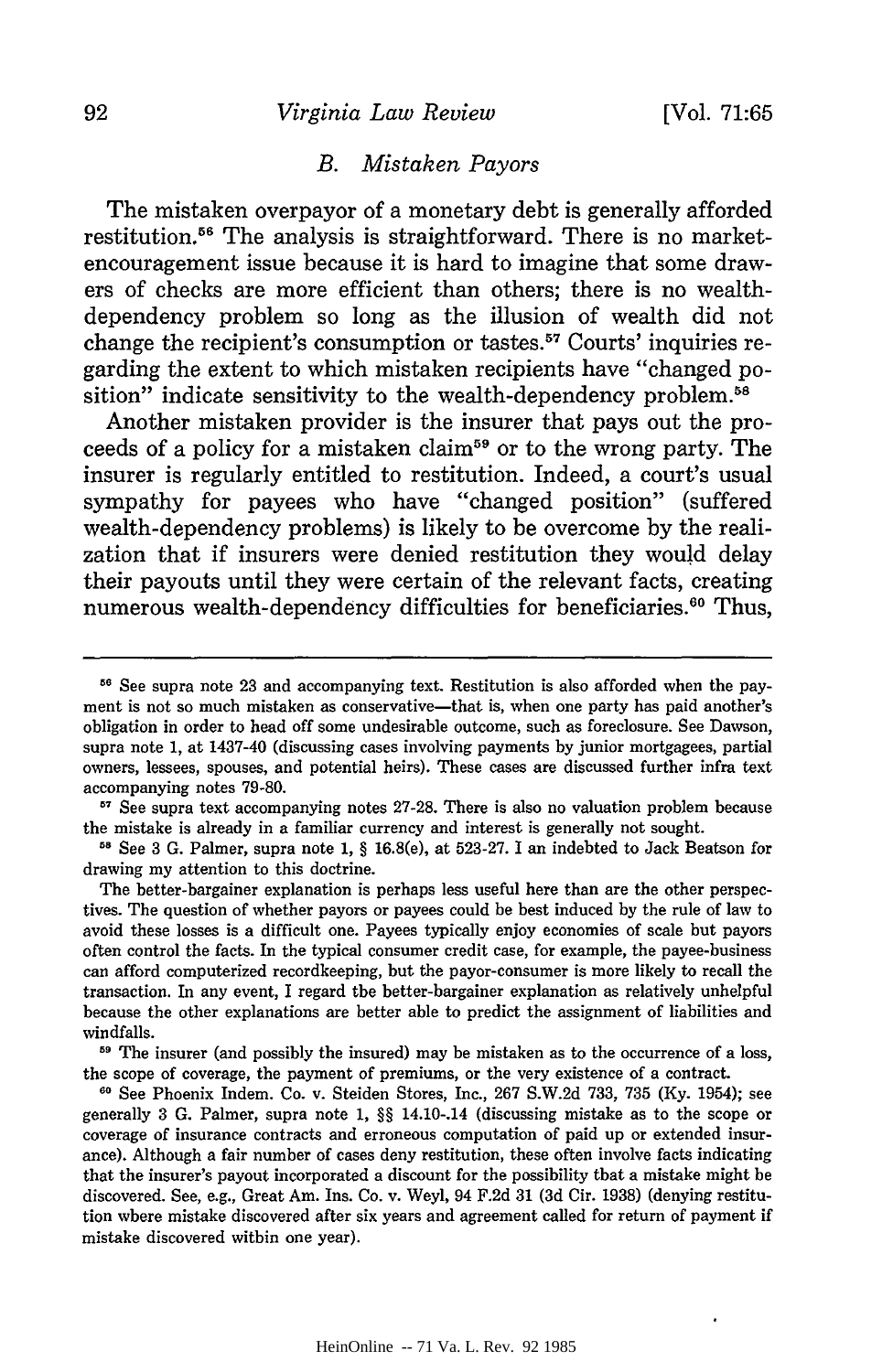#### *Virginia Law Review* [Vol. 71:65

# *B. Mistaken Payors*

The mistaken overpayor of a monetary debt is generally afforded restitution.<sup>56</sup> The analysis is straightforward. There is no marketencouragement issue because it is hard to imagine that some drawers of checks are more efficient than others; there is no wealthdependency problem so long as the illusion of wealth did not change the recipient's consumption or tastes.<sup>57</sup> Courts' inquiries regarding the extent to which mistaken recipients have "changed position" indicate sensitivity to the wealth-dependency problem.<sup>58</sup>

Another mistaken provider is the insurer that pays out the proceeds of a policy for a mistaken claim 59 or to the wrong party. The insurer is regularly entitled to restitution. Indeed, a court's usual sympathy for payees who have "changed position" (suffered wealth-dependency problems) is likely to be overcome by the realization that if insurers were denied restitution they would delay their payouts until they were certain of the relevant facts, creating numerous wealth-dependency difficulties for beneficiaries.<sup>60</sup> Thus,

**<sup>57</sup>**See supra text accompanying notes 27-28. There is also no valuation problem because the mistake is already in a familiar currency and interest is generally not sought.

**'s** See 3 G. Palmer, supra note 1, § 16.8(e), at 523-27. I an indebted to Jack Beatson for drawing my attention to this doctrine.

The better-bargainer explanation is perhaps less useful here than are the other perspectives. The question of whether payors or payees could be best induced by the rule of law to avoid these losses is a difficult one. Payees typically enjoy economies of scale but payors often control the facts. In the typical consumer credit case, for example, the payee-business can afford computerized recordkeeping, but the payor-consumer is more likely to recall the transaction. In any event, I regard the better-bargainer explanation as relatively unhelpful because the other explanations are better able to predict the assignment of liabilities and windfalls.

<sup>59</sup> The insurer (and possibly the insured) may be mistaken as to the occurrence of a loss, the scope of coverage, the payment of premiums, or the very existence of a contract.

**"** See Phoenix Indem. Co. v. Steiden Stores, Inc., 267 S.W.2d 733, 735 (Ky. 1954); see generally 3 **G.** Palmer, supra note 1, §§ 14.10-.14 (discussing mistake as to the scope or coverage of insurance contracts and erroneous computation of paid up or extended insurance). Although a fair number of cases deny restitution, these often involve facts indicating that the insurer's payout incorporated a discount for the possibility that a mistake might be discovered. See, e.g., Great Am. Ins. Co. v. Weyl, 94 F.2d 31 (3d Cir. 1938) (denying restitution where mistake discovered after six years and agreement called for return of payment if mistake discovered within one year).

**<sup>56</sup>** See supra note 23 and accompanying text. Restitution is also afforded when the payment is not so much mistaken as conservative-that is, when one party has paid another's obligation in order to head off some undesirable outcome, such as foreclosure. See Dawson, supra note 1, at 1437-40 (discussing cases involving payments by junior mortgagees, partial owners, lessees, spouses, and potential heirs). These cases are discussed further infra text accompanying notes 79-80.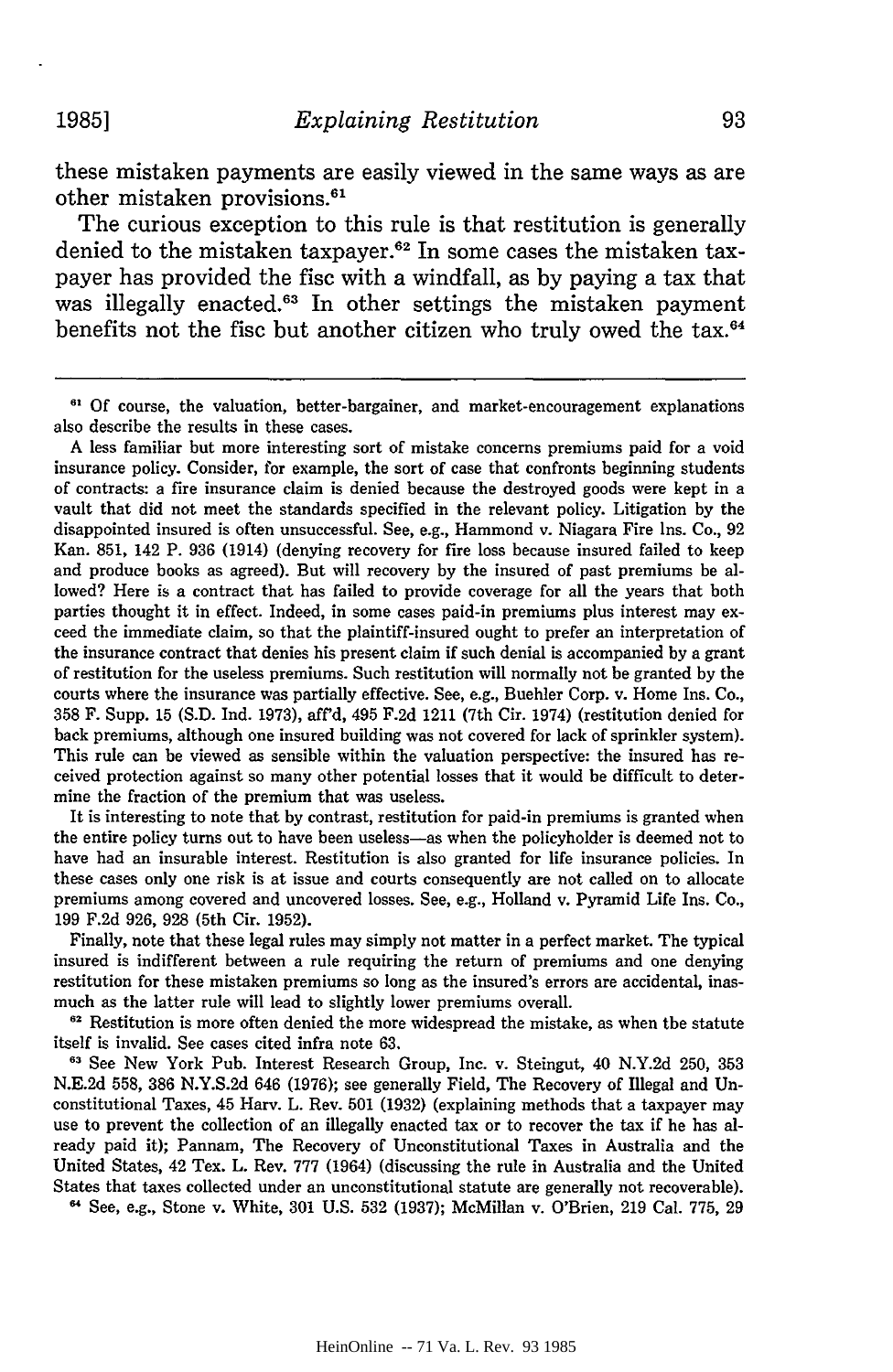these mistaken payments are easily viewed in the same ways as are

other mistaken provisions.<sup>61</sup> The curious exception to this rule is that restitution is generally denied to the mistaken taxpayer.<sup>62</sup> In some cases the mistaken taxpayer has provided the fisc with a windfall, as by paying a tax that was illegally enacted.<sup>63</sup> In other settings the mistaken payment benefits not the fisc but another citizen who truly owed the tax.<sup>64</sup>

A less familiar but more interesting sort of mistake concerns premiums paid for a void insurance policy. Consider, for example, the sort of case that confronts beginning students of contracts: a fire insurance claim is denied because the destroyed goods were kept in a vault that did not meet the standards specified in the relevant policy. Litigation by the disappointed insured is often unsuccessful. See, e.g., Hammond v. Niagara Fire Ins. Co., 92 Kan. 851, 142 P. 936 (1914) (denying recovery for fire loss because insured failed to keep and produce books as agreed). But will recovery by the insured of past premiums be allowed? Here is a contract that has failed to provide coverage for all the years that both parties thought it in effect. Indeed, in some cases paid-in premiums plus interest may exceed the immediate claim, so that the plaintiff-insured ought to prefer an interpretation of the insurance contract that denies his present claim if such denial is accompanied by a grant of restitution for the useless premiums. Such restitution will normally not be granted by the courts where the insurance was partially effective. See, e.g., Buehler Corp. v. Home Ins. Co., **358** F. Supp. 15 (S.D. Ind. 1973), aff'd, 495 F.2d 1211 (7th Cir. 1974) (restitution denied for back premiums, although one insured building was not covered for lack of sprinkler system). This rule can be viewed as sensible within the valuation perspective: the insured has received protection against so many other potential losses that it would be difficult to determine the fraction of the premium that was useless.

It is interesting to note that by contrast, restitution for paid-in premiums is granted when the entire policy turns out to have been useless-as when the policyholder is deemed not to have had an insurable interest. Restitution is also granted for life insurance policies. In these cases only one risk is at issue and courts consequently are not called on to allocate premiums among covered and uncovered losses. See, e.g., Holland v. Pyramid Life Ins. Co., 199 F.2d 926, 928 (5th Cir. 1952).

Finally, note that these legal rules may simply not matter in a perfect market. The typical insured is indifferent between a rule requiring the return of premiums and one denying restitution for these mistaken premiums so long as the insured's errors are accidental, inasmuch as the latter rule will lead to slightly lower premiums overall.

<sup>62</sup> Restitution is more often denied the more widespread the mistake, as when the statute itself is invalid. See cases cited infra note **63.**

**<sup>13</sup>**See New York Pub. Interest Research Group, Inc. v. Steingut, 40 N.Y.2d 250, 353 N.E.2d 558, 386 N.Y.S.2d 646 (1976); see generally Field, The Recovery of Illegal and Unconstitutional Taxes, 45 Harv. L. Rev. 501 (1932) (explaining methods that a taxpayer may use to prevent the collection of an illegally enacted tax or to recover the tax if he has already paid it); Pannam, The Recovery of Unconstitutional Taxes in Australia and the United States, 42 Tex. L. Rev. 777 (1964) (discussing the rule in Australia and the United States that taxes collected under an unconstitutional statute are generally not recoverable).

**"** See, e.g., Stone v. White, 301 U.S. 532 (1937); McMillan v. O'Brien, 219 Cal. 775, 29

<sup>&</sup>lt;sup>61</sup> Of course, the valuation, better-bargainer, and market-encouragement explanations also describe the results in these cases.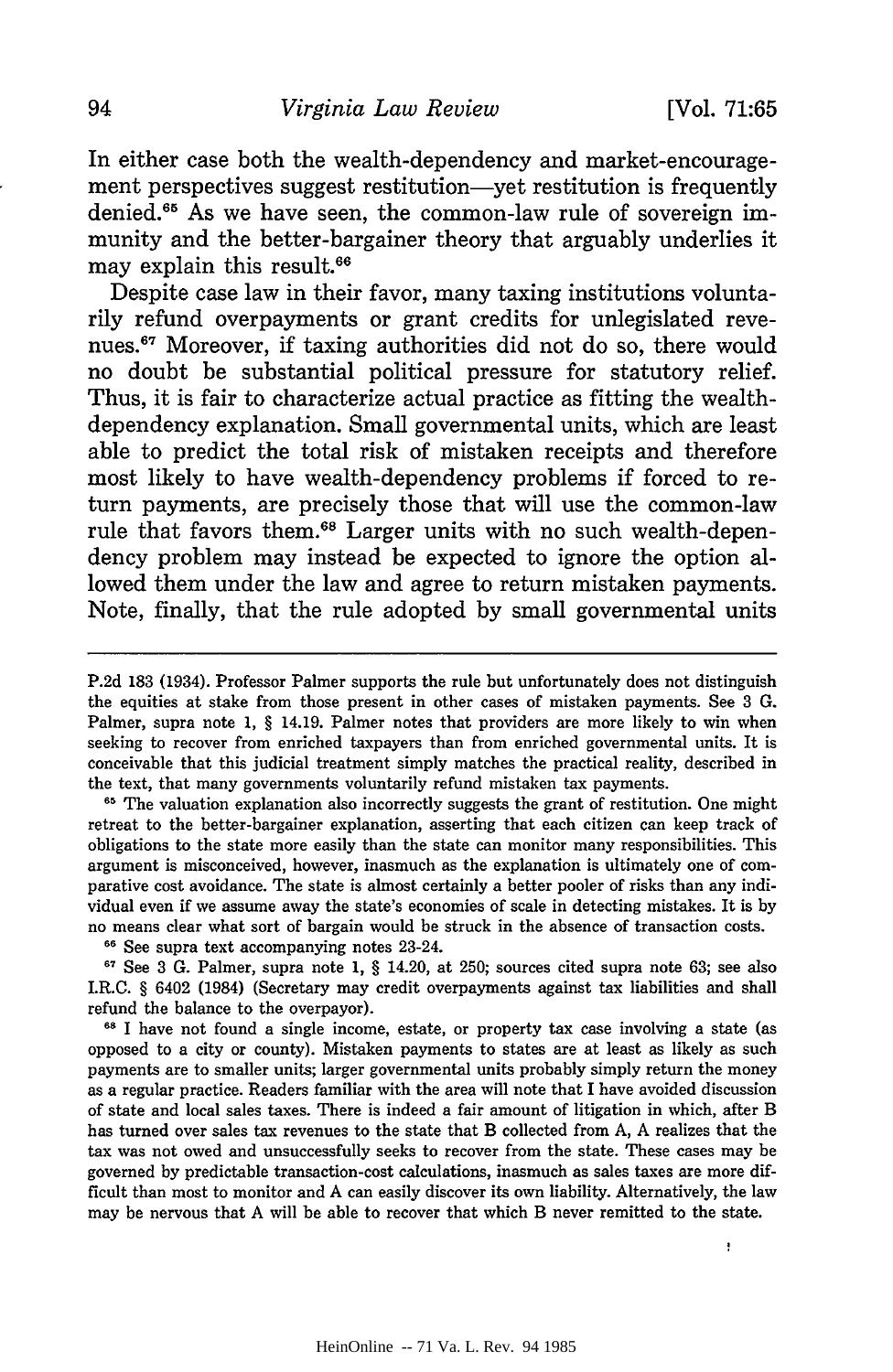÷

In either case both the wealth-dependency and market-encouragement perspectives suggest restitution-yet restitution is frequently denied.65 As we have seen, the common-law rule of sovereign immunity and the better-bargainer theory that arguably underlies it may explain this result.<sup>66</sup>

Despite case law in their favor, many taxing institutions voluntarily refund overpayments or grant credits for unlegislated revenues.<sup>67</sup> Moreover, if taxing authorities did not do so, there would no doubt be substantial political pressure for statutory relief. Thus, it is fair to characterize actual practice as fitting the wealthdependency explanation. Small governmental units, which are least able to predict the total risk of mistaken receipts and therefore most likely to have wealth-dependency problems if forced to return payments, are precisely those that will use the common-law rule that favors them.<sup>68</sup> Larger units with no such wealth-dependency problem may instead be expected to ignore the option allowed them under the law and agree to return mistaken payments. Note, finally, that the rule adopted by small governmental units

**<sup>65</sup>**The valuation explanation also incorrectly suggests the grant of restitution. One might retreat to the better-bargainer explanation, asserting that each citizen can keep track of obligations to the state more easily than the state can monitor many responsibilities. This argument is misconceived, however, inasmuch as the explanation is ultimately one of comparative cost avoidance. The state is almost certainly a better pooler of risks than any individual even if we assume away the state's economies of scale in detecting mistakes. It is by no means clear what sort of bargain would be struck in the absence of transaction costs.

**60** See supra text accompanying notes 23-24.

**<sup>67</sup>**See 3 G. Palmer, supra note 1, § 14.20, at 250; sources cited supra note 63; see also I.R.C. § 6402 (1984) (Secretary may credit overpayments against tax liabilities and shall refund the balance to the overpayor).

**'s I** have not found a single income, estate, or property tax case involving a state (as opposed to a city or county). Mistaken payments to states are at least as likely as such payments are to smaller units; larger governmental units probably simply return the money as a regular practice. Readers familiar with the area will note that I have avoided discussion of state and local sales taxes. There is indeed a fair amount of litigation in which, after B has turned over sales tax revenues to the state that B collected from **A, A** realizes that the tax was not owed and unsuccessfully seeks to recover from the state. These cases may be governed **by** predictable transaction-cost calculations, inasmuch as sales taxes are more difficult than most to monitor and **A** can easily discover its own liability. Alternatively, the law may be nervous that **A** will be able to recover that which B never remitted to the state.

**P.2d 183** (1934). Professor Palmer supports the rule but unfortunately does not distinguish the equities at stake from those present in other cases of mistaken payments. See 3 **G.** Palmer, supra note 1, § 14.19. Palmer notes that providers are more likely to win when seeking to recover from enriched taxpayers than from enriched governmental units. It is conceivable that this judicial treatment simply matches the practical reality, described in the text, that many governments voluntarily refund mistaken tax payments.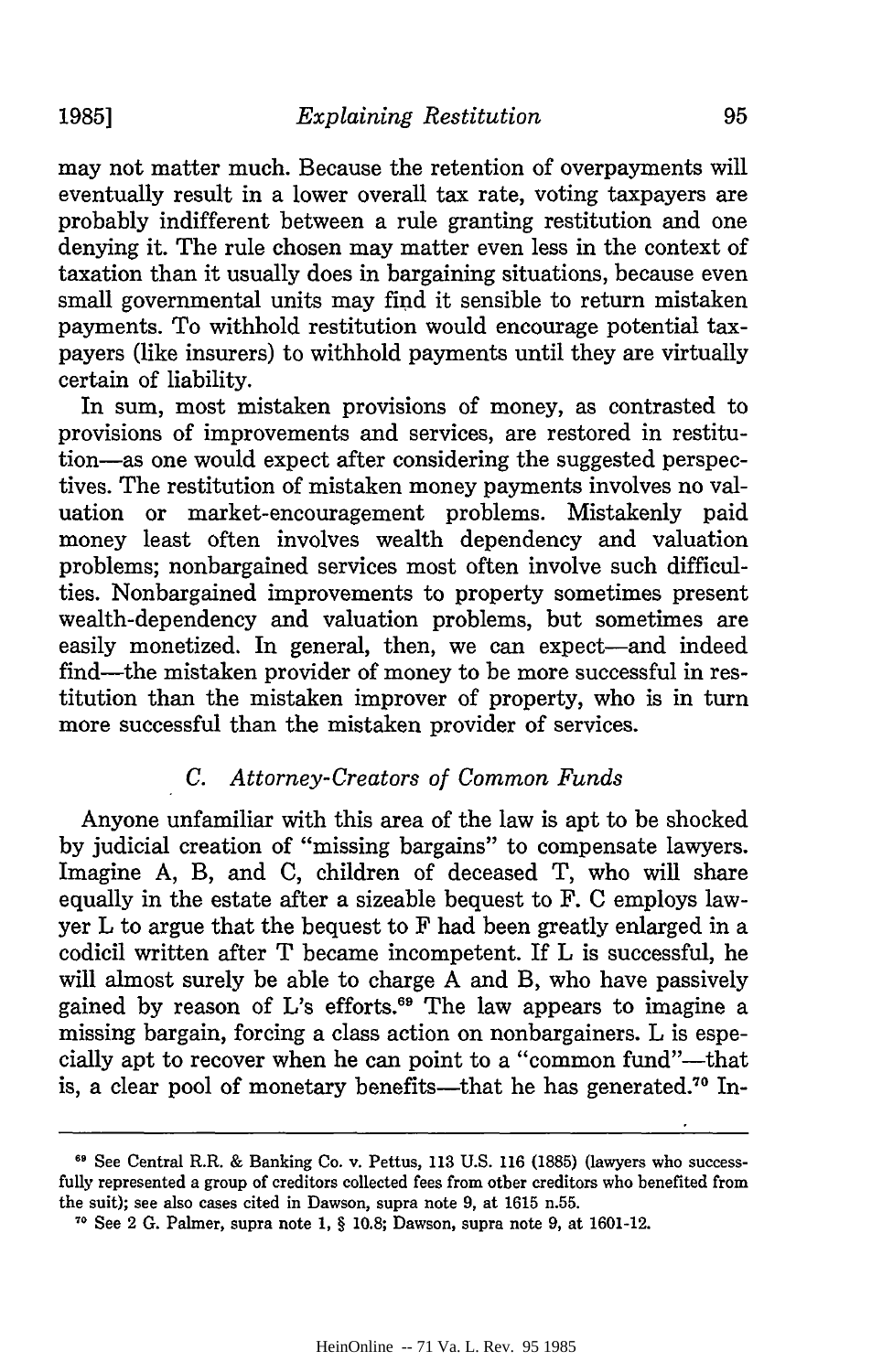may not matter much. Because the retention of overpayments will eventually result in a lower overall tax rate, voting taxpayers are probably indifferent between a rule granting restitution and one denying it. The rule chosen may matter even less in the context of taxation than it usually does in bargaining situations, because even small governmental units may find it sensible to return mistaken payments. To withhold restitution would encourage potential taxpayers (like insurers) to withhold payments until they are virtually certain of liability.

In sum, most mistaken provisions of money, as contrasted to provisions of improvements and services, are restored in restitution-as one would expect after considering the suggested perspectives. The restitution of mistaken money payments involves no valuation or market-encouragement problems. Mistakenly paid money least often involves wealth dependency and valuation problems; nonbargained services most often involve such difficulties. Nonbargained improvements to property sometimes present wealth-dependency and valuation problems, but sometimes are easily monetized. In general, then, we can expect-and indeed find-the mistaken provider of money to be more successful in restitution than the mistaken improver of property, who is in turn more successful than the mistaken provider of services.

# *C. Attorney-Creators of Common Funds*

Anyone unfamiliar with this area of the law is apt to be shocked by judicial creation of "missing bargains" to compensate lawyers. Imagine A, B, and C, children of deceased T, who will share equally in the estate after a sizeable bequest to F. C employs lawyer L to argue that the bequest to F had been greatly enlarged in a codicil written after T became incompetent. If L is successful, he will almost surely be able to charge A and B, who have passively gained by reason of L's efforts.<sup>69</sup> The law appears to imagine a missing bargain, forcing a class action on nonbargainers. L is especially apt to recover when he can point to a "common fund"-that is, a clear pool of monetary benefits---that he has generated.<sup>70</sup> In-

**<sup>69</sup>** See Central R.R. & Banking Co. v. Pettus, 113 U.S. 116 (1885) (lawyers who successfully represented a group of creditors collected fees from other creditors who benefited from the suit); see also cases cited in Dawson, supra note 9, at 1615 n.55.

**<sup>7</sup>o** See 2 G. Palmer, supra note 1, § 10.8; Dawson, supra note 9, at 1601-12.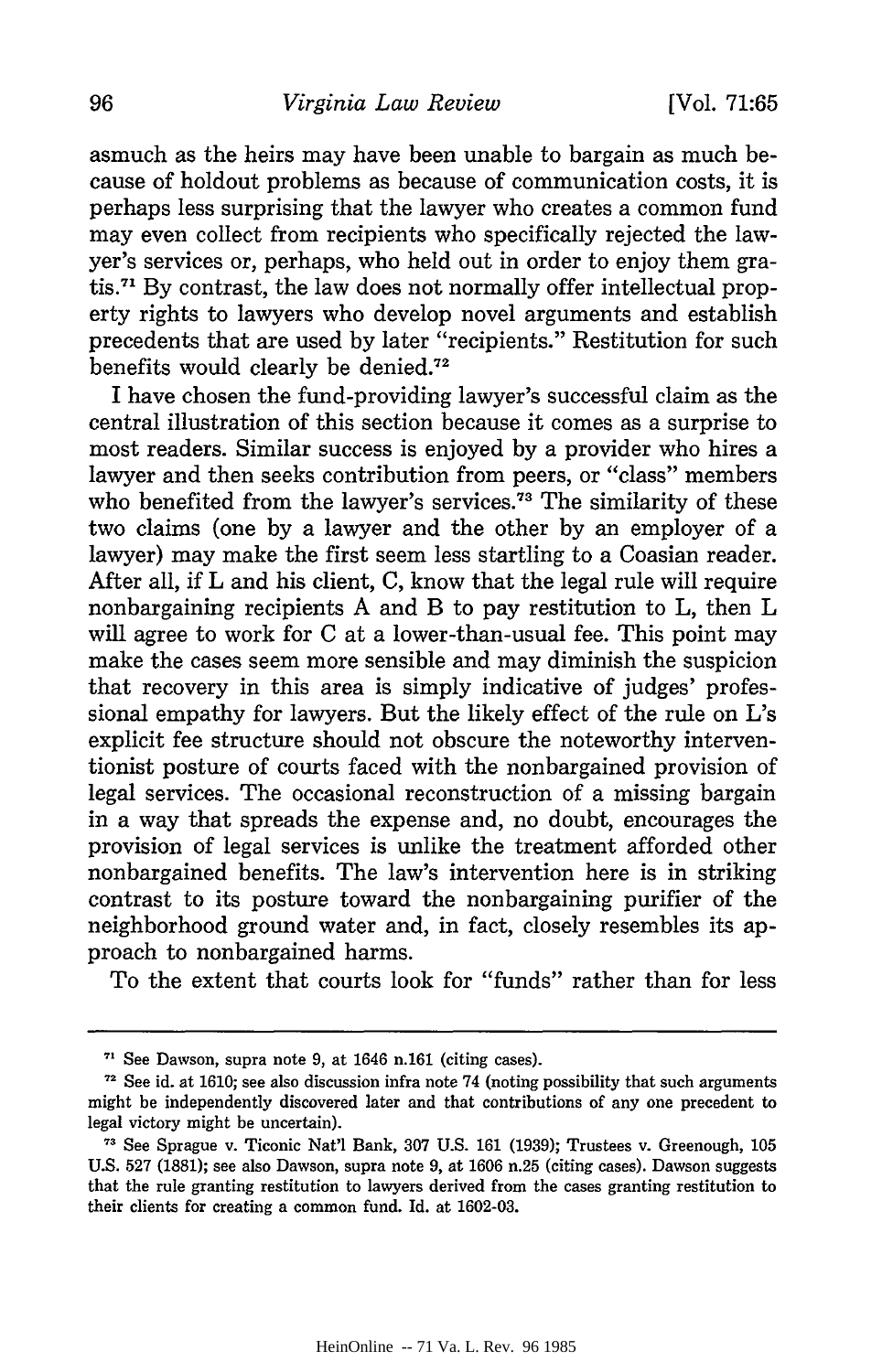asmuch as the heirs may have been unable to bargain as much because of holdout problems as because of communication costs, it is perhaps less surprising that the lawyer who creates a common fund may even collect from recipients who specifically rejected the lawyer's services or, perhaps, who held out in order to enjoy them gratis.71 By contrast, the law does not normally offer intellectual property rights to lawyers who develop novel arguments and establish precedents that are used by later "recipients." Restitution for such benefits would clearly be denied.<sup>72</sup>

I have chosen the fund-providing lawyer's successful claim as the central illustration of this section because it comes as a surprise to most readers. Similar success is enjoyed by a provider who hires a lawyer and then seeks contribution from peers, or "class" members who benefited from the lawyer's services.<sup>73</sup> The similarity of these two claims (one by a lawyer and the other by an employer of a lawyer) may make the first seem less startling to a Coasian reader. After all, if L and his client, C, know that the legal rule will require nonbargaining recipients A and B to pay restitution to L, then L will agree to work for C at a lower-than-usual fee. This point may make the cases seem more sensible and may diminish the suspicion that recovery in this area is simply indicative of judges' professional empathy for lawyers. But the likely effect of the rule on L's explicit fee structure should not obscure the noteworthy interventionist posture of courts faced with the nonbargained provision of legal services. The occasional reconstruction of a missing bargain in a way that spreads the expense and, no doubt, encourages the provision of legal services is unlike the treatment afforded other nonbargained benefits. The law's intervention here is in striking contrast to its posture toward the nonbargaining purifier of the neighborhood ground water and, in fact, closely resembles its approach to nonbargained harms.

To the extent that courts look for "funds" rather than for less

**<sup>7&#</sup>x27;** See Dawson, supra note 9, at 1646 n.161 (citing cases).

**<sup>72</sup>**See id. at 1610; see also discussion infra note 74 (noting possibility that such arguments might be independently discovered later and that contributions of any one precedent to legal victory might be uncertain).

**<sup>73</sup>**See Sprague v. Ticonic Nat'l Bank, 307 U.S. 161 (1939); Trustees v. Greenough, 105 U.S. 527 (1881); see also Dawson, supra note 9, at 1606 n.25 (citing cases). Dawson suggests that the rule granting restitution to lawyers derived from the cases granting restitution to their clients for creating a common fund. Id. at 1602-03.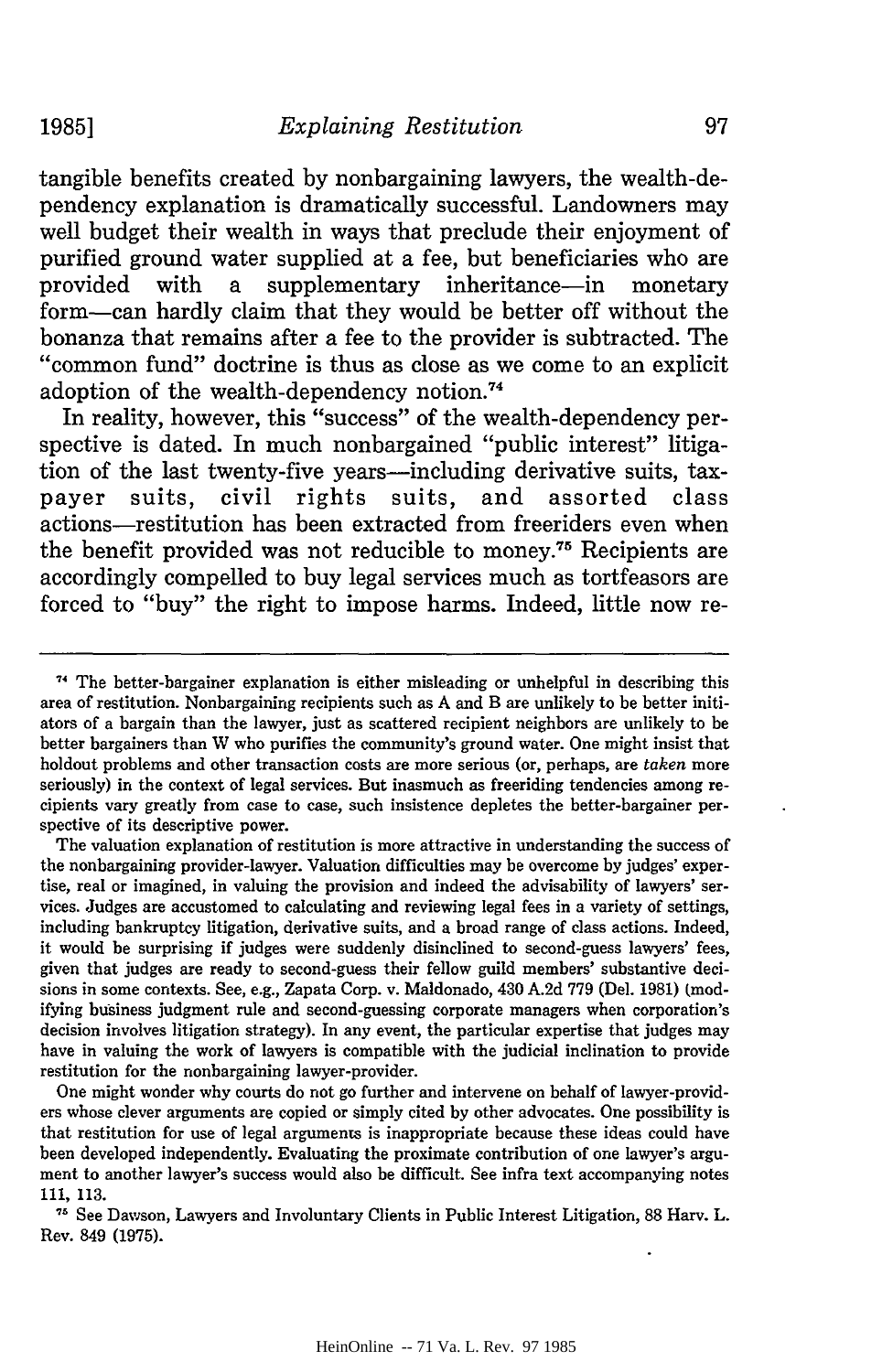tangible benefits created by nonbargaining lawyers, the wealth-dependency explanation is dramatically successful. Landowners may well budget their wealth in ways that preclude their enjoyment of purified ground water supplied at a fee, but beneficiaries who are provided with a supplementary inheritance-in monetary form-can hardly claim that they would be better off without the bonanza that remains after a fee to the provider is subtracted. The "common fund" doctrine is thus as close as we come to an explicit adoption of the wealth-dependency notion.<sup>74</sup>

In reality, however, this "success" of the wealth-dependency perspective is dated. In much nonbargained "public interest" litigation of the last twenty-five years—including derivative suits, taxpayer suits, civil rights suits, and assorted class actions-restitution has been extracted from freeriders even when the benefit provided was not reducible to money. 75 Recipients are accordingly compelled to buy legal services much as tortfeasors are forced to "buy" the right to impose harms. Indeed, little now re-

The valuation explanation of restitution is more attractive in understanding the success of the nonbargaining provider-lawyer. Valuation difficulties may be overcome by judges' expertise, real or imagined, in valuing the provision and indeed the advisability of lawyers' services. Judges are accustomed to calculating and reviewing legal fees in a variety of settings, including bankruptcy litigation, derivative suits, and a broad range of class actions. Indeed, it would be surprising if judges were suddenly disinclined to second-guess lawyers' fees, given that judges are ready to second-guess their fellow guild members' substantive decisions in some contexts. See, e.g., Zapata Corp. v. Maldonado, 430 A.2d 779 (Del. 1981) (modifying business judgment rule and second-guessing corporate managers when corporation's decision involves litigation strategy). In any event, the particular expertise that judges may have in valuing the work of lawyers is compatible with the judicial inclination to provide restitution for the nonbargaining lawyer-provider.

One might wonder why courts do not go further and intervene on behalf of lawyer-providers whose clever arguments are copied or simply cited by other advocates. One possibility is that restitution for use of legal arguments is inappropriate because these ideas could have been developed independently. Evaluating the proximate contribution of one lawyer's argument to another lawyer's success would also be difficult. See infra text accompanying notes 111, 113.

<sup>75</sup> See Dawson, Lawyers and Involuntary Clients in Public Interest Litigation, 88 Harv. L. Rev. 849 (1975).

**<sup>7&#</sup>x27;** The better-bargainer explanation is either misleading or unhelpful in describing this area of restitution. Nonbargaining recipients such as A and B are unlikely to be better initiators of a bargain than the lawyer, just as scattered recipient neighbors are unlikely to be better bargainers than W who purifies the community's ground water. One might insist that holdout problems and other transaction costs are more serious (or, perhaps, are taken more seriously) in the context of legal services. But inasmuch as freeriding tendencies among recipients vary greatly from case to case, such insistence depletes the better-bargainer perspective of its descriptive power.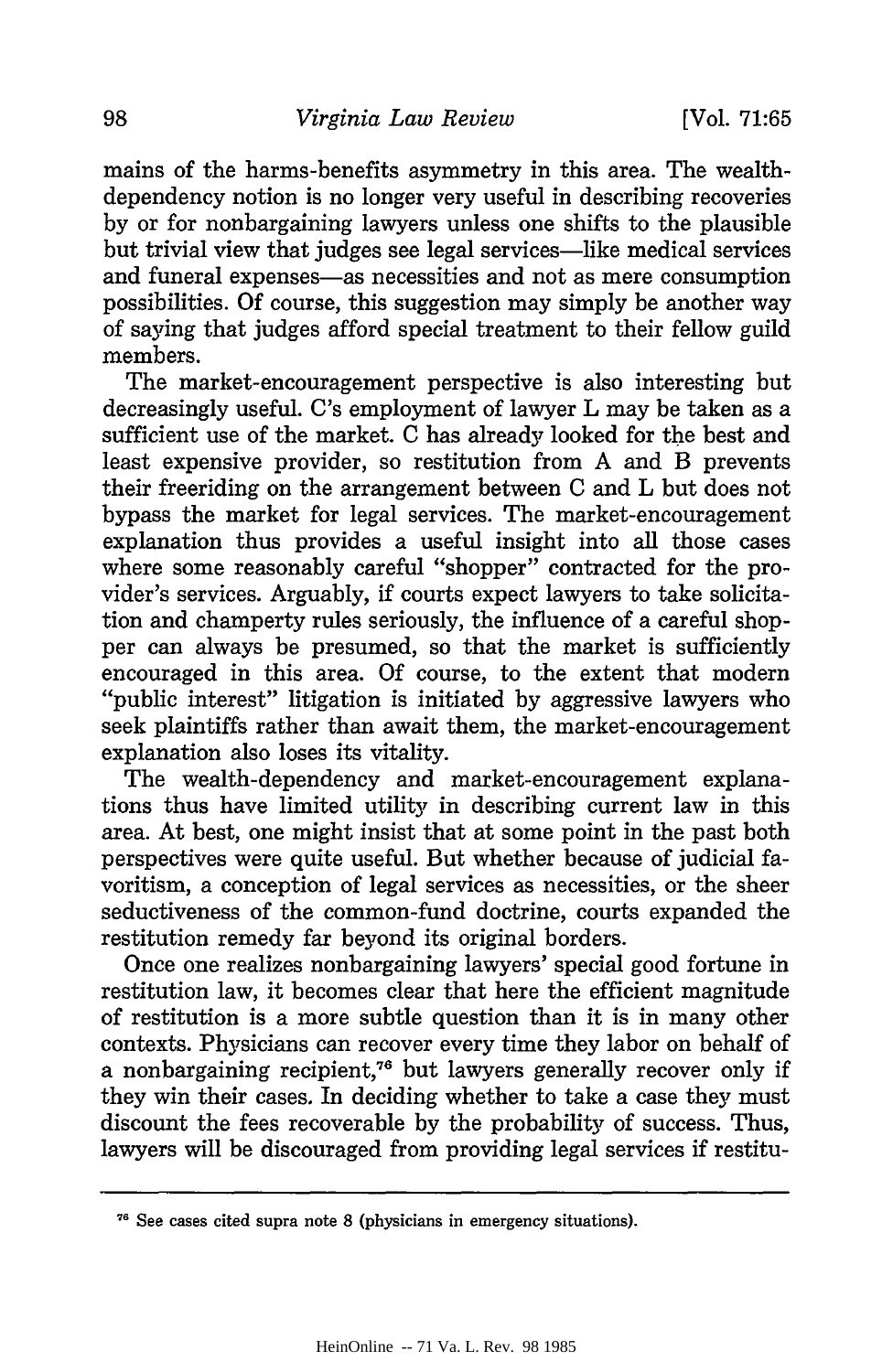mains of the harms-benefits asymmetry in this area. The wealthdependency notion is no longer very useful in describing recoveries by or for nonbargaining lawyers unless one shifts to the plausible but trivial view that judges see legal services-like medical services and funeral expenses-as necessities and not as mere consumption possibilities. Of course, this suggestion may simply be another way of saying that judges afford special treatment to their fellow guild members.

The market-encouragement perspective is also interesting but decreasingly useful. C's employment of lawyer L may be taken as a sufficient use of the market. C has already looked for the best and least expensive provider, so restitution from A and B prevents their freeriding on the arrangement between C and L but does not bypass the market for legal services. The market-encouragement explanation thus provides a useful insight into all those cases where some reasonably careful "shopper" contracted for the provider's services. Arguably, if courts expect lawyers to take solicitation and champerty rules seriously, the influence of a careful shopper can always be presumed, so that the market is sufficiently encouraged in this area. Of course, to the extent that modern "public interest" litigation is initiated by aggressive lawyers who seek plaintiffs rather than await them, the market-encouragement explanation also loses its vitality.

The wealth-dependency and market-encouragement explanations thus have limited utility in describing current law in this area. At best, one might insist that at some point in the past both perspectives were quite useful. But whether because of judicial favoritism, a conception of legal services as necessities, or the sheer seductiveness of the common-fund doctrine, courts expanded the restitution remedy far beyond its original borders.

Once one realizes nonbargaining lawyers' special good fortune in restitution law, it becomes clear that here the efficient magnitude of restitution is a more subtle question than it is in many other contexts. Physicians can recover every time they labor on behalf of a nonbargaining recipient, $76$  but lawyers generally recover only if they win their cases. In deciding whether to take a case they must discount the fees recoverable by the probability of success. Thus, lawyers will be discouraged from providing legal services if restitu-

**<sup>71</sup>**See cases cited supra note **8** (physicians in emergency situations).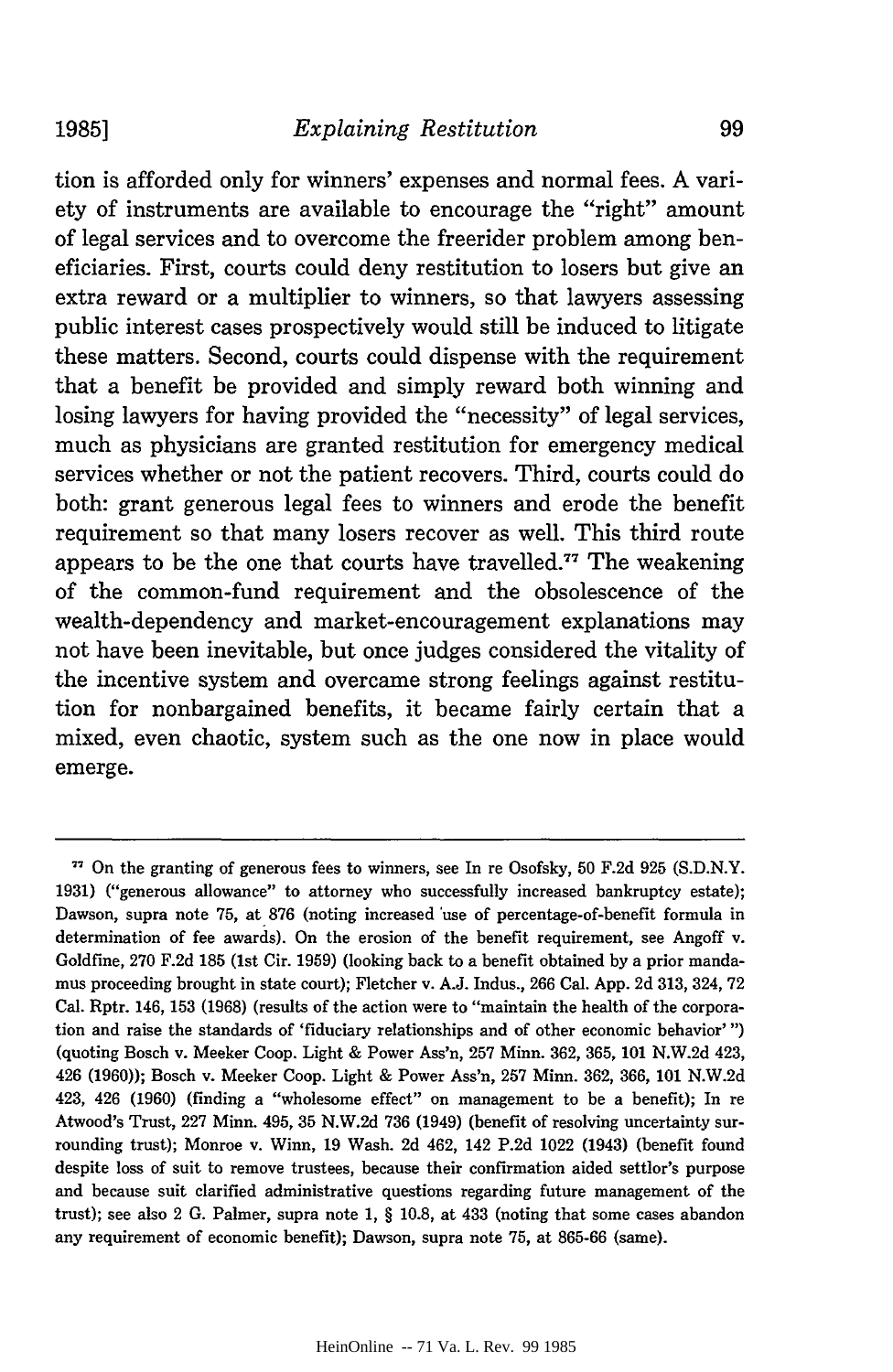**19851**

tion is afforded only for winners' expenses and normal fees. **A** variety of instruments are available to encourage the "right" amount of legal services and to overcome the freerider problem among beneficiaries. First, courts could deny restitution to losers but give an extra reward or a multiplier to winners, so that lawyers assessing public interest cases prospectively would still be induced to litigate these matters. Second, courts could dispense with the requirement that a benefit be provided and simply reward both winning and losing lawyers for having provided the "necessity" of legal services, much as physicians are granted restitution for emergency medical services whether or not the patient recovers. Third, courts could do both: grant generous legal fees to winners and erode the benefit requirement so that many losers recover as well. This third route appears to be the one that courts have travelled.<sup>77</sup> The weakening of the common-fund requirement and the obsolescence of the wealth-dependency and market-encouragement explanations may not have been inevitable, but once judges considered the vitality of the incentive system and overcame strong feelings against restitution for nonbargained benefits, it became fairly certain that a mixed, even chaotic, system such as the one now in place would emerge.

<sup>&</sup>lt;sup>77</sup> On the granting of generous fees to winners, see In re Osofsky, 50 F.2d 925 (S.D.N.Y. **1931)** ("generous allowance" to attorney who successfully increased bankruptcy estate); Dawson, supra note **75,** at **876** (noting increased 'use of percentage-of-benefit formula in determination of fee awards). On the erosion of the benefit requirement, see Angoff v. Goldfine, **270 F.2d 185** (1st Cir. **1959)** (looking back to a benefit obtained **by** a prior mandamus proceeding brought in state court); Fletcher v. **A.J.** Indus., **266** Cal. **App. 2d 313,** 324, **72** Cal. Rptr. 146, **153 (1968)** (results of the action were to "maintain the health of the corporation and raise the standards of 'fiduciary relationships and of other economic behavior' **")** (quoting Bosch v. Meeker Coop. Light **&** Power Ass'n, **257** Minn. **362, 365, 101 N.W.2d** 423, 426 **(1960));** Bosch v. Meeker Coop. Light **&** Power Ass'n, **257** Minn. **362, 366, 101 N.W.2d** 423, 426 **(1960)** (finding a "wholesome effect" on management to be a benefit); In re Atwood's Trust, **227** Minn. 495, **35 N.W.2d 736** (1949) (benefit of resolving uncertainty surrounding trust); Monroe v. Winn, **19** Wash. **2d** 462, 142 **P.2d** 1022 (1943) (benefit found despite loss of suit to remove trustees, because their confirmation aided settlor's purpose and because suit clarified administrative questions regarding future management of the trust); see also 2 **G.** Palmer, supra note **1, § 10.8,** at 433 (noting that some cases abandon any requirement of economic benefit); Dawson, supra note **75,** at **865-66** (same).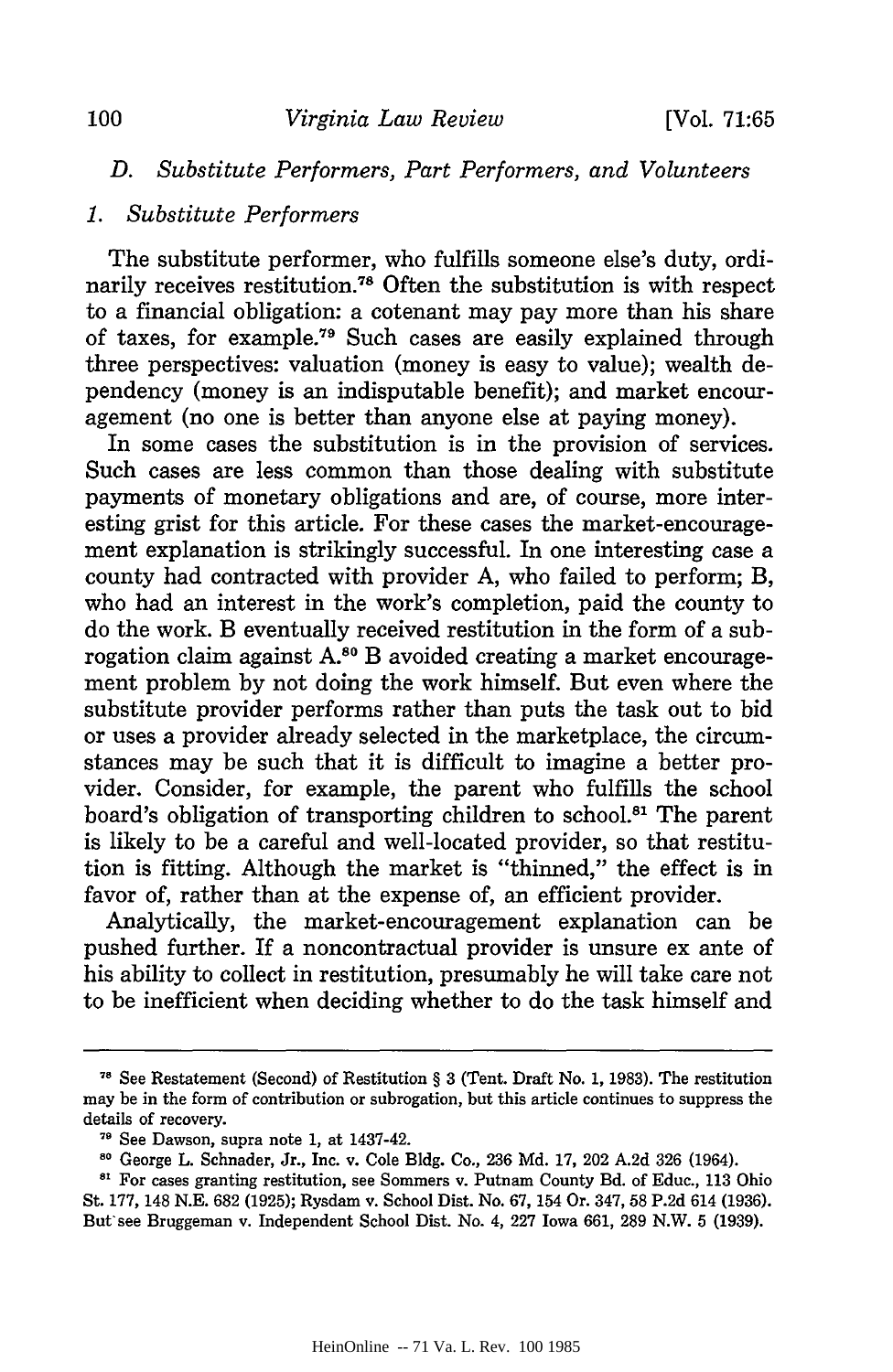## *D. Substitute Performers, Part Performers, and Volunteers*

#### *1. Substitute Performers*

The substitute performer, who fulfills someone else's duty, ordinarily receives restitution.<sup>78</sup> Often the substitution is with respect to a financial obligation: a cotenant may pay more than his share of taxes, for example.<sup>79</sup> Such cases are easily explained through three perspectives: valuation (money is easy to value); wealth dependency (money is an indisputable benefit); and market encouragement (no one is better than anyone else at paying money).

In some cases the substitution is in the provision of services. Such cases are less common than those dealing with substitute payments of monetary obligations and are, of course, more interesting grist for this article. For these cases the market-encouragement explanation is strikingly successful. In one interesting case a county had contracted with provider A, who failed to perform; B, who had an interest in the work's completion, paid the county to do the work. B eventually received restitution in the form of a subrogation claim against **A.<sup>80</sup>**B avoided creating a market encouragement problem by not doing the work himself. But even where the substitute provider performs rather than puts the task out to bid or uses a provider already selected in the marketplace, the circumstances may be such that it is difficult to imagine a better provider. Consider, for example, the parent who fulfills the school board's obligation of transporting children to school.<sup>81</sup> The parent is likely to be a careful and well-located provider, so that restitution is fitting. Although the market is "thinned," the effect is in favor of, rather than at the expense of, an efficient provider.

Analytically, the market-encouragement explanation can be pushed further. If a noncontractual provider is unsure ex ante of his ability to collect in restitution, presumably he will take care not to be inefficient when deciding whether to do the task himself and

**<sup>11</sup>**See Restatement (Second) of Restitution § **3** (Tent. Draft No. **1,** 1983). The restitution may be in the form of contribution or subrogation, but this article continues to suppress the details of recovery.

**<sup>7&#</sup>x27;** See Dawson, supra note 1, at 1437-42.

**<sup>80</sup>** George L. Schnader, Jr., Inc. v. Cole Bldg. Co., 236 Md. 17, 202 A.2d 326 (1964).

**<sup>81</sup>** For cases granting restitution, see Sommers v. Putnam County Bd. of Educ., 113 Ohio St. 177, 148 N.E. 682 (1925); Rysdam v. School Dist. No. 67, 154 Or. 347, 58 P.2d 614 (1936). But'see Bruggeman v. Independent School Dist. No. 4, 227 Iowa 661, 289 N.W. 5 (1939).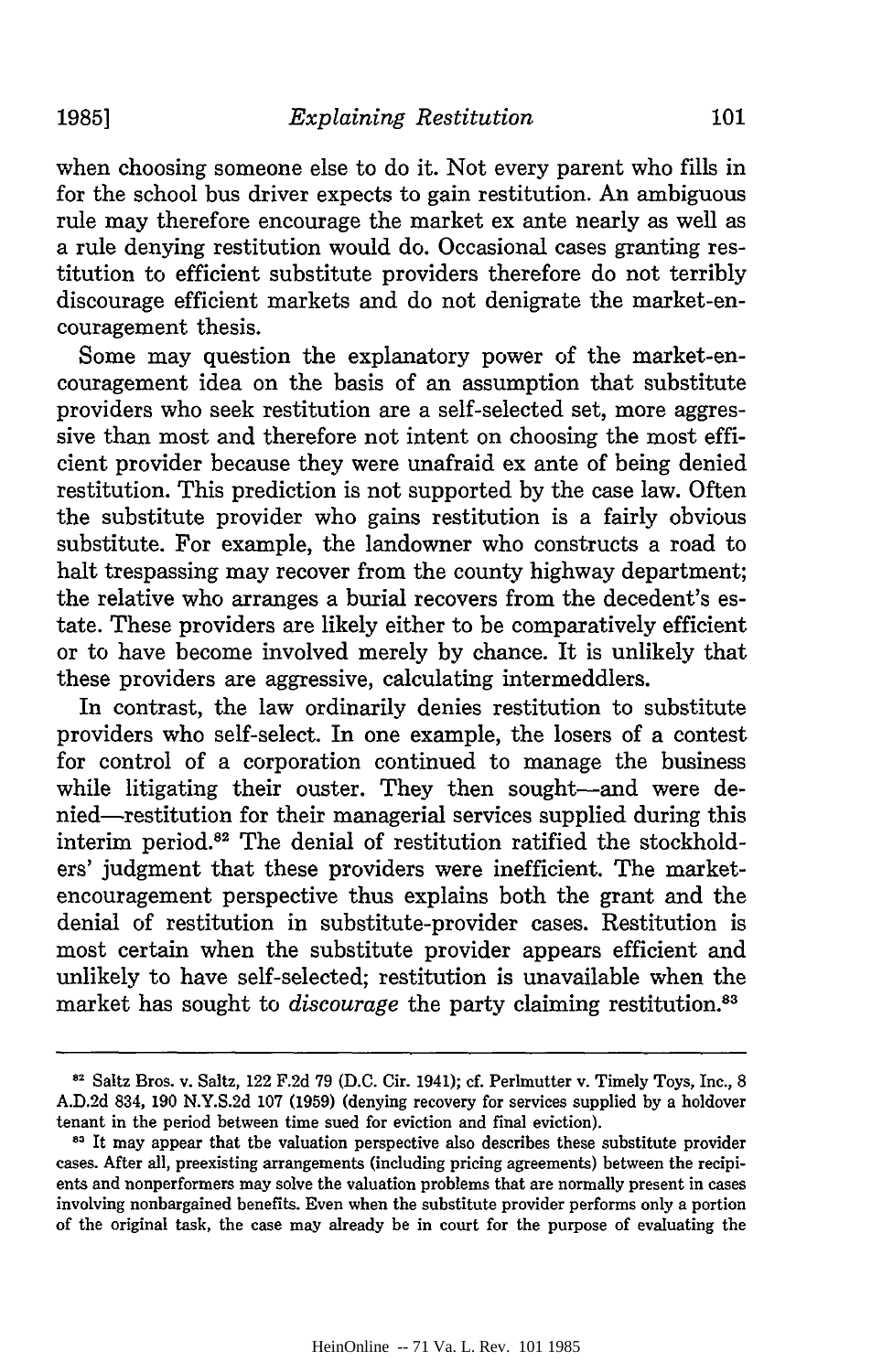when choosing someone else to do it. Not every parent who fills in for the school bus driver expects to gain restitution. An ambiguous rule may therefore encourage the market ex ante nearly as well as a rule denying restitution would do. Occasional cases granting restitution to efficient substitute providers therefore do not terribly discourage efficient markets and do not denigrate the market-encouragement thesis.

Some may question the explanatory power of the market-encouragement idea on the basis of an assumption that substitute providers who seek restitution are a self-selected set, more aggressive than most and therefore not intent on choosing the most efficient provider because they were unafraid ex ante of being denied restitution. This prediction is not supported by the case law. Often the substitute provider who gains restitution is a fairly obvious substitute. For example, the landowner who constructs a road to halt trespassing may recover from the county highway department; the relative who arranges a burial recovers from the decedent's estate. These providers are likely either to be comparatively efficient or to have become involved merely by chance. It is unlikely that these providers are aggressive, calculating intermeddlers.

In contrast, the law ordinarily denies restitution to substitute providers who self-select. In one example, the losers of a contest for control of a corporation continued to manage the business while litigating their ouster. They then sought-and were denied-restitution for their managerial services supplied during this interim period.<sup>82</sup> The denial of restitution ratified the stockholders' judgment that these providers were inefficient. The marketencouragement perspective thus explains both the grant and the denial of restitution in substitute-provider cases. Restitution is most certain when the substitute provider appears efficient and unlikely to have self-selected; restitution is unavailable when the market has sought to *discourage* the party claiming restitution.<sup>83</sup>

#### **1985]**

**<sup>82</sup>**Saltz Bros. v. Saltz, 122 F.2d 79 (D.C. Cir. 1941); cf. Perlmutter v. Timely Toys, Inc., **8** A.D.2d 834, **190** N.Y.S.2d 107 (1959) (denying recovery for services supplied by a holdover tenant in the period between time sued for eviction and final eviction).

**<sup>83</sup>**It may appear that the valuation perspective also describes these substitute provider cases. After all, preexisting arrangements (including pricing agreements) between the recipients and nonperformers may solve the valuation problems that are normally present in cases involving nonbargained benefits. Even when the substitute provider performs only a portion of the original task, the case may already be in court for the purpose of evaluating the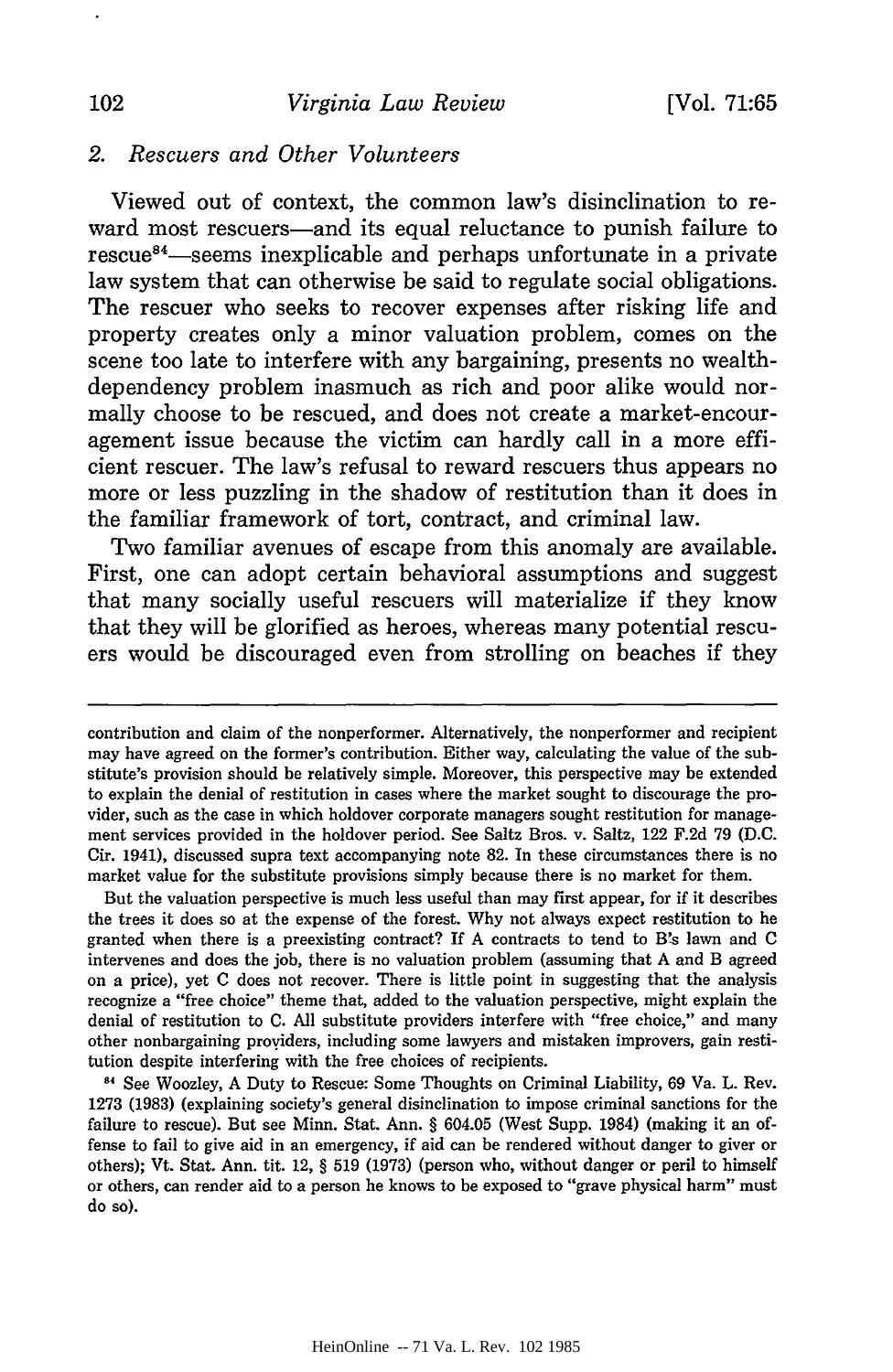# *2. Rescuers and Other Volunteers*

Viewed out of context, the common law's disinclination to reward most rescuers—and its equal reluctance to punish failure to rescue<sup>84</sup>—seems inexplicable and perhaps unfortunate in a private law system that can otherwise be said to regulate social obligations. The rescuer who seeks to recover expenses after risking life and property creates only a minor valuation problem, comes on the scene too late to interfere with any bargaining, presents no wealthdependency problem inasmuch as rich and poor alike would normally choose to be rescued, and does not create a market-encouragement issue because the victim can hardly call in a more efficient rescuer. The law's refusal to reward rescuers thus appears no more or less puzzling in the shadow of restitution than it does in the familiar framework of tort, contract, and criminal law.

Two familiar avenues of escape from this anomaly are available. First, one can adopt certain behavioral assumptions and suggest that many socially useful rescuers will materialize if they know that they will be glorified as heroes, whereas many potential rescuers would be discouraged even from strolling on beaches if they

But the valuation perspective is much less useful than may first appear, for if it describes the trees it does so at the expense of the forest. Why not always expect restitution to be granted when there is a preexisting contract? If A contracts to tend to B's lawn and C intervenes and does the job, there is no valuation problem (assuming that A and B agreed on a price), yet C does not recover. There is little point in suggesting that the analysis recognize a "free choice" theme that, added to the valuation perspective, might explain the denial of restitution to C. All substitute providers interfere with "free choice," and many other nonbargaining providers, including some lawyers and mistaken improvers, gain restitution despite interfering with the free choices of recipients.

**<sup>84</sup>**See Woozley, A Duty to Rescue: Some Thoughts on Criminal Liability, 69 Va. L. Rev. 1273 (1983) (explaining society's general disinclination to impose criminal sanctions for the failure to rescue). But see Minn. Stat. Ann. § 604.05 (West Supp. 1984) (making it an offense to fail to give aid in an emergency, if aid can be rendered without danger to giver or others); Vt. Stat. Ann. tit. 12, § 519 (1973) (person who, without danger or peril to himself or others, can render aid to a person he knows to be exposed to "grave physical harm" must do so).

contribution and claim of the nonperformer. Alternatively, the nonperformer and recipient may have agreed on the former's contribution. Either way, calculating the value of the substitute's provision should be relatively simple. Moreover, this perspective may be extended to explain the denial of restitution in cases where the market sought to discourage the provider, such as the case in which holdover corporate managers sought restitution for management services provided in the holdover period. See Saltz Bros. v. Saltz, 122 F.2d 79 (D.C. Cir. 1941), discussed supra text accompanying note 82. In these circumstances there is no market value for the substitute provisions simply because there is no market for them.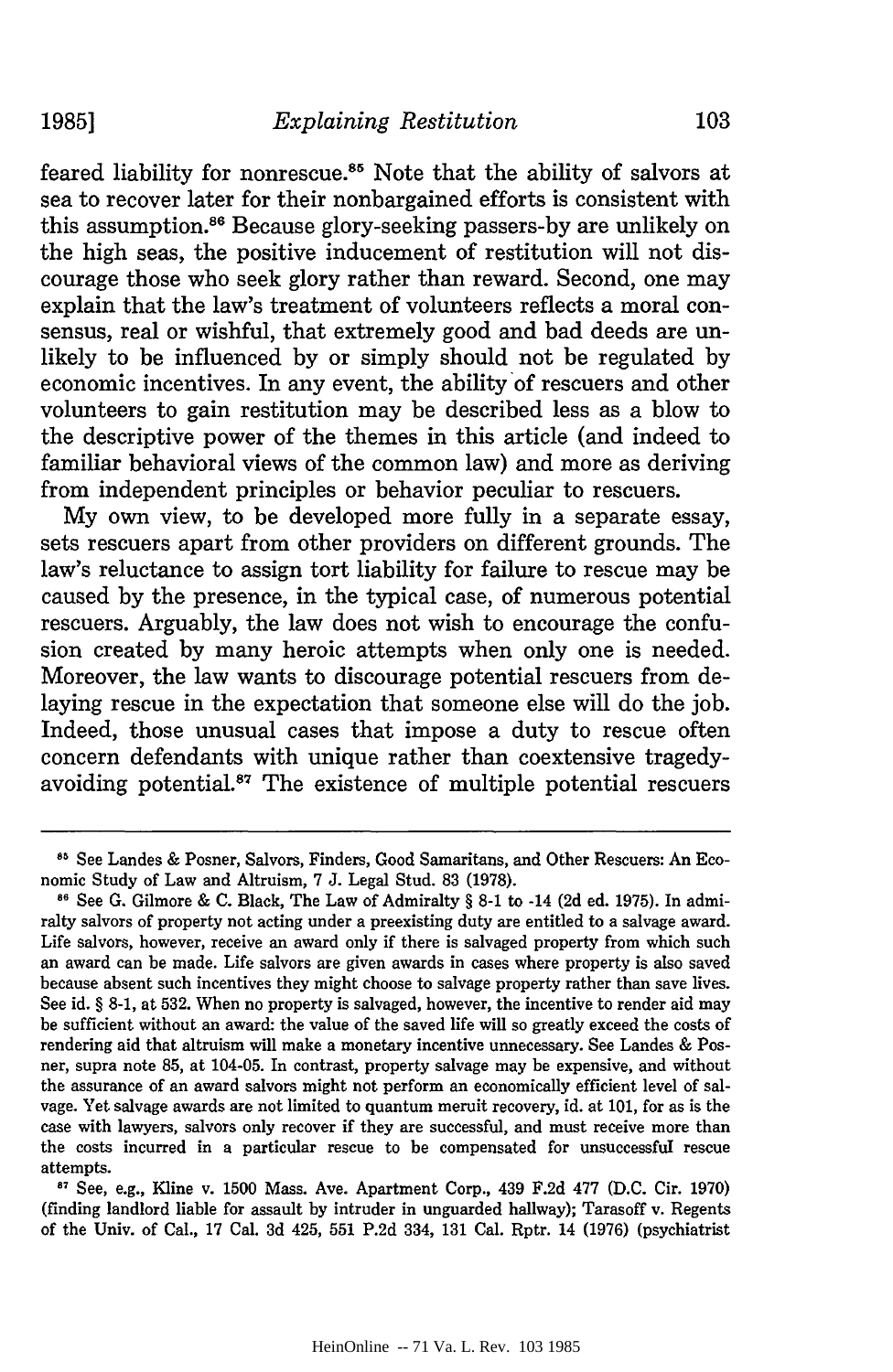feared liability for nonrescue.<sup>85</sup> Note that the ability of salvors at sea to recover later for their nonbargained efforts is consistent with this assumption.<sup>86</sup> Because glory-seeking passers-by are unlikely on the high seas, the positive inducement of restitution will not discourage those who seek glory rather than reward. Second, one may explain that the law's treatment of volunteers reflects a moral consensus, real or wishful, that extremely good and bad deeds are unlikely to be influenced **by** or simply should not be regulated **by** economic incentives. In any event, the ability 'of rescuers and other volunteers to gain restitution may be described less as a blow to the descriptive power of the themes in this article (and indeed to familiar behavioral views of the common law) and more as deriving from independent principles or behavior peculiar to rescuers.

**My** own view, to be developed more fully in a separate essay, sets rescuers apart from other providers on different grounds. The law's reluctance to assign tort liability for failure to rescue may be caused **by** the presence, in the typical case, of numerous potential rescuers. Arguably, the law does not wish to encourage the confusion created **by** many heroic attempts when only one is needed. Moreover, the law wants to discourage potential rescuers from delaying rescue in the expectation that someone else will do the **job.** Indeed, those unusual cases that impose a duty to rescue often concern defendants with unique rather than coextensive tragedyavoiding potential.<sup>87</sup> The existence of multiple potential rescuers

**<sup>&</sup>quot;** See Landes **&** Posner, Salvors, Finders, Good Samaritans, and Other Rescuers: An Economic Study of Law and Altruism, **7 J. Legal Stud. 83 (1978).**<br><sup>86</sup> See G. Gilmore & C. Black, The Law of Admiralty § 8-1 to -14 (2d ed. 1975). In admi-

ralty salvors of property not acting under a preexisting duty are entitled to a salvage award. Life salvors, however, receive an award only if there is salvaged property from which such an award can be made. Life salvors are given awards in cases where property is also saved because absent such incentives they might choose to salvage property rather than save lives. See id. **§ 8-1,** at **532.** When no property is salvaged, however, the incentive to render aid may be sufficient without an award: the value of the saved life will so greatly exceed the costs of rendering aid that altruism will make a monetary incentive unnecessary. See Landes **&** Posner, supra note **85,** at 104-05. In contrast, property salvage may be expensive, and without the assurance of an award salvors might not perform an economically efficient level of salvage. Yet salvage awards are not limited to quantum meruit recovery, id. at **101,** for as is the case with lawyers, salvors only recover if they are successful, and must receive more than the costs incurred in a particular rescue to be compensated for unsuccessful rescue attempts.

**<sup>87</sup>**See, e.g., Kline v. **1500** Mass. Ave. Apartment Corp., 439 **F.2d 477 (D.C.** Cir. **1970)** (finding landlord liable for assault **by** intruder in unguarded hallway); Tarasoff v. Regents of the Univ. of Cal., **17** Cal. **3d** 425, **551 P.2d** 334, **131** Cal. Rptr. 14 **(1976)** (psychiatrist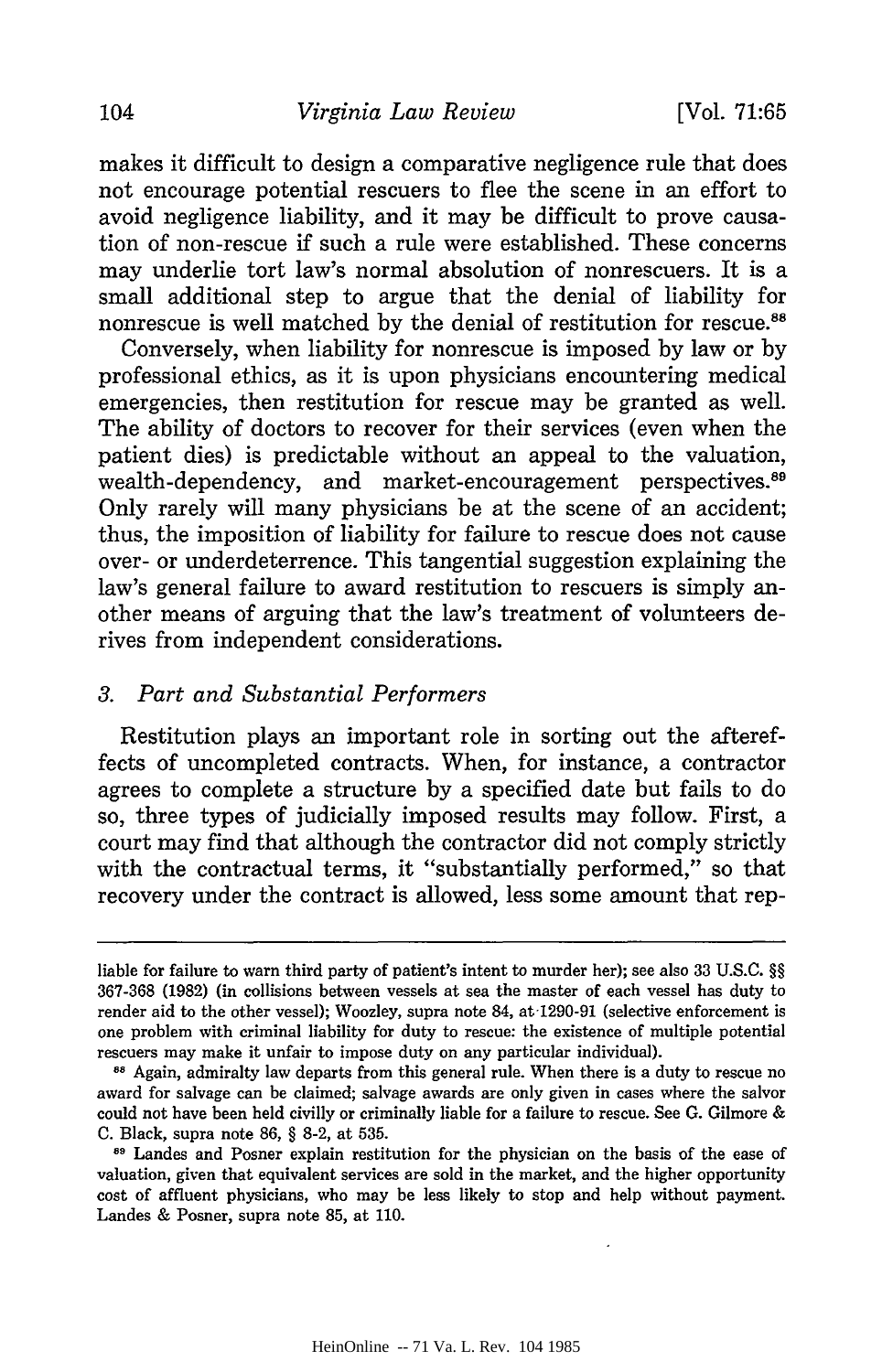makes it difficult to design a comparative negligence rule that does not encourage potential rescuers to flee the scene in an effort to avoid negligence liability, and it may be difficult to prove causation of non-rescue if such a rule were established. These concerns may underlie tort law's normal absolution of nonrescuers. It is a small additional step to argue that the denial of liability for nonrescue is well matched by the denial of restitution for rescue.<sup>88</sup>

Conversely, when liability for nonrescue is imposed by law or by professional ethics, as it is upon physicians encountering medical emergencies, then restitution for rescue may be granted as well. The ability of doctors to recover for their services (even when the patient dies) is predictable without an appeal to the valuation, wealth-dependency, and market-encouragement perspectives.<sup>89</sup> Only rarely will many physicians be at the scene of an accident; thus, the imposition of liability for failure to rescue does not cause over- or underdeterrence. This tangential suggestion explaining the law's general failure to award restitution to rescuers is simply another means of arguing that the law's treatment of volunteers derives from independent considerations.

## *3. Part and Substantial Performers*

Restitution plays an important role in sorting out the aftereffects of uncompleted contracts. When, for instance, a contractor agrees to complete a structure by a specified date but fails to do so, three types of judicially imposed results may follow. First, a court may find that although the contractor did not comply strictly with the contractual terms, it "substantially performed," so that recovery under the contract is allowed, less some amount that rep-

liable for failure to warn third party of patient's intent to murder her); see also 33 U.S.C. §§ 367-368 (1982) (in collisions between vessels at sea the master of each vessel has duty to render aid to the other vessel); Woozley, supra note 84, at-1290-91 (selective enforcement is one problem with criminal liability for duty to rescue: the existence of multiple potential rescuers may make it unfair to impose duty on any particular individual).

**<sup>88</sup>** Again, admiralty law departs from this general rule. When there is a duty to rescue no award for salvage can be claimed; salvage awards are only given in cases where the salvor could not have been held civilly or criminally liable for a failure to rescue. See G. Gilmore & C. Black, supra note 86, § 8-2, at 535.

**<sup>89</sup>** Landes and Posner explain restitution for the physician on the basis of the ease of valuation, given that equivalent services are sold in the market, and the higher opportunity cost of affluent physicians, who may be less likely to stop and help without payment. Landes & Posner, supra note 85, at 110.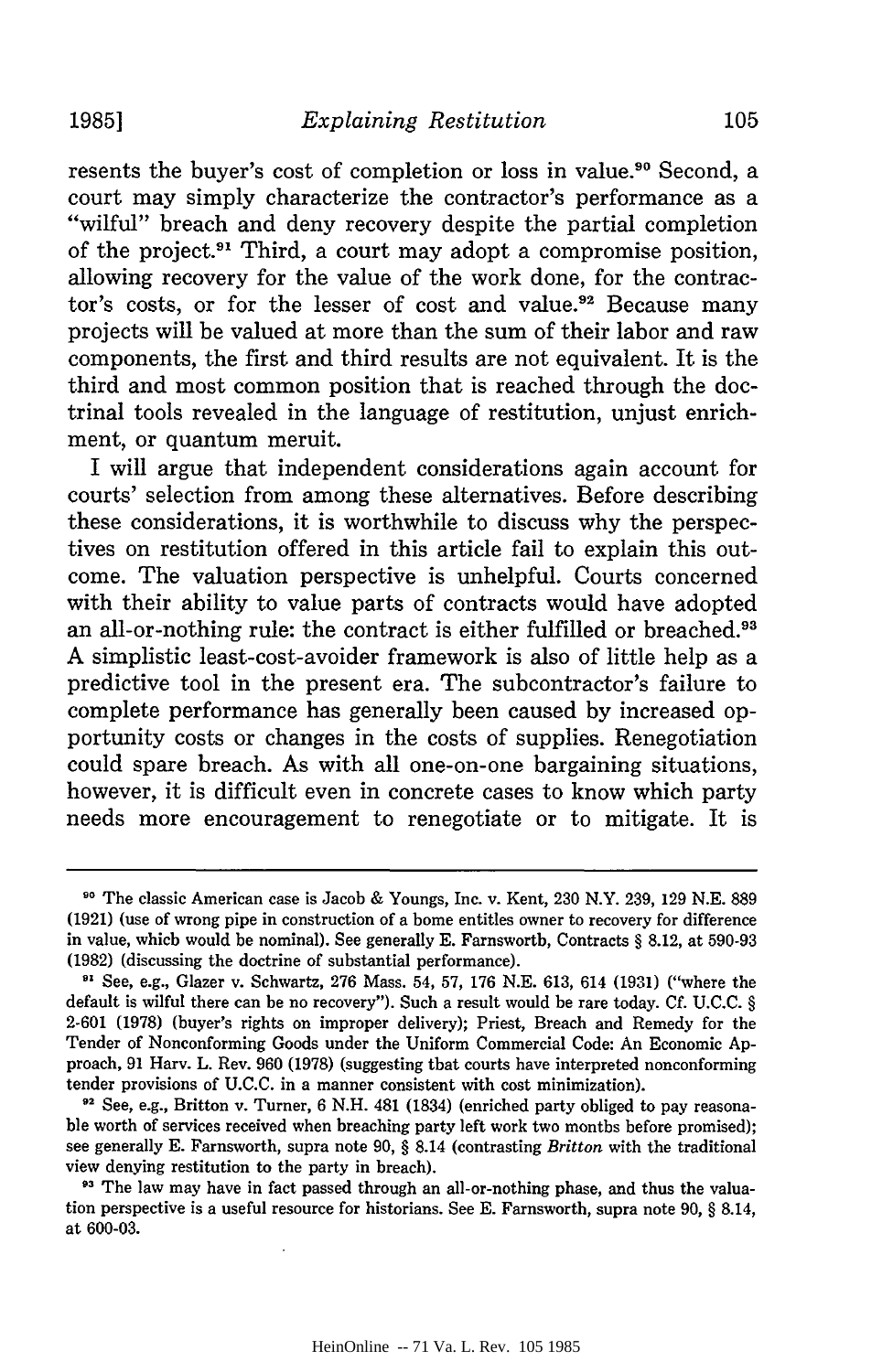ment, or quantum meruit.

**19851**

resents the buyer's cost of completion or loss in value.<sup>90</sup> Second, a court may simply characterize the contractor's performance as a "wilful" breach and deny recovery despite the partial completion of the project.91 Third, a court may adopt a compromise position, allowing recovery for the value of the work done, for the contractor's costs, or for the lesser of cost and value.<sup>92</sup> Because many projects will be valued at more than the sum of their labor and raw components, the first and third results are not equivalent. It is the third and most common position that is reached through the doctrinal tools revealed in the language of restitution, unjust enrich-

I will argue that independent considerations again account for courts' selection from among these alternatives. Before describing these considerations, it is worthwhile to discuss why the perspectives on restitution offered in this article fail to explain this outcome. The valuation perspective is unhelpful. Courts concerned with their ability to value parts of contracts would have adopted an all-or-nothing rule: the contract is either fulfilled or breached.<sup>93</sup> A simplistic least-cost-avoider framework is also of little help as a predictive tool in the present era. The subcontractor's failure to complete performance has generally been caused by increased opportunity costs or changes in the costs of supplies. Renegotiation could spare breach. As with all one-on-one bargaining situations, however, it is difficult even in concrete cases to know which party needs more encouragement to renegotiate or to mitigate. It is

<sup>&</sup>lt;sup>90</sup> The classic American case is Jacob & Youngs, Inc. v. Kent, 230 N.Y. 239, 129 N.E. 889 (1921) (use of wrong pipe in construction of a home entitles owner to recovery for difference in value, which would be nominal). See generally E. Farnsworth, Contracts § 8.12, at 590-93 (1982) (discussing the doctrine of substantial performance).

**<sup>11</sup>** See, e.g., Glazer v. Schwartz, 276 Mass. 54, 57, 176 N.E. 613, 614 (1931) ("where the default is wilful there can be no recovery"). Such a result would be rare today. Cf. U.C.C. § 2-601 (1978) (buyer's rights on improper delivery); Priest, Breach and Remedy for the Tender of Nonconforming Goods under the Uniform Commercial Code: An Economic Approach, 91 Harv. L. Rev. 960 (1978) (suggesting that courts have interpreted nonconforming tender provisions of U.C.C. in a manner consistent with cost minimization).

**<sup>92</sup>** See, e.g., Britton v. Turner, 6 N.H. 481 (1834) (enriched party obliged to pay reasonable worth of services received when breaching party left work two months before promised); see generally E. Farnsworth, supra note 90, § 8.14 (contrasting *Britton* with the traditional view denying restitution to the party in breach).

<sup>&</sup>lt;sup>93</sup> The law may have in fact passed through an all-or-nothing phase, and thus the valuation perspective is a useful resource for historians. See E. Farnsworth, supra note 90, § 8.14, at 600-03.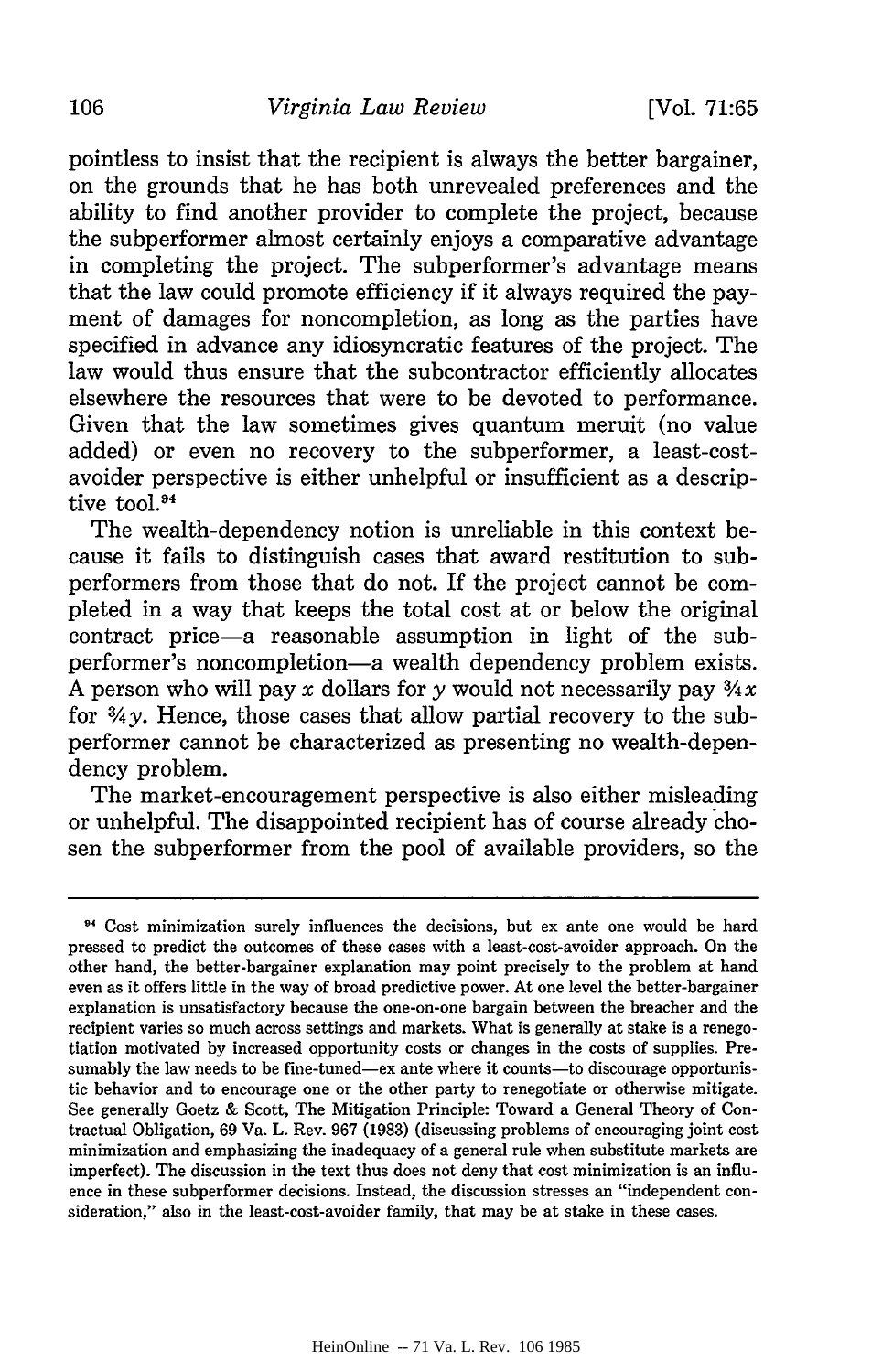pointless to insist that the recipient is always the better bargainer, on the grounds that he has both unrevealed preferences and the ability to find another provider to complete the project, because the subperformer almost certainly enjoys a comparative advantage in completing the project. The subperformer's advantage means that the law could promote efficiency if it always required the payment of damages for noncompletion, as long as the parties have specified in advance any idiosyncratic features of the project. The law would thus ensure that the subcontractor efficiently allocates elsewhere the resources that were to be devoted to performance. Given that the law sometimes gives quantum meruit (no value added) or even no recovery to the subperformer, a least-costavoider perspective is either unhelpful or insufficient as a descriptive tool.<sup>94</sup>

The wealth-dependency notion is unreliable in this context because it fails to distinguish cases that award restitution to subperformers from those that do not. If the project cannot be completed in a way that keeps the total cost at or below the original contract price-a reasonable assumption in light of the subperformer's noncompletion-a wealth dependency problem exists. A person who will pay x dollars for y would not necessarily pay  $\frac{3}{4}x$ for *3y.* Hence, those cases that allow partial recovery to the subperformer cannot be characterized as presenting no wealth-dependency problem.

The market-encouragement perspective is also either misleading or unhelpful. The disappointed recipient has of course already chosen the subperformer from the pool of available providers, so the

**<sup>&</sup>quot;** Cost minimization surely influences the decisions, but ex ante one would be hard pressed to predict the outcomes of these cases with a least-cost-avoider approach. On the other hand, the better-bargainer explanation may point precisely to the problem at hand even as it offers little in the way of broad predictive power. At one level the better-bargainer explanation is unsatisfactory because the one-on-one bargain between the breacher and the recipient varies so much across settings and markets. What is generally at stake is a renegotiation motivated by increased opportunity costs or changes in the costs of supplies. Presumably the law needs to be fine-tuned—ex ante where it counts—to discourage opportunistic behavior and to encourage one or the other party to renegotiate or otherwise mitigate. See generally Goetz & Scott, The Mitigation Principle: Toward a General Theory of Contractual Obligation, 69 Va. L. Rev. 967 (1983) (discussing problems of encouraging joint cost minimization and emphasizing the inadequacy of a general rule when substitute markets are imperfect). The discussion in the text thus does not deny that cost minimization is an influence in these subperformer decisions. Instead, the discussion stresses an "independent consideration," also in the least-cost-avoider family, that may be at stake in these cases.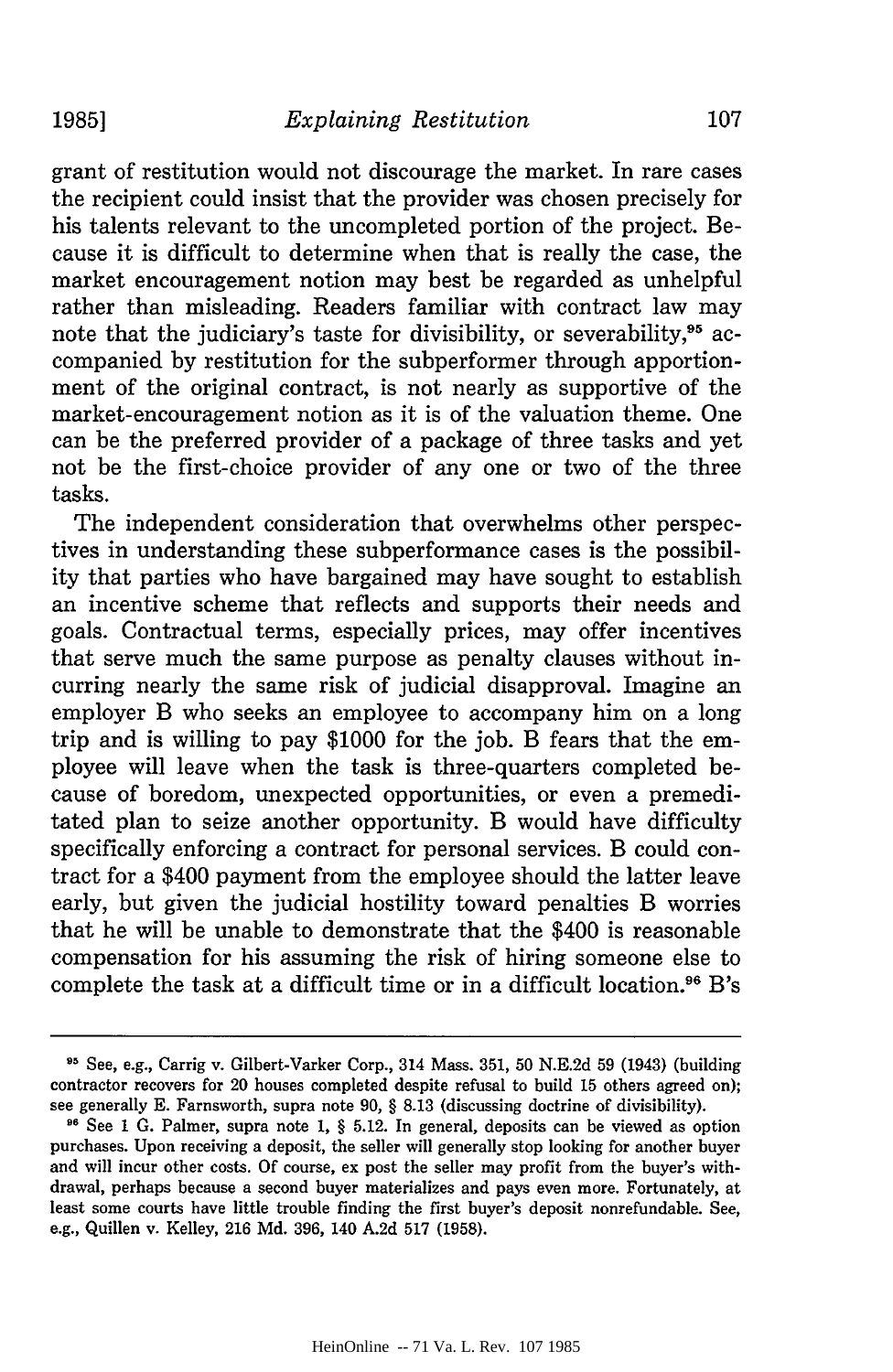grant of restitution would not discourage the market. In rare cases the recipient could insist that the provider was chosen precisely for his talents relevant to the uncompleted portion of the project. Because it is difficult to determine when that is really the case, the market encouragement notion may best be regarded as unhelpful rather than misleading. Readers familiar with contract law may note that the judiciary's taste for divisibility, or severability, $95$  accompanied by restitution for the subperformer through apportionment of the original contract, is not nearly as supportive of the market-encouragement notion as it is of the valuation theme. One can be the preferred provider of a package of three tasks and yet not be the first-choice provider of any one or two of the three tasks.

The independent consideration that overwhelms other perspectives in understanding these subperformance cases is the possibility that parties who have bargained may have sought to establish an incentive scheme that reflects and supports their needs and goals. Contractual terms, especially prices, may offer incentives that serve much the same purpose as penalty clauses without incurring nearly the same risk of judicial disapproval. Imagine an employer B who seeks an employee to accompany him on a long trip and is willing to pay \$1000 for the job. B fears that the employee will leave when the task is three-quarters completed because of boredom, unexpected opportunities, or even a premeditated plan to seize another opportunity. B would have difficulty specifically enforcing a contract for personal services. B could contract for a \$400 payment from the employee should the latter leave early, but given the judicial hostility toward penalties B worries that he will be unable to demonstrate that the \$400 is reasonable compensation for his assuming the risk of hiring someone else to complete the task at a difficult time or in a difficult location.<sup>96</sup> B's

**<sup>&</sup>quot;** See, e.g., Carrig v. Gilbert-Varker Corp., 314 Mass. 351, 50 N.E.2d 59 (1943) (building contractor recovers for 20 houses completed despite refusal to build 15 others agreed on); see generally E. Farnsworth, supra note 90, § 8.13 (discussing doctrine of divisibility).

**<sup>&</sup>quot;6** See 1 G. Palmer, supra note 1, § 5.12. In general, deposits can be viewed as option purchases. Upon receiving a deposit, the seller will generally stop looking for another buyer and will incur other costs. Of course, ex post the seller may profit from the buyer's withdrawal, perhaps because a second buyer materializes and pays even more. Fortunately, at least some courts have little trouble finding the first buyer's deposit nonrefundable. See, e.g., Quillen v. Kelley, 216 Md. 396, 140 A.2d 517 (1958).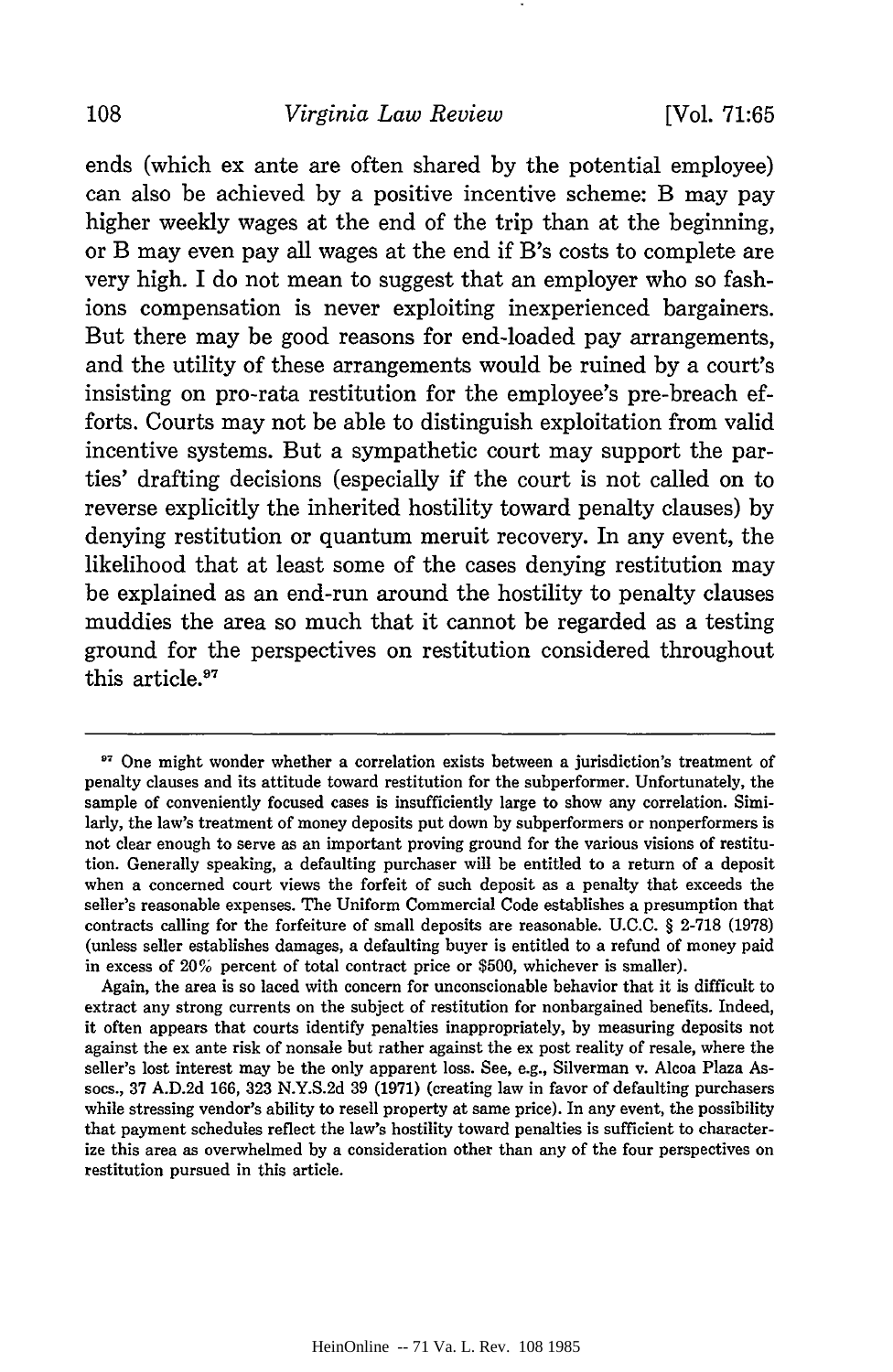ends (which ex ante are often shared by the potential employee) can also be achieved by a positive incentive scheme: B may pay higher weekly wages at the end of the trip than at the beginning, or B may even pay all wages at the end if B's costs to complete are very high. I do not mean to suggest that an employer who so fashions compensation is never exploiting inexperienced bargainers. But there may be good reasons for end-loaded pay arrangements, and the utility of these arrangements would be ruined by a court's insisting on pro-rata restitution for the employee's pre-breach efforts. Courts may not be able to distinguish exploitation from valid incentive systems. But a sympathetic court may support the parties' drafting decisions (especially if the court is not called on to reverse explicitly the inherited hostility toward penalty clauses) by denying restitution or quantum meruit recovery. In any event, the likelihood that at least some of the cases denying restitution may be explained as an end-run around the hostility to penalty clauses muddies the area so much that it cannot be regarded as a testing ground for the perspectives on restitution considered throughout this article.<sup>97</sup>

<sup>&</sup>lt;sup>97</sup> One might wonder whether a correlation exists between a jurisdiction's treatment of penalty clauses and its attitude toward restitution for the subperformer. Unfortunately, the sample of conveniently focused cases is insufficiently large to show any correlation. Similarly, the law's treatment of money deposits put down by subperformers or nonperformers is not clear enough to serve as an important proving ground for the various visions of restitution. Generally speaking, a defaulting purchaser will be entitled to a return of a deposit when a concerned court views the forfeit of such deposit as a penalty that exceeds the seller's reasonable expenses. The Uniform Commercial Code establishes a presumption that contracts calling for the forfeiture of small deposits are reasonable. **U.C.C.** § 2-718 (1978) (unless seller establishes damages, a defaulting buyer is entitled to a refund of money paid in excess of 20% percent of total contract price or \$500, whichever is smaller).

Again, the area is so laced with concern for unconscionable behavior that it is difficult to extract any strong currents on the subject of restitution for nonbargained benefits. Indeed, it often appears that courts identify penalties inappropriately, by measuring deposits not against the ex ante risk of nonsale but rather against the ex post reality of resale, where the seller's lost interest may be the only apparent loss. See, e.g., Silverman v. Alcoa Plaza Assocs., 37 A.D.2d 166, 323 N.Y.S.2d 39 (1971) (creating law in favor of defaulting purchasers while stressing vendor's ability to resell property at same price). In any event, the possibility that payment schedules reflect the law's hostility toward penalties is sufficient to characterize this area as overwhelmed by a consideration other than any of the four perspectives on restitution pursued in this article.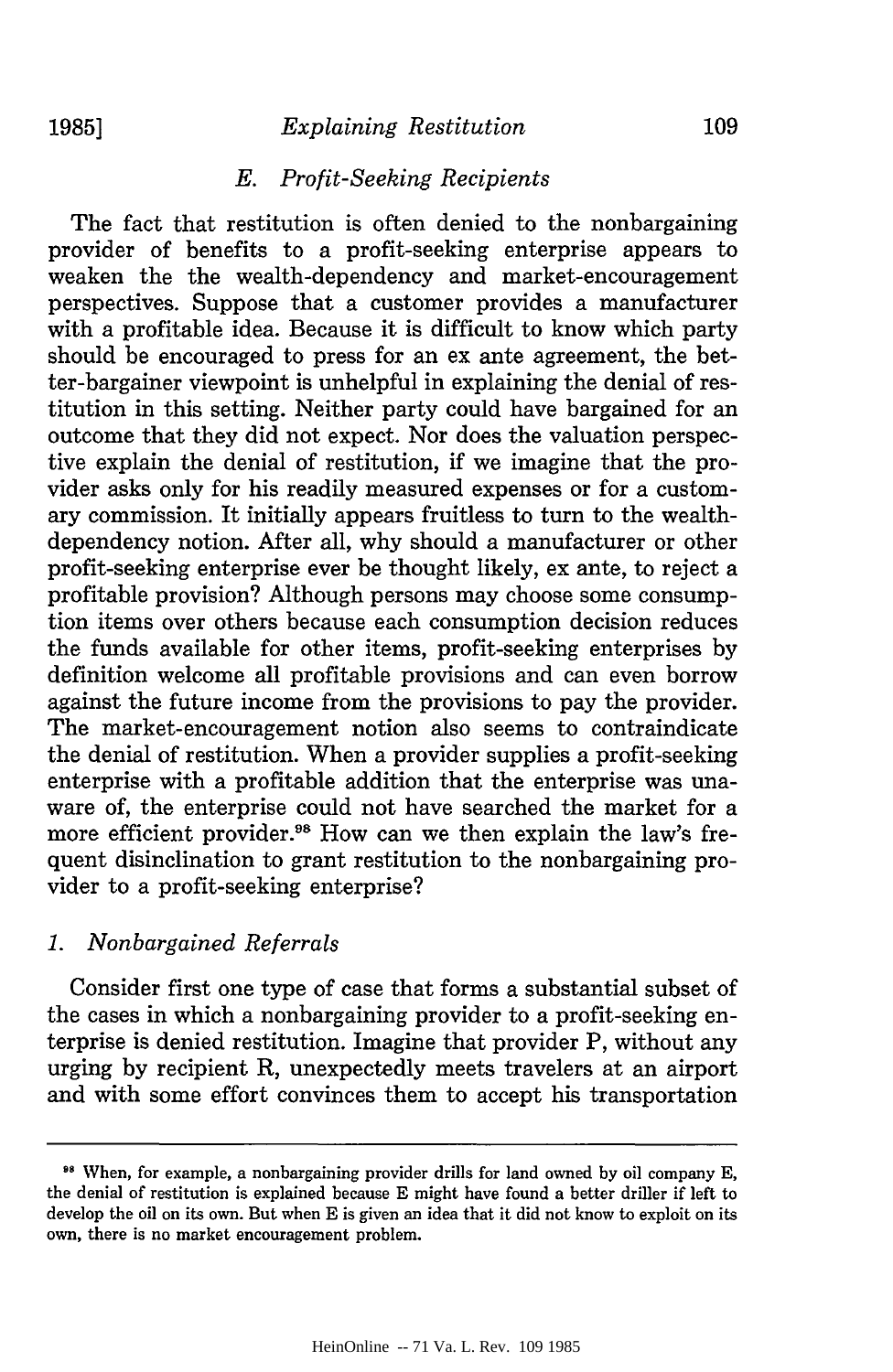# *E. Profit-Seeking Recipients*

The fact that restitution is often denied to the nonbargaining provider of benefits to a profit-seeking enterprise appears to weaken the the wealth-dependency and market-encouragement perspectives. Suppose that a customer provides a manufacturer with a profitable idea. Because it is difficult to know which party should be encouraged to press for an ex ante agreement, the better-bargainer viewpoint is unhelpful in explaining the denial of restitution in this setting. Neither party could have bargained for an outcome that they did not expect. Nor does the valuation perspective explain the denial of restitution, if we imagine that the provider asks only for his readily measured expenses or for a customary commission. It initially appears fruitless to turn to the wealthdependency notion. After all, why should a manufacturer or other profit-seeking enterprise ever be thought likely, ex ante, to reject a profitable provision? Although persons may choose some consumption items over others because each consumption decision reduces the funds available for other items, profit-seeking enterprises by definition welcome all profitable provisions and can even borrow against the future income from the provisions to pay the provider. The market-encouragement notion also seems to contraindicate the denial of restitution. When a provider supplies a profit-seeking enterprise with a profitable addition that the enterprise was unaware of, the enterprise could not have searched the market for a more efficient provider.<sup>98</sup> How can we then explain the law's frequent disinclination to grant restitution to the nonbargaining provider to a profit-seeking enterprise?

# *1. Nonbargained Referrals*

Consider first one type of case that forms a substantial subset of the cases in which a nonbargaining provider to a profit-seeking enterprise is denied restitution. Imagine that provider P, without any urging by recipient R, unexpectedly meets travelers at an airport and with some effort convinces them to accept his transportation

**1985]**

<sup>&</sup>lt;sup>98</sup> When, for example, a nonbargaining provider drills for land owned by oil company E, the denial of restitution is explained because E might have found a better driller if left to develop the oil on its own. But when E is given an idea that it did not know to exploit on its own, there is no market encouragement problem.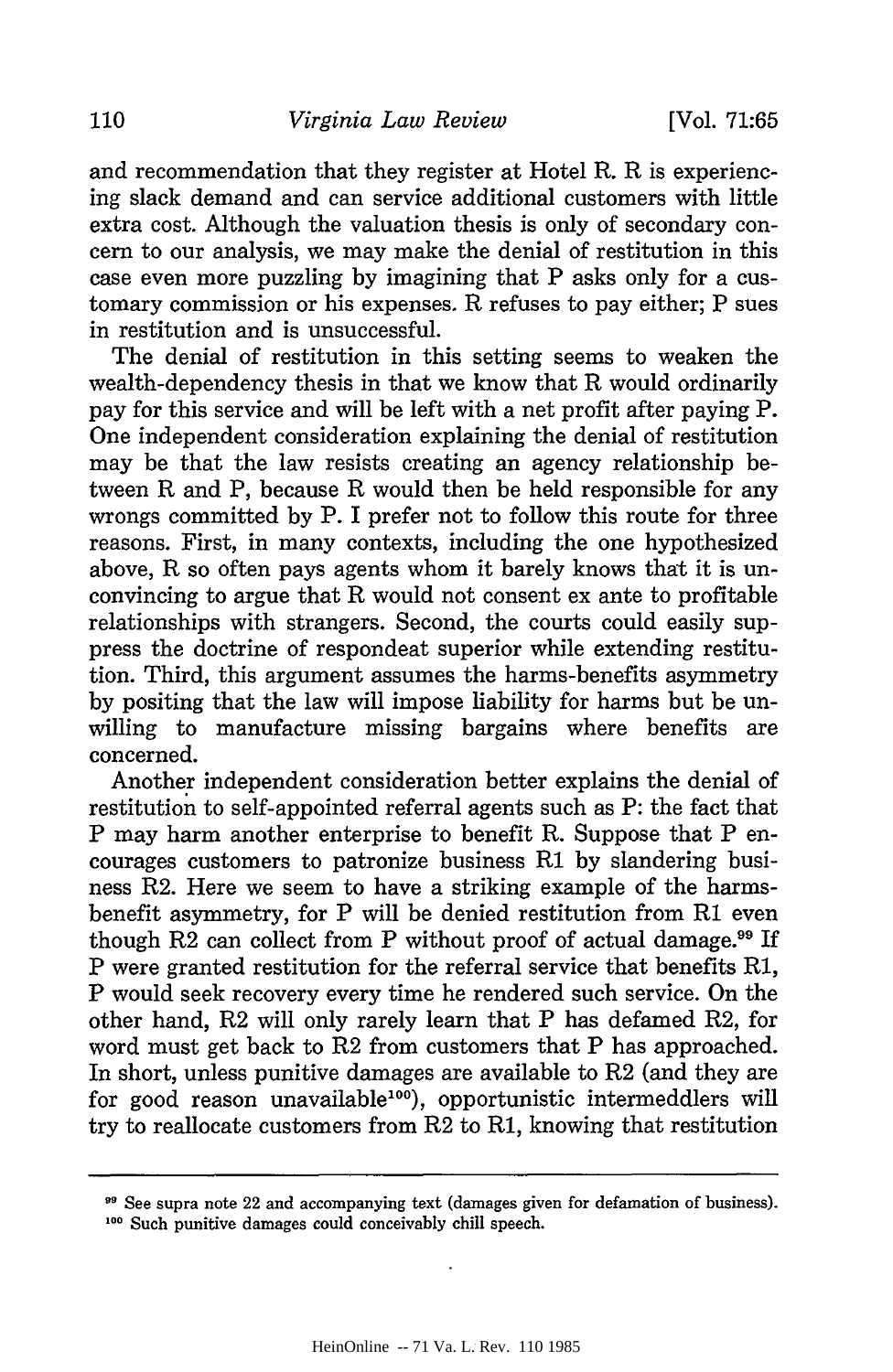and recommendation that they register at Hotel R. R is experiencing slack demand and can service additional customers with little extra cost. Although the valuation thesis is only of secondary concern to our analysis, we may make the denial of restitution in this case even more puzzling by imagining that P asks only for a customary commission or his expenses. R refuses to pay either; P sues in restitution and is unsuccessful.

The denial of restitution in this setting seems to weaken the wealth-dependency thesis in that we know that R would ordinarily pay for this service and will be left with a net profit after paying P. One independent consideration explaining the denial of restitution may be that the law resists creating an agency relationship between R and P, because R would then be held responsible for any wrongs committed by P. I prefer not to follow this route for three reasons. First, in many contexts, including the one hypothesized above, R so often pays agents whom it barely knows that it is unconvincing to argue that R would not consent ex ante to profitable relationships with strangers. Second, the courts could easily suppress the doctrine of respondeat superior while extending restitution. Third, this argument assumes the harms-benefits asymmetry by positing that the law will impose liability for harms but be unwilling to manufacture missing bargains where benefits are concerned.

Another independent consideration better explains the denial of restitution to self-appointed referral agents such as P: the fact that P may harm another enterprise to benefit R. Suppose that P encourages customers to patronize business R1 by slandering business R2. Here we seem to have a striking example of the harmsbenefit asymmetry, for P will be denied restitution from R1 even though R2 can collect from P without proof of actual damage.<sup>99</sup> If P were granted restitution for the referral service that benefits R1, P would seek recovery every time he rendered such service. On the other hand, R2 will only rarely learn that P has defamed R2, for word must get back to R2 from customers that P has approached. In short, unless punitive damages are available to R2 (and they are for good reason unavailable<sup>100</sup>), opportunistic intermeddlers will try to reallocate customers from R2 to R1, knowing that restitution

<sup>&</sup>lt;sup>99</sup> See supra note 22 and accompanying text (damages given for defamation of business).

**<sup>100</sup>** Such punitive damages could conceivably chill speech.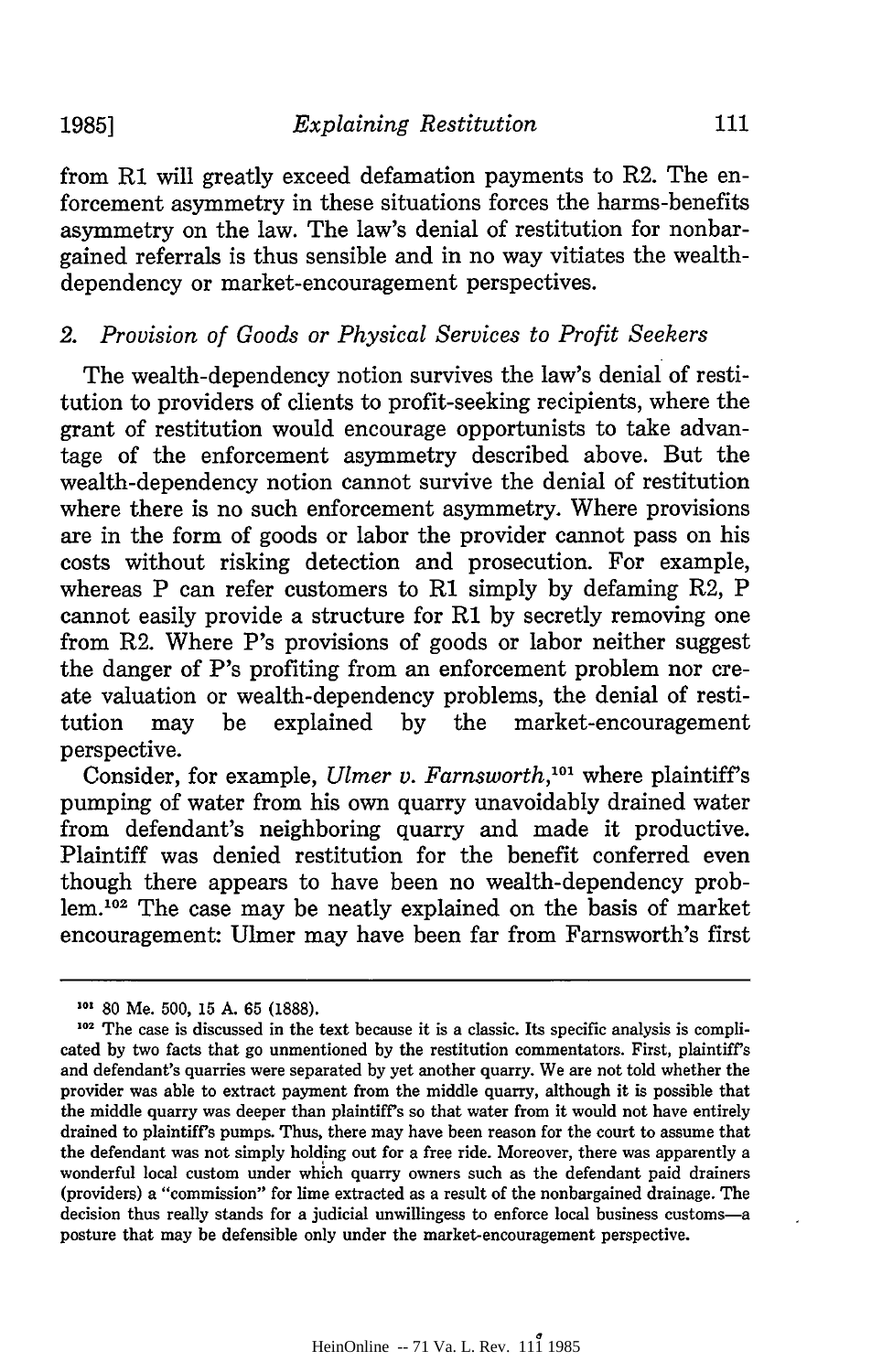**19851**

from R1 will greatly exceed defamation payments to R2. The enforcement asymmetry in these situations forces the harms-benefits asymmetry on the law. The law's denial of restitution for nonbargained referrals is thus sensible and in no way vitiates the wealthdependency or market-encouragement perspectives.

# *2. Provision of Goods or Physical Services to Profit Seekers*

The wealth-dependency notion survives the law's denial of restitution to providers of clients to profit-seeking recipients, where the grant of restitution would encourage opportunists to take advantage of the enforcement asymmetry described above. But the wealth-dependency notion cannot survive the denial of restitution where there is no such enforcement asymmetry. Where provisions are in the form of goods or labor the provider cannot pass on his costs without risking detection and prosecution. For example, whereas P can refer customers to R1 simply by defaming R2, P cannot easily provide a structure for R1 by secretly removing one from R2. Where P's provisions of goods or labor neither suggest the danger of P's profiting from an enforcement problem nor create valuation or wealth-dependency problems, the denial of restitution may be explained by the market-encouragement perspective.

Consider, for example, *Ulmer v. Farnsworth*,<sup>101</sup> where plaintiff's pumping of water from his own quarry unavoidably drained water from defendant's neighboring quarry and made it productive. Plaintiff was denied restitution for the benefit conferred even though there appears to have been no wealth-dependency problem.<sup>102</sup> The case may be neatly explained on the basis of market encouragement: Ulmer may have been far from Farnsworth's first

**<sup>10 80</sup>** Me. 500, 15 A. 65 (1888).

**<sup>102</sup>** The case is discussed in the text because it is a classic. Its specific analysis is complicated by two facts that go unmentioned by the restitution commentators. First, plaintiff's and defendant's quarries were separated by yet another quarry. We are not told whether the provider was able to extract payment from the middle quarry, although it is possible that the middle quarry was deeper than plaintiff's so that water from it would not have entirely drained to plaintiffs pumps. Thus, there may have been reason for the court to assume that the defendant was not simply holding out for a free ride. Moreover, there was apparently a wonderful local custom under which quarry owners such as the defendant paid drainers (providers) a "commission" for lime extracted as a result of the nonbargained drainage. The decision thus really stands for a judicial unwillingess to enforce local business customs-a posture that may be defensible only under the market-encouragement perspective.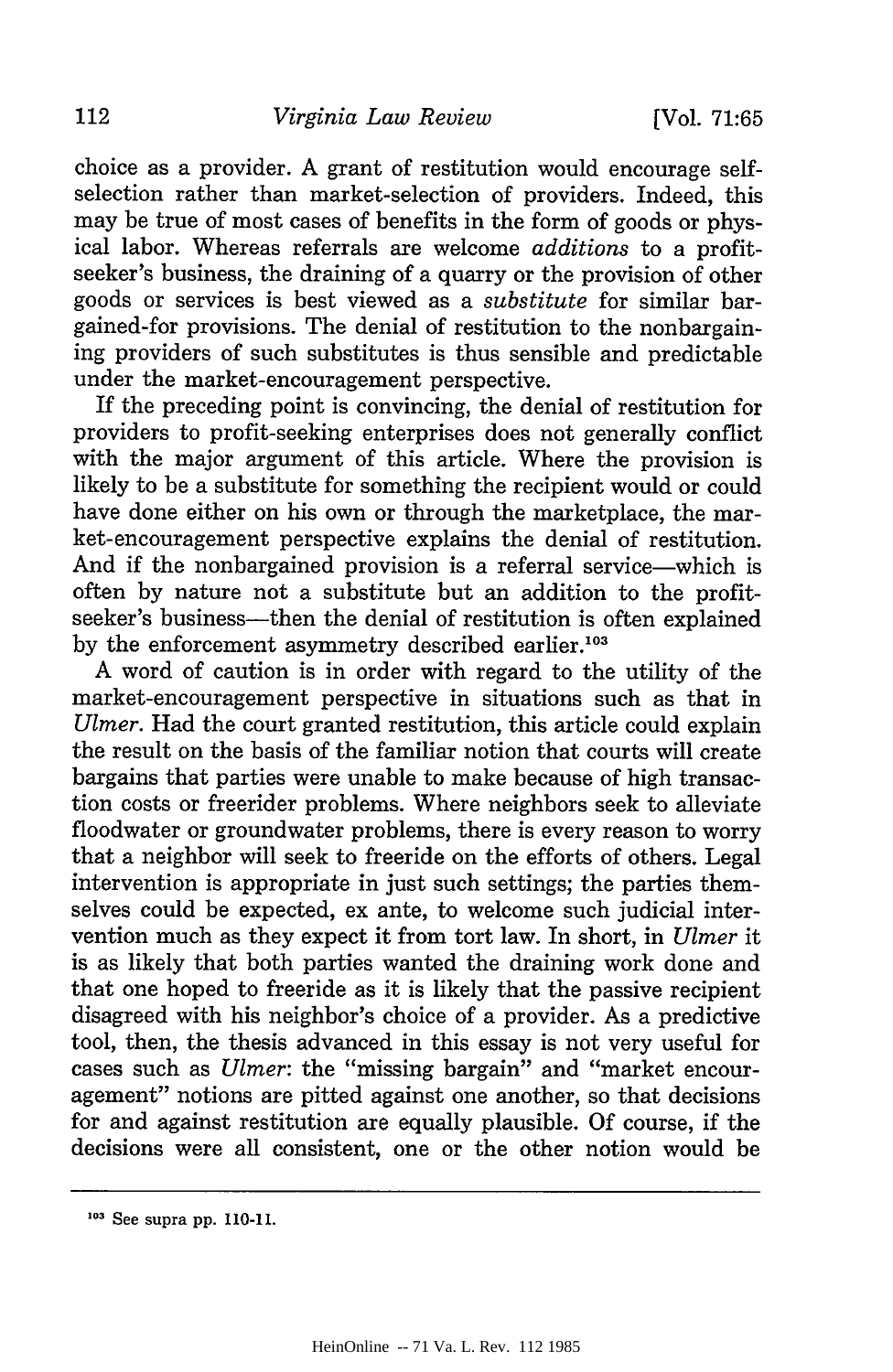choice as a provider. A grant of restitution would encourage selfselection rather than market-selection of providers. Indeed, this may be true of most cases of benefits in the form of goods or physical labor. Whereas referrals are welcome *additions* to a profitseeker's business, the draining of a quarry or the provision of other goods or services is best viewed as a *substitute* for similar bargained-for provisions. The denial of restitution to the nonbargaining providers of such substitutes is thus sensible and predictable under the market-encouragement perspective.

If the preceding point is convincing, the denial of restitution for providers to profit-seeking enterprises does not generally conflict with the major argument of this article. Where the provision is likely to be a substitute for something the recipient would or could have done either on his own or through the marketplace, the market-encouragement perspective explains the denial of restitution. And if the nonbargained provision is a referral service—which is often by nature not a substitute but an addition to the profitseeker's business—then the denial of restitution is often explained by the enforcement asymmetry described earlier.<sup>103</sup>

A word of caution is in order with regard to the utility of the market-encouragement perspective in situations such as that in *Ulmer.* Had the court granted restitution, this article could explain the result on the basis of the familiar notion that courts will create bargains that parties were unable to make because of high transaction costs or freerider problems. Where neighbors seek to alleviate floodwater or groundwater problems, there is every reason to worry that a neighbor will seek to freeride on the efforts of others. Legal intervention is appropriate in just such settings; the parties themselves could be expected, ex ante, to welcome such judicial intervention much as they expect it from tort law. In short, in *Ulmer* it is as likely that both parties wanted the draining work done and that one hoped to freeride as it is likely that the passive recipient disagreed with his neighbor's choice of a provider. As a predictive tool, then, the thesis advanced in this essay is not very useful for cases such as *Ulmer:* the "missing bargain" and "market encouragement" notions are pitted against one another, so that decisions for and against restitution are equally plausible. Of course, if the decisions were all consistent, one or the other notion would be

**<sup>103</sup>**See supra **pp. 110-11.**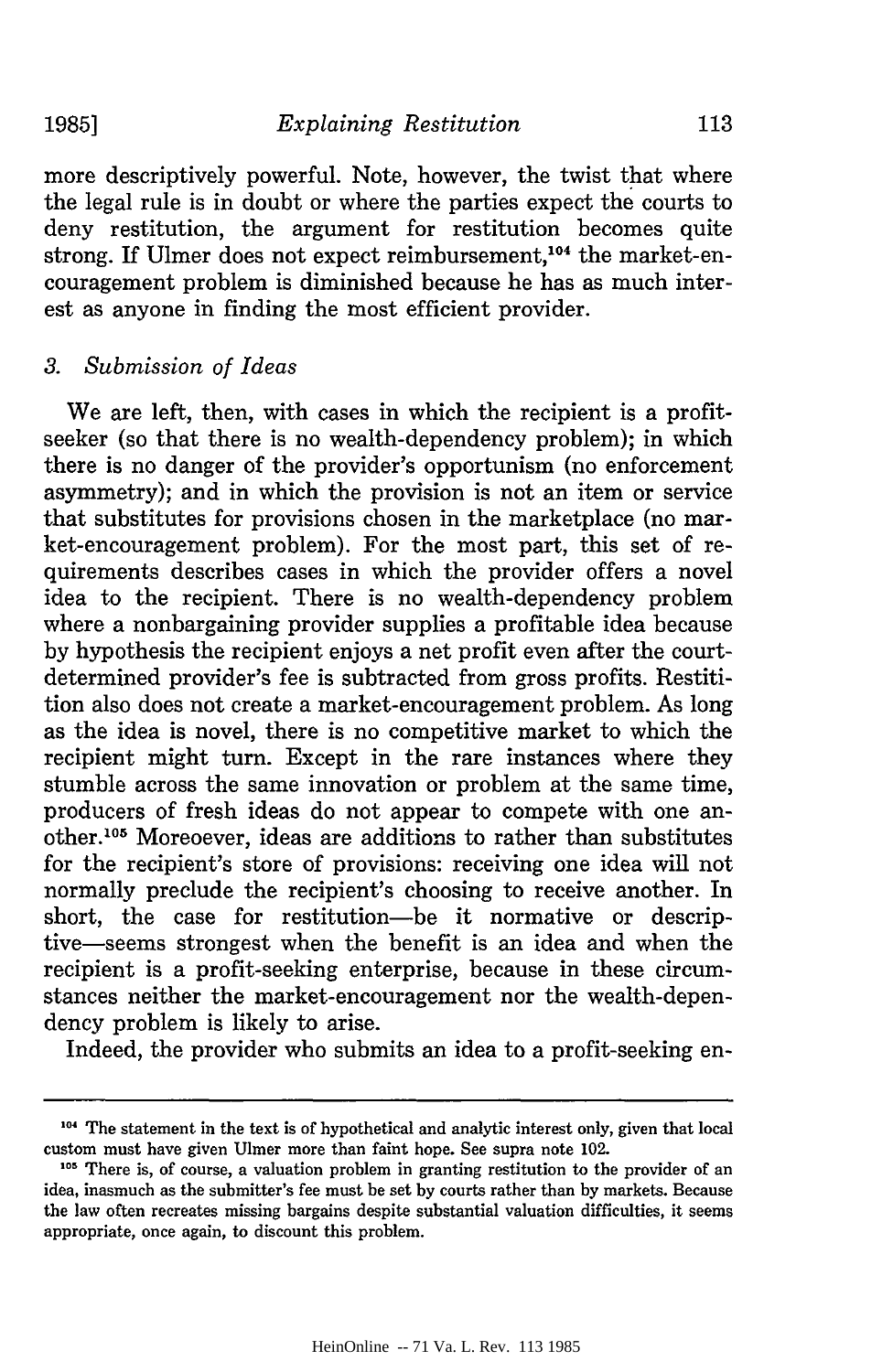more descriptively powerful. Note, however, the twist that where the legal rule is in doubt or where the parties expect the courts to deny restitution, the argument for restitution becomes quite strong. If Ulmer does not expect reimbursement,<sup>104</sup> the market-encouragement problem is diminished because he has as much interest as anyone in finding the most efficient provider.

# *3. Submission of Ideas*

We are left, then, with cases in which the recipient is a profitseeker (so that there is no wealth-dependency problem); in which there is no danger of the provider's opportunism (no enforcement asymmetry); and in which the provision is not an item or service that substitutes for provisions chosen in the marketplace (no market-encouragement problem). For the most part, this set of requirements describes cases in which the provider offers a novel idea to the recipient. There is no wealth-dependency problem where a nonbargaining provider supplies a profitable idea because by hypothesis the recipient enjoys a net profit even after the courtdetermined provider's fee is subtracted from gross profits. Restitition also does not create a market-encouragement problem. As long as the idea is novel, there is no competitive market to which the recipient might turn. Except in the rare instances where they stumble across the same innovation or problem at the same time, producers of fresh ideas do not appear to compete with one another.<sup>105</sup> Moreoever, ideas are additions to rather than substitutes for the recipient's store of provisions: receiving one idea will not normally preclude the recipient's choosing to receive another. In short, the case for restitution-be it normative or descriptive-seems strongest when the benefit is an idea and when the recipient is a profit-seeking enterprise, because in these circumstances neither the market-encouragement nor the wealth-dependency problem is likely to arise.

Indeed, the provider who submits an idea to a profit-seeking en-

**<sup>&#</sup>x27;04** The statement in the text is of hypothetical and analytic interest only, given that local custom must have given Ulmer more than faint hope. See supra note 102.

**<sup>105</sup>**There is, of course, a valuation problem in granting restitution to the provider of an idea, inasmuch as the submitter's fee must be set **by** courts rather than **by** markets. Because the law often recreates missing bargains despite substantial valuation difficulties, it seems appropriate, once again, to discount this problem.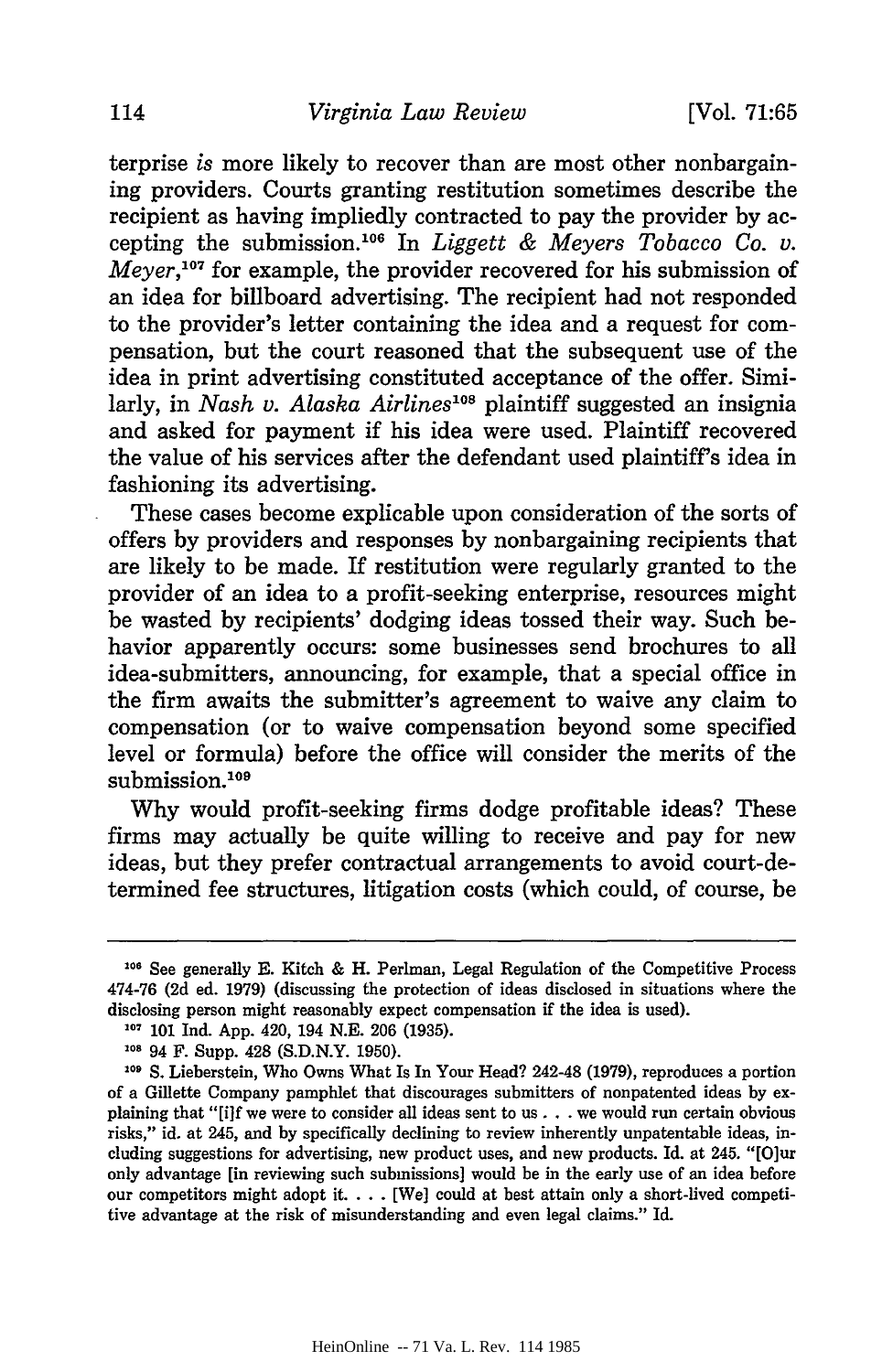terprise *is* more likely to recover than are most other nonbargaining providers. Courts granting restitution sometimes describe the recipient as having impliedly contracted to pay the provider by accepting the submission. 106 In *Liggett & Meyers Tobacco Co. v. Meyer*,<sup>107</sup> for example, the provider recovered for his submission of an idea for billboard advertising. The recipient had not responded to the provider's letter containing the idea and a request for compensation, but the court reasoned that the subsequent use of the idea in print advertising constituted acceptance of the offer. Similarly, in *Nash v. Alaska Airlines<sup>108</sup>* plaintiff suggested an insignia and asked for payment if his idea were used. Plaintiff recovered the value of his services after the defendant used plaintiff's idea in fashioning its advertising.

These cases become explicable upon consideration of the sorts of offers by providers and responses by nonbargaining recipients that are likely to be made. If restitution were regularly granted to the provider of an idea to a profit-seeking enterprise, resources might be wasted by recipients' dodging ideas tossed their way. Such behavior apparently occurs: some businesses send brochures to all idea-submitters, announcing, for example, that a special office in the firm awaits the submitter's agreement to waive any claim to compensation (or to waive compensation beyond some specified level or formula) before the office will consider the merits of the submission.<sup>109</sup>

**Why** would profit-seeking firms dodge profitable ideas? These firms may actually be quite willing to receive and pay for new ideas, but they prefer contractual arrangements to avoid court-determined fee structures, litigation costs (which could, of course, be

**<sup>106</sup>** See generally **E.** Kitch **&** H. Perlnan, Legal Regulation of the Competitive Process 474-76 **(2d** ed. **1979)** (discussing the protection of ideas disclosed in situations where the disclosing person might reasonably expect compensation if the idea is used).

**<sup>107</sup>101 Ind. App.** 420, 194 **N.E. 206 (1935).**

**<sup>108</sup>** 94 F. Supp. 428 **(S.D.N.Y. 1950).**

**<sup>109</sup> S.** Lieberstein, Who Owns What Is In Your Head? 242-48 **(1979),** reproduces a portion of a Gillette Company pamphlet that discourages submitters of nonpatented ideas **by** ex- plaining that "[ijf we were to consider all ideas sent to us **...** we would run certain obvious risks," id. at 245, and **by** specifically declining to review inherently unpatentable ideas, including suggestions for advertising, new product uses, and new products. Id. at 245. "[O]ur only advantage [in reviewing such submissions] would be in the early use of an idea before our competitors might adopt **it....** [We] could at best attain only a short-lived competitive advantage at the risk of misunderstanding and even legal claims." Id.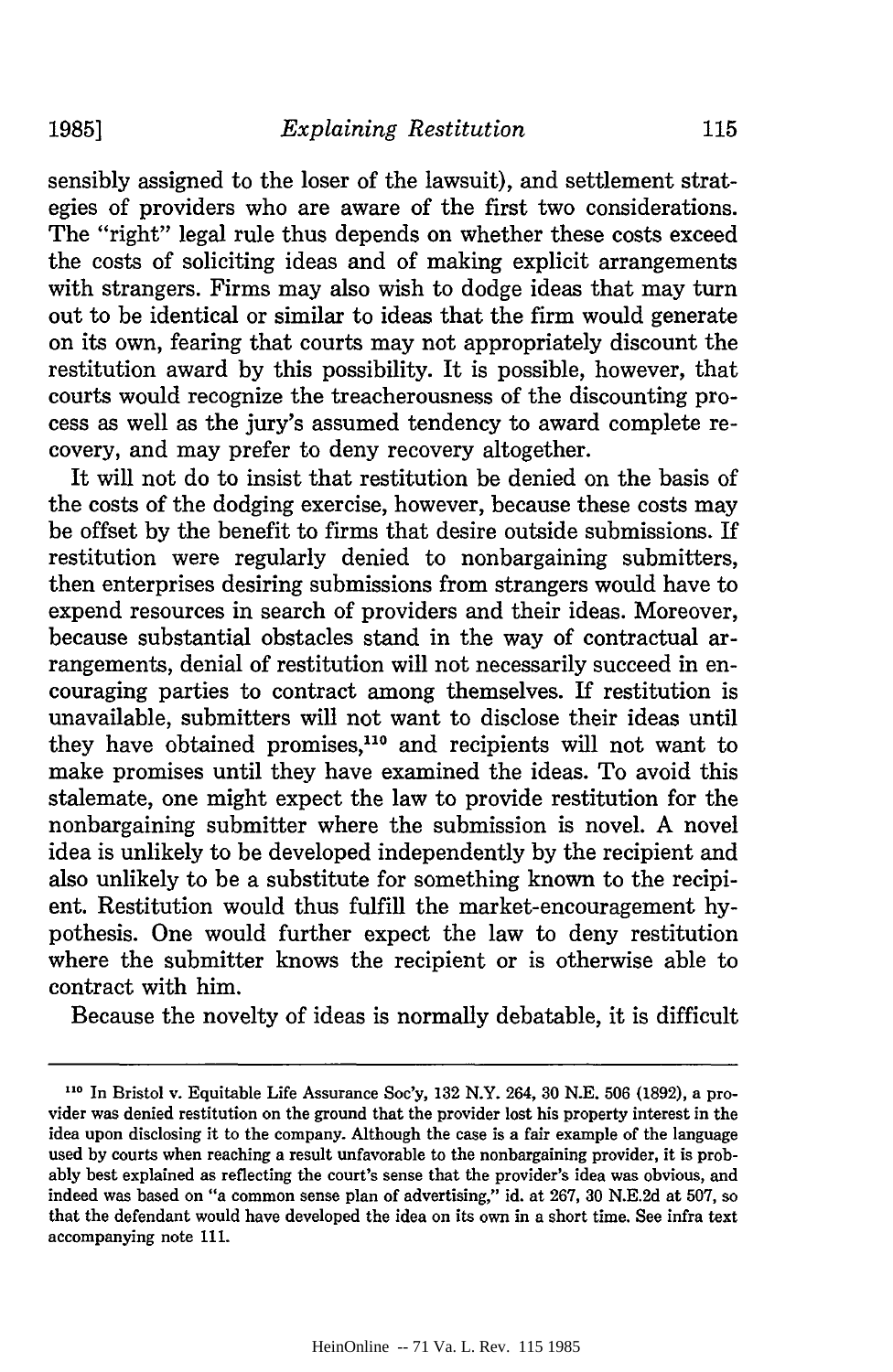sensibly assigned to the loser of the lawsuit), and settlement strategies of providers who are aware of the first two considerations. The "right" legal rule thus depends on whether these costs exceed the costs of soliciting ideas and of making explicit arrangements with strangers. Firms may also wish to dodge ideas that may turn out to be identical or similar to ideas that the firm would generate on its own, fearing that courts may not appropriately discount the restitution award by this possibility. It is possible, however, that courts would recognize the treacherousness of the discounting process as well as the jury's assumed tendency to award complete recovery, and may prefer to deny recovery altogether.

It will not do to insist that restitution be denied on the basis of the costs of the dodging exercise, however, because these costs may be offset by the benefit to firms that desire outside submissions. If restitution were regularly denied to nonbargaining submitters, then enterprises desiring submissions from strangers would have to expend resources in search of providers and their ideas. Moreover, because substantial obstacles stand in the way of contractual arrangements, denial of restitution will not necessarily succeed in encouraging parties to contract among themselves. If restitution is unavailable, submitters will not want to disclose their ideas until they have obtained promises, 110 and recipients will not want to make promises until they have examined the ideas. To avoid this stalemate, one might expect the law to provide restitution for the nonbargaining submitter where the submission is novel. A novel idea is unlikely to be developed independently by the recipient and also unlikely to be a substitute for something known to the recipient. Restitution would thus fulfill the market-encouragement hypothesis. One would further expect the law to deny restitution where the submitter knows the recipient or is otherwise able to contract with him.

Because the novelty of ideas is normally debatable, it is difficult

**1985]**

**<sup>110</sup>** In Bristol v. Equitable Life Assurance Soc'y, **132** N.Y. 264, **30 N.E. 506 (1892),** a provider was denied restitution on the ground that the provider lost his property interest in the idea upon disclosing it to the company. Although the case is a fair example of the language used **by** courts when reaching a result unfavorable to the nonbargaining provider, it is probably best explained as reflecting the court's sense that the provider's idea was obvious, and indeed was based on "a common sense plan of advertising," id. at **267, 30 N.E.2d** at **507, so** that the defendant would have developed the idea on its own in a short time. See infra text accompanying note **111.**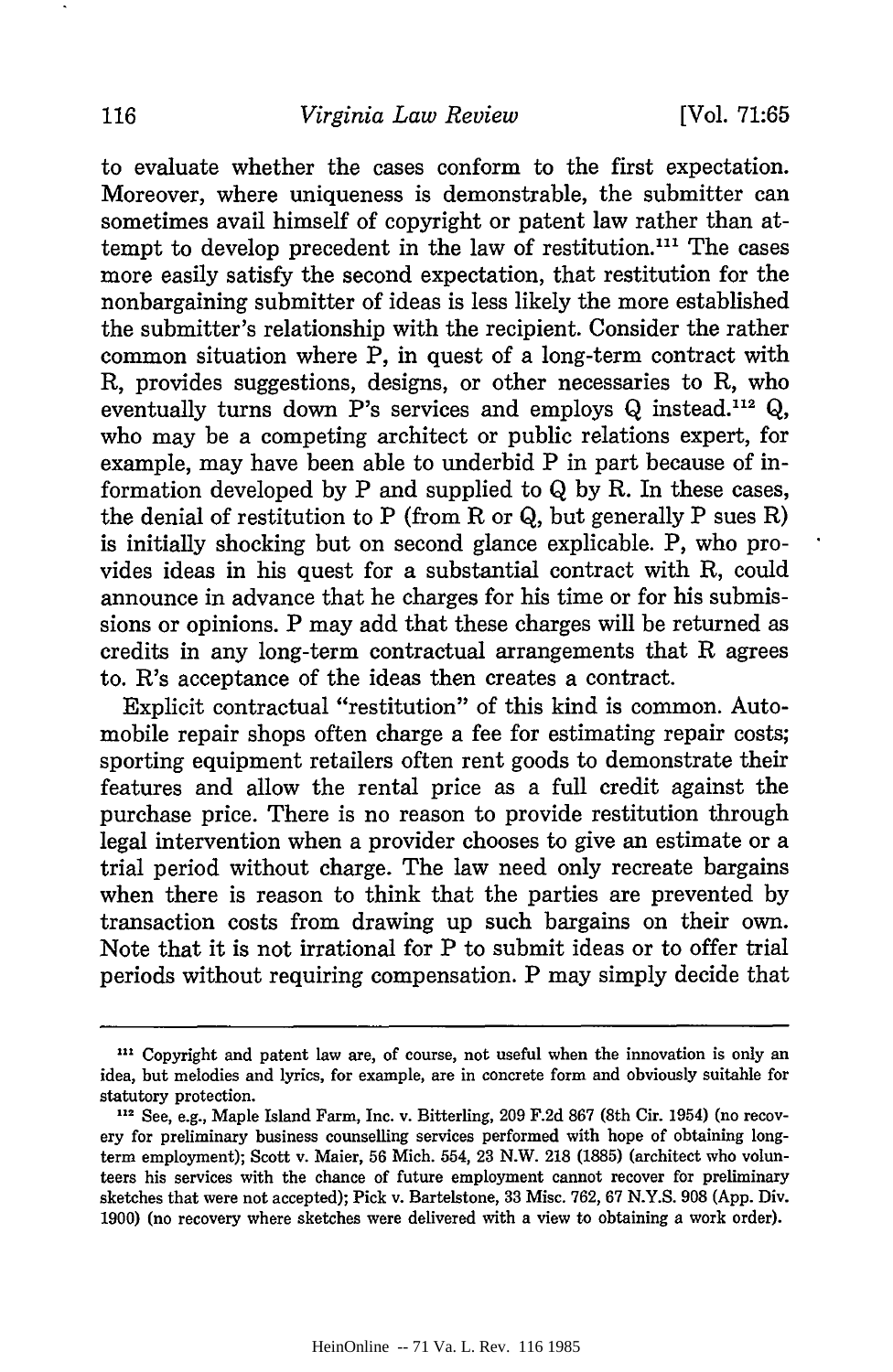to evaluate whether the cases conform to the first expectation. Moreover, where uniqueness is demonstrable, the submitter can sometimes avail himself of copyright or patent law rather than attempt to develop precedent in the law of restitution.<sup>111</sup> The cases more easily satisfy the second expectation, that restitution for the nonbargaining submitter of ideas is less likely the more established the submitter's relationship with the recipient. Consider the rather common situation where P, in quest of a long-term contract with R, provides suggestions, designs, or other necessaries to R, who eventually turns down P's services and employs Q instead."12 Q, who may be a competing architect or public relations expert, for example, may have been able to underbid P in part because of information developed by P and supplied to Q by R. In these cases, the denial of restitution to  $P$  (from  $R$  or  $Q$ , but generally  $P$  sues  $R$ ) is initially shocking but on second glance explicable. P, who provides ideas in his quest for a substantial contract with R, could announce in advance that he charges for his time or for his submissions or opinions. P may add that these charges will be returned as credits in any long-term contractual arrangements that R agrees to. R's acceptance of the ideas then creates a contract.

Explicit contractual "restitution" of this kind is common. Automobile repair shops often charge a fee for estimating repair costs; sporting equipment retailers often rent goods to demonstrate their features and allow the rental price as a full credit against the purchase price. There is no reason to provide restitution through legal intervention when a provider chooses to give an estimate or a trial period without charge. The law need only recreate bargains when there is reason to think that the parties are prevented by transaction costs from drawing up such bargains on their own. Note that it is not irrational for P to submit ideas or to offer trial periods without requiring compensation. P may simply decide that

<sup>&</sup>lt;sup>111</sup> Copyright and patent law are, of course, not useful when the innovation is only an idea, but melodies and lyrics, for example, are in concrete form and obviously suitable for statutory protection.

<sup>112</sup> See, e.g., Maple Island Farm, Inc. v. Bitterling, 209 F.2d 867 (8th Cir. 1954) (no recovery for preliminary business counselling services performed with hope of obtaining longterm employment); Scott v. Maier, 56 Mich. 554, 23 N.W. 218 (1885) (architect who volunteers his services with the chance of future employment cannot recover for preliminary sketches that were not accepted); Pick v. Bartelstone, 33 Misc. 762, 67 N.Y.S. 908 (App. Div. 1900) (no recovery where sketches were delivered with a view to obtaining a work order).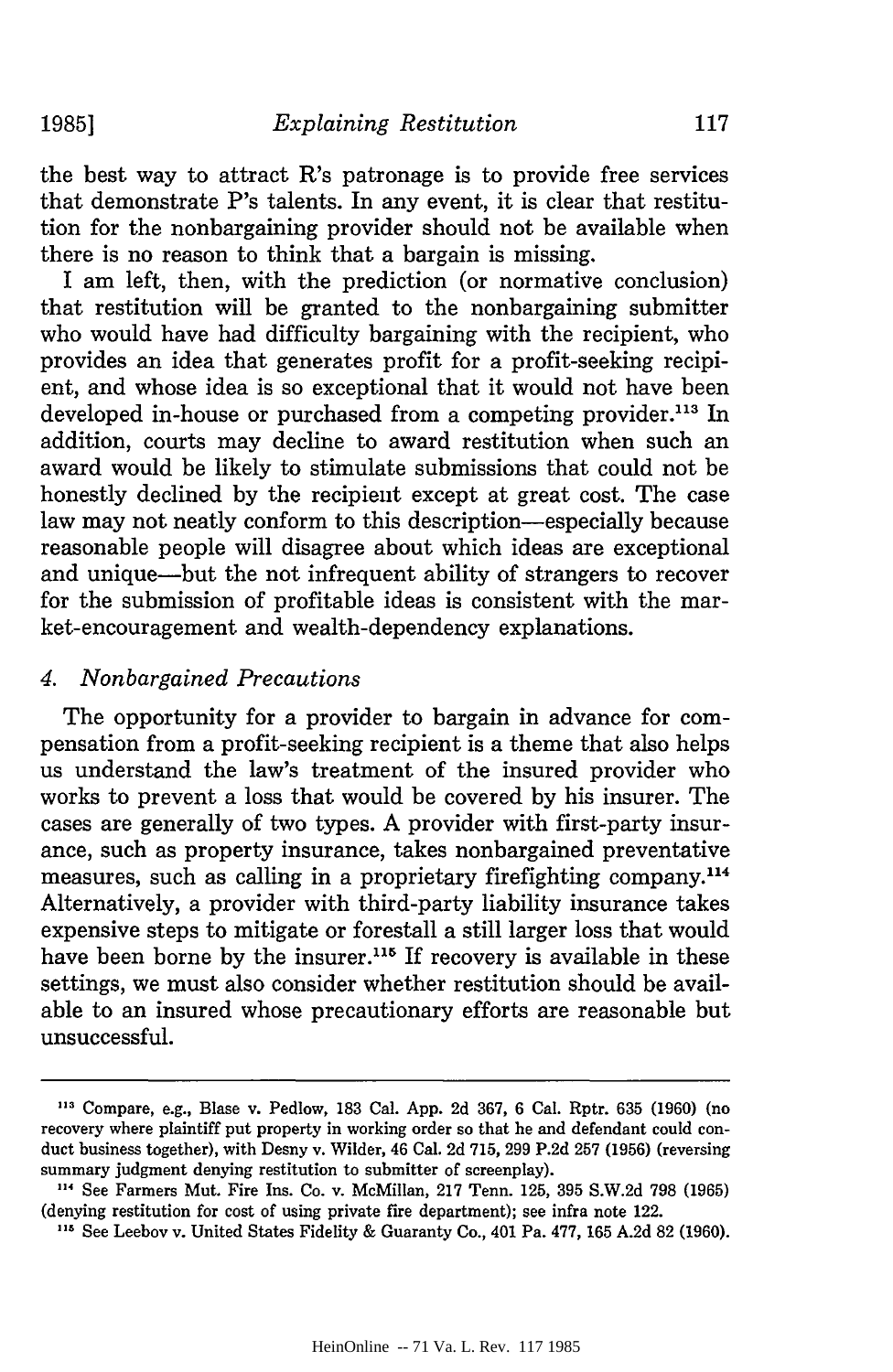the best way to attract R's patronage is to provide free services that demonstrate P's talents. In any event, it is clear that restitution for the nonbargaining provider should not be available when there is no reason to think that a bargain is missing.

I am left, then, with the prediction (or normative conclusion) that restitution will be granted to the nonbargaining submitter who would have had difficulty bargaining with the recipient, who provides an idea that generates profit for a profit-seeking recipient, and whose idea is so exceptional that it would not have been developed in-house or purchased from a competing provider.<sup>113</sup> In addition, courts may decline to award restitution when such an award would be likely to stimulate submissions that could not be honestly declined by the recipient except at great cost. The case law may not neatly conform to this description-especially because reasonable people will disagree about which ideas are exceptional and unique-but the not infrequent ability of strangers to recover for the submission of profitable ideas is consistent with the market-encouragement and wealth-dependency explanations.

## *4. Nonbargained Precautions*

The opportunity for a provider to bargain in advance for compensation from a profit-seeking recipient is a theme that also helps us understand the law's treatment of the insured provider who works to prevent a loss that would be covered by his insurer. The cases are generally of two types. A provider with first-party insurance, such as property insurance, takes nonbargained preventative measures, such as calling in a proprietary firefighting company.<sup>114</sup> Alternatively, a provider with third-party liability insurance takes expensive steps to mitigate or forestall a still larger loss that would have been borne by the insurer.<sup>115</sup> If recovery is available in these settings, we must also consider whether restitution should be available to an insured whose precautionary efforts are reasonable but unsuccessful.

<sup>&</sup>lt;sup>113</sup> Compare, e.g., Blase v. Pedlow, 183 Cal. App. 2d 367, 6 Cal. Rptr. 635 (1960) (no recovery where plaintiff put property in working order so that he and defendant could conduct business together), with Desny v. Wilder, 46 Cal. **2d 715, 299 P.2d 257 (1956)** (reversing summary judgment denying restitution to submitter of screenplay).

**<sup>&</sup>quot;'** See Farmers Mut. Fire Ins. Co. v. McMillan, **217** Tenn. **125, 395 S.W.2d 798 (1965)** (denying restitution for cost of using private fire department); see infra note 122.

**<sup>&</sup>quot;** See Leebov v. United States Fidelity **&** Guaranty Co., 401 Pa. **477, 165 A.2d 82 (1960).**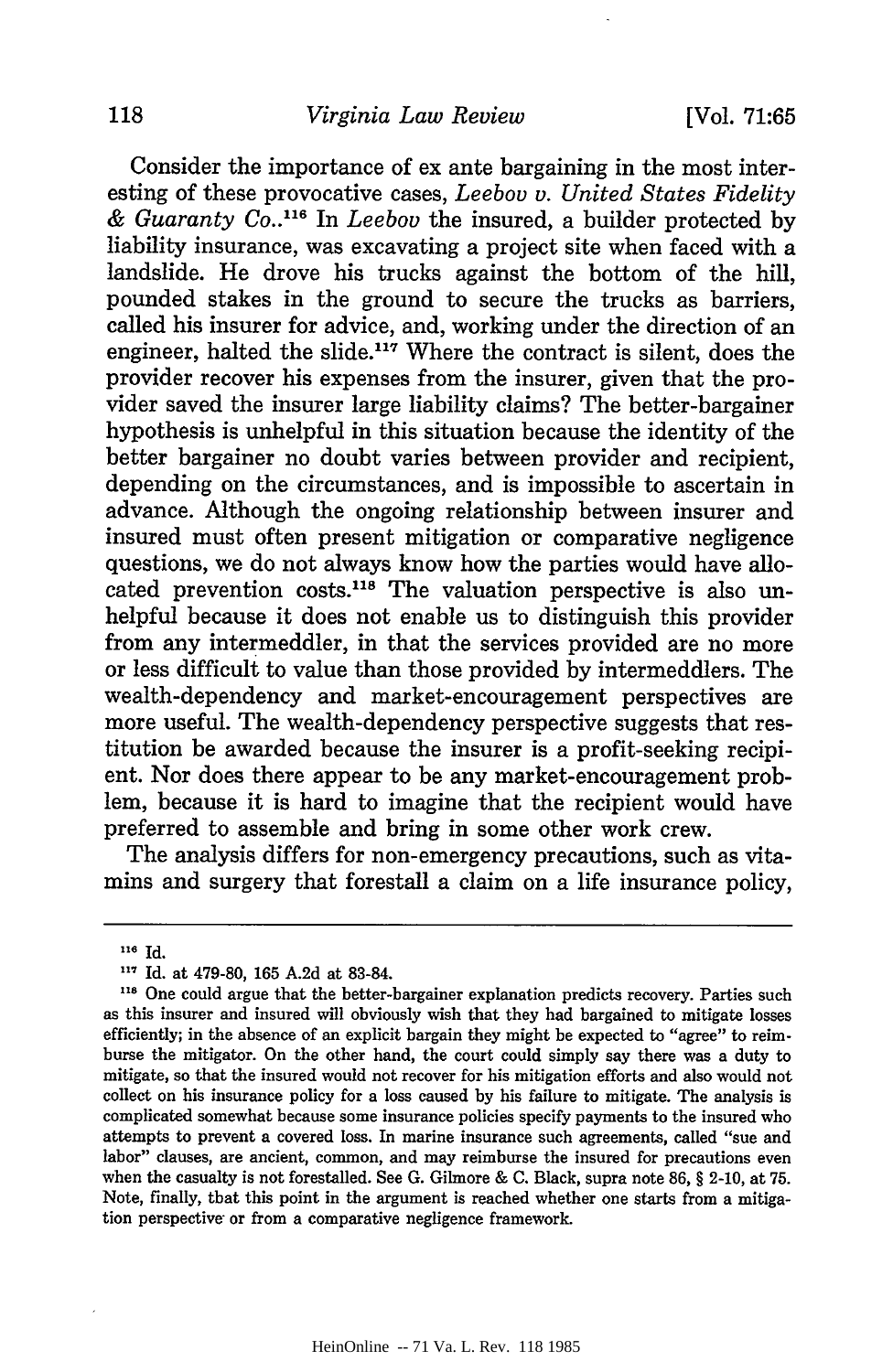Consider the importance of ex ante bargaining in the most interesting of these provocative cases, *Leebov v. United States Fidelity & Guaranty Co..11* In *Leebov* the insured, a builder protected by liability insurance, was excavating a project site when faced with a landslide. He drove his trucks against the bottom of the hill, pounded stakes in the ground to secure the trucks as barriers, called his insurer for advice, and, working under the direction of an engineer, halted the slide. $117$  Where the contract is silent, does the provider recover his expenses from the insurer, given that the provider saved the insurer large liability claims? The better-bargainer hypothesis is unhelpful in this situation because the identity of the better bargainer no doubt varies between provider and recipient, depending on the circumstances, and is impossible to ascertain in advance. Although the ongoing relationship between insurer and insured must often present mitigation or comparative negligence questions, we do not always know how the parties would have allocated prevention costs.<sup>118</sup> The valuation perspective is also unhelpful because it does not enable us to distinguish this provider from any intermeddler, in that the services provided are no more or less difficult to value than those provided by intermeddlers. The wealth-dependency and market-encouragement perspectives are more useful. The wealth-dependency perspective suggests that restitution be awarded because the insurer is a profit-seeking recipient. Nor does there appear to be any market-encouragement problem, because it is hard to imagine that the recipient would have preferred to assemble and bring in some other work crew.

The analysis differs for non-emergency precautions, such as vitamins and surgery that forestall a claim on a life insurance policy,

**<sup>116</sup>**Id.

**<sup>17</sup>**Id. at 479-80, **165** A.2d at 83-84.

<sup>&</sup>lt;sup>118</sup> One could argue that the better-bargainer explanation predicts recovery. Parties such as this insurer and insured will obviously wish that they had bargained to mitigate losses efficiently; in the absence of an explicit bargain they might be expected to "agree" to reimburse the mitigator. On the other hand, the court could simply say there was a duty to mitigate, so that the insured would not recover for his mitigation efforts and also would not collect on his insurance policy for a loss caused by his failure to mitigate. The analysis is complicated somewhat because some insurance policies specify payments to the insured who attempts to prevent a covered loss. In marine insurance such agreements, called "sue and labor" clauses, are ancient, common, and may reimburse the insured for precautions even when the casualty is not forestalled. See G. Gilmore & C. Black, supra note **86,** § 2-10, at 75. Note, finally, that this point in the argument is reached whether one starts from a mitigation perspective or from a comparative negligence framework.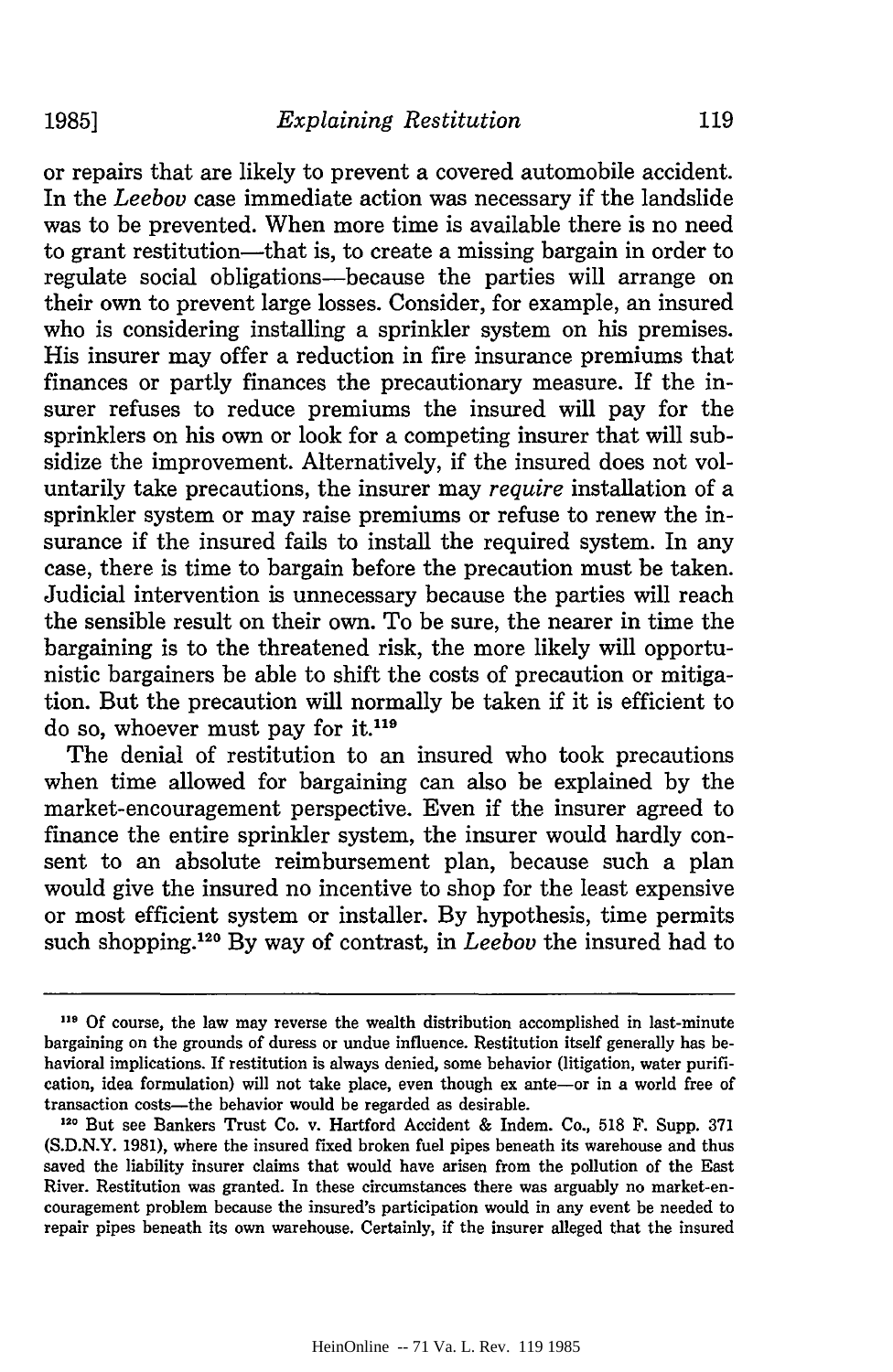or repairs that are likely to prevent a covered automobile accident. In the *Leebov* case immediate action was necessary if the landslide was to be prevented. When more time is available there is no need to grant restitution—that is, to create a missing bargain in order to regulate social obligations-because the parties will arrange on their own to prevent large losses. Consider, for example, an insured who is considering installing a sprinkler system on his premises. His insurer may offer a reduction in fire insurance premiums that finances or partly finances the precautionary measure. If the insurer refuses to reduce premiums the insured will pay for the sprinklers on his own or look for a competing insurer that will subsidize the improvement. Alternatively, if the insured does not voluntarily take precautions, the insurer may *require* installation of a sprinkler system or may raise premiums or refuse to renew the insurance if the insured fails to install the required system. In any case, there is time to bargain before the precaution must be taken. Judicial intervention is unnecessary because the parties will reach the sensible result on their own. To be sure, the nearer in time the bargaining is to the threatened risk, the more likely will opportunistic bargainers be able to shift the costs of precaution or mitigation. But the precaution will normally be taken if it is efficient to do so, whoever must pay for it.<sup>119</sup>

The denial of restitution to an insured who took precautions when time allowed for bargaining can also be explained by the market-encouragement perspective. Even if the insurer agreed to finance the entire sprinkler system, the insurer would hardly consent to an absolute reimbursement plan, because such a plan would give the insured no incentive to shop for the least expensive or most efficient system or installer. By hypothesis, time permits such shopping.<sup>120</sup> By way of contrast, in *Leebov* the insured had to

<sup>&</sup>lt;sup>119</sup> Of course, the law may reverse the wealth distribution accomplished in last-minute bargaining on the grounds of duress or undue influence. Restitution itself generally has behavioral implications. If restitution is always denied, some behavior (litigation, water purification, idea formulation) will not take place, even though ex ante-or in a world free of transaction costs-the behavior would be regarded as desirable.

**<sup>120</sup>**But see Bankers Trust Co. v. Hartford Accident & Indem. Co., 518 **F.** Supp. 371 (S.D.N.Y. 1981), where the insured fixed broken fuel pipes beneath its warehouse and thus saved the liability insurer claims that would have arisen from the pollution of the East River. Restitution was granted. In these circumstances there was arguably no market-encouragement problem because the insured's participation would in any event be needed to repair pipes beneath its own warehouse. Certainly, if the insurer alleged that the insured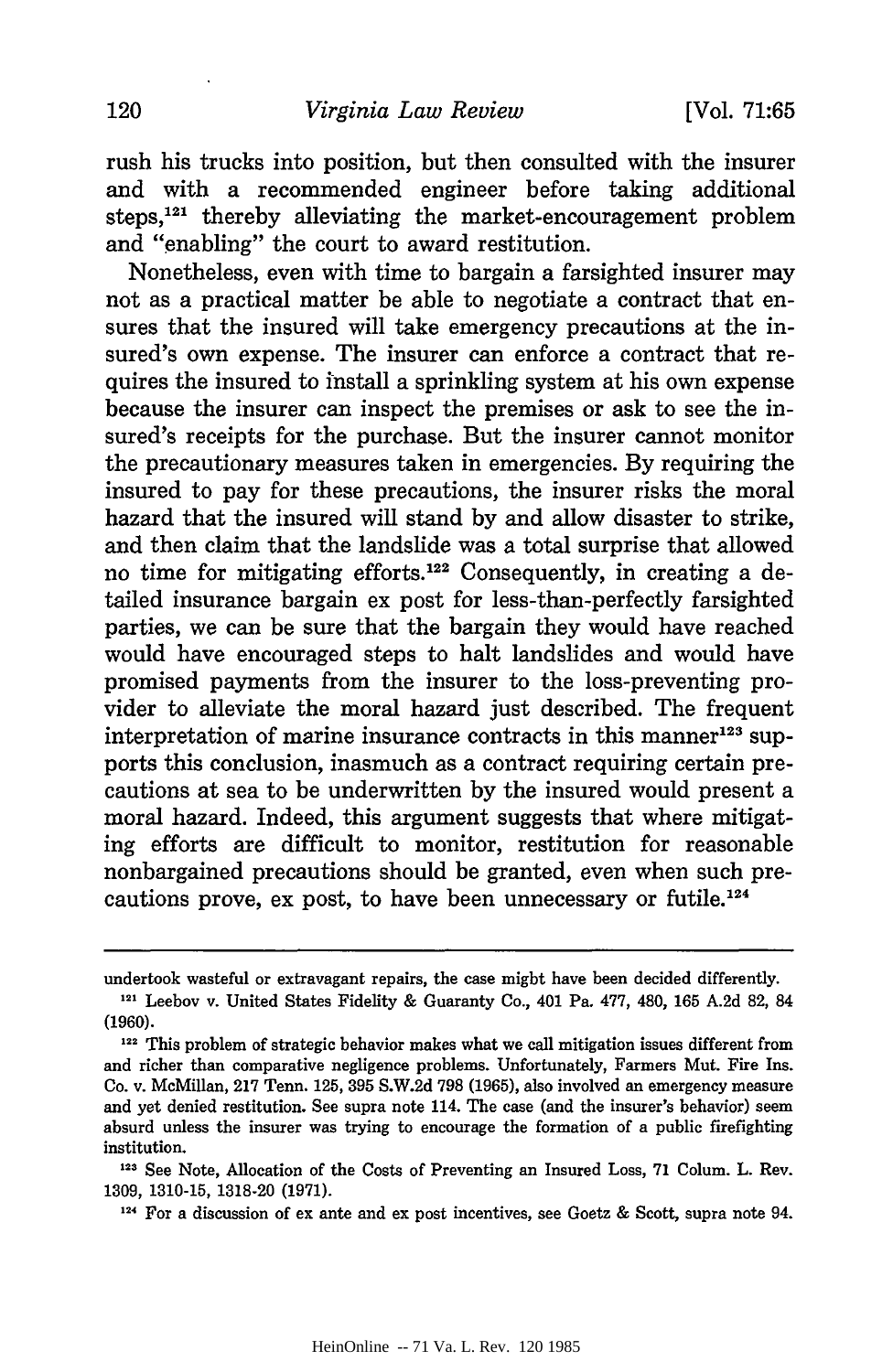rush his trucks into position, but then consulted with the insurer and with a recommended engineer before taking additional steps, $121$  thereby alleviating the market-encouragement problem and "enabling" the court to award restitution.

Nonetheless, even with time to bargain a farsighted insurer may not as a practical matter be able to negotiate a contract that ensures that the insured will take emergency precautions at the insured's own expense. The insurer can enforce a contract that requires the insured to install a sprinkling system at his own expense because the insurer can inspect the premises or ask to see the insured's receipts for the purchase. But the insurer cannot monitor the precautionary measures taken in emergencies. By requiring the insured to pay for these precautions, the insurer risks the moral hazard that the insured will stand by and allow disaster to strike, and then claim that the landslide was a total surprise that allowed no time for mitigating efforts. 122 Consequently, in creating a detailed insurance bargain ex post for less-than-perfectly farsighted parties, we can be sure that the bargain they would have reached would have encouraged steps to halt landslides and would have promised payments from the insurer to the loss-preventing provider to alleviate the moral hazard just described. The frequent interpretation of marine insurance contracts in this manner<sup>123</sup> supports this conclusion, inasmuch as a contract requiring certain precautions at sea to be underwritten by the insured would present a moral hazard. Indeed, this argument suggests that where mitigating efforts are difficult to monitor, restitution for reasonable nonbargained precautions should be granted, even when such precautions prove, ex post, to have been unnecessary or futile.<sup>124</sup>

undertook wasteful or extravagant repairs, the case might have been decided differently.

 $121$  Leebov v. United States Fidelity & Guaranty Co., 401 Pa. 477, 480, 165 A.2d 82, 84 (1960).

<sup>122</sup> This problem of strategic behavior makes what we call mitigation issues different from and richer than comparative negligence problems. Unfortunately, Farmers Mut. Fire Ins. Co. v. McMillan, 217 Tenn. 125, 395 S.W.2d 798 (1965), also involved an emergency measure and yet denied restitution. See supra note 114. The case (and the insurer's behavior) seem absurd unless the insurer was trying to encourage the formation of a public firefighting institution.

**<sup>123</sup>**See Note, Allocation of the Costs of Preventing an Insured Loss, 71 Colum. L. Rev. 1309, 1310-15, 1318-20 (1971).

**<sup>224</sup>**For a discussion of ex ante and ex post incentives, see Goetz & Scott, supra note 94.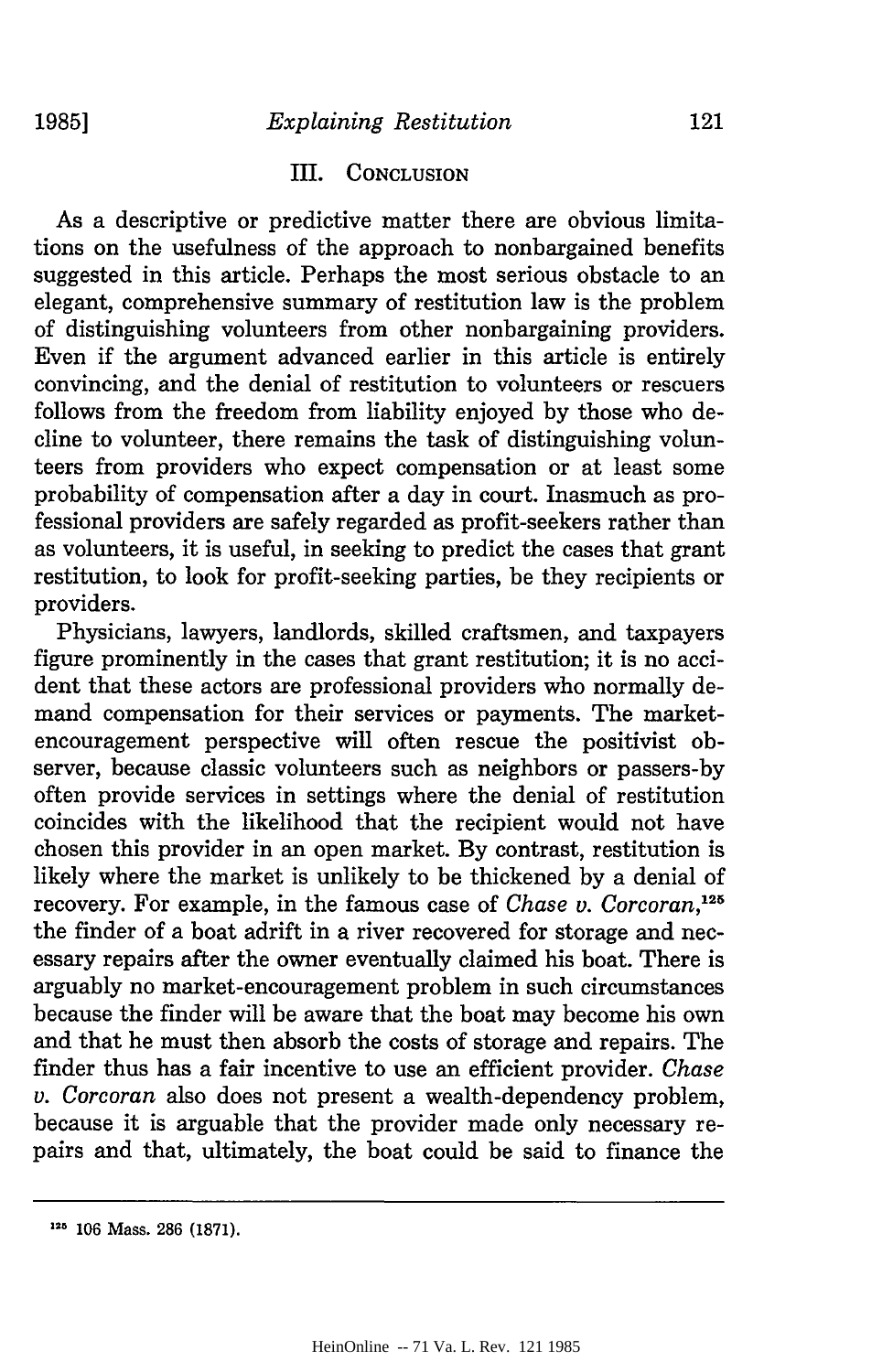#### 1985] *Explaining Restitution* 121

#### III. CONCLUSION

As a descriptive or predictive matter there are obvious limitations on the usefulness of the approach to nonbargained benefits suggested in this article. Perhaps the most serious obstacle to an elegant, comprehensive summary of restitution law is the problem of distinguishing volunteers from other nonbargaining providers. Even if the argument advanced earlier in this article is entirely convincing, and the denial of restitution to volunteers or rescuers follows from the freedom from liability enjoyed by those who decline to volunteer, there remains the task of distinguishing volunteers from providers who expect compensation or at least some probability of compensation after a day in court. Inasmuch as professional providers are safely regarded as profit-seekers rather than as volunteers, it is useful, in seeking to predict the cases that grant restitution, to look for profit-seeking parties, be they recipients or providers.

Physicians, lawyers, landlords, skilled craftsmen, and taxpayers figure prominently in the cases that grant restitution; it is no accident that these actors are professional providers who normally demand compensation for their services or payments. The marketencouragement perspective will often rescue the positivist observer, because classic volunteers such as neighbors or passers-by often provide services in settings where the denial of restitution coincides with the likelihood that the recipient would not have chosen this provider in an open market. By contrast, restitution is likely where the market is unlikely to be thickened by a denial of recovery. For example, in the famous case of *Chase v. Corcoran,125* the finder of a boat adrift in a river recovered for storage and necessary repairs after the owner eventually claimed his boat. There is arguably no market-encouragement problem in such circumstances because the finder will be aware that the boat may become his own and that he must then absorb the costs of storage and repairs. The finder thus has a fair incentive to use an efficient provider. *Chase v. Corcoran* also does not present a wealth-dependency problem, because it is arguable that the provider made only necessary repairs and that, ultimately, the boat could be said to finance the

**<sup>125</sup>**106 Mass. 286 (1871).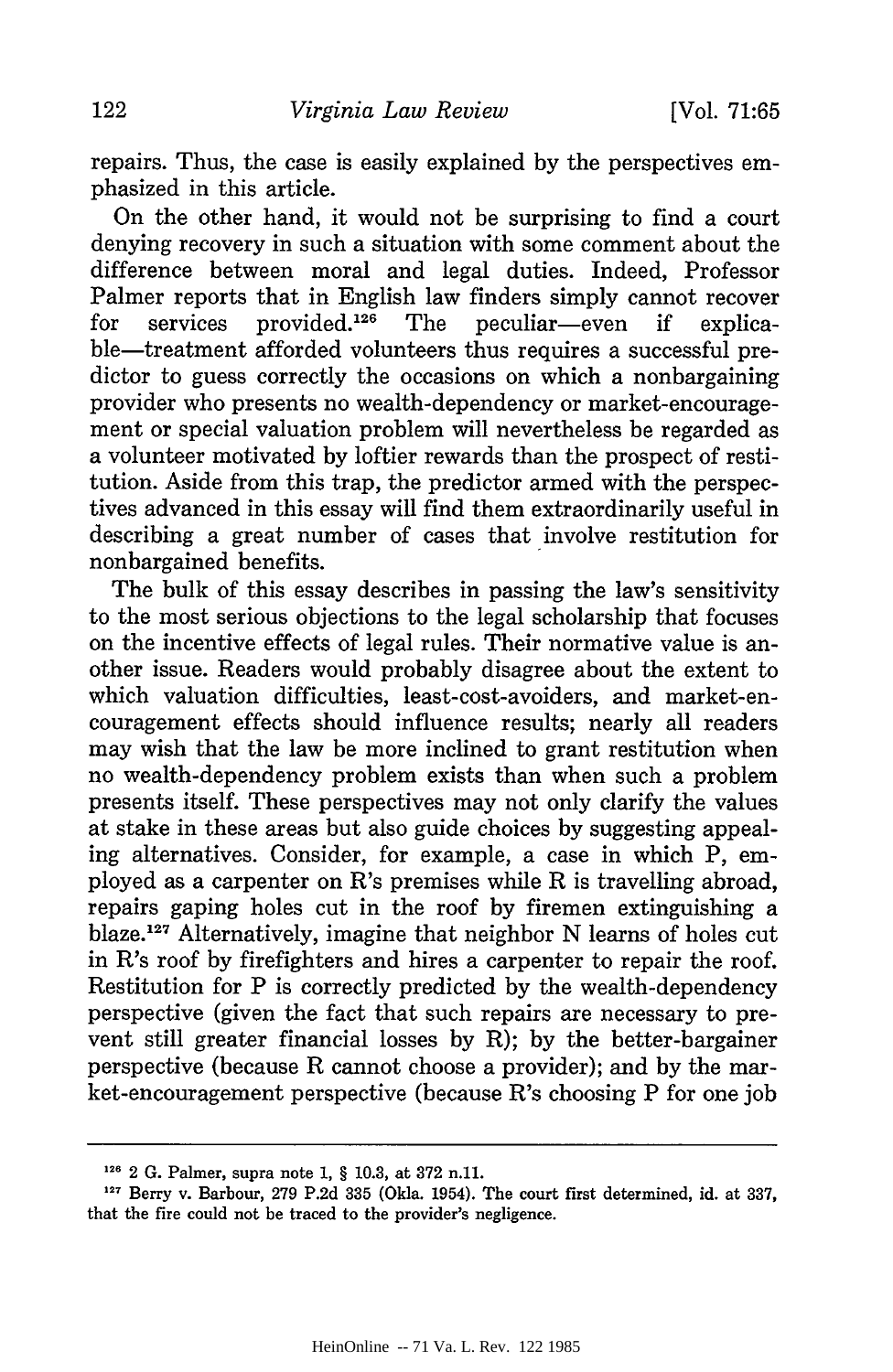repairs. Thus, the case is easily explained by the perspectives emphasized in this article.

On the other hand, it would not be surprising to find a court denying recovery in such a situation with some comment about the difference between moral and legal duties. Indeed, Professor Palmer reports that in English law finders simply cannot recover for services provided.<sup>126</sup> The peculiar—even if explicable—treatment afforded volunteers thus requires a successful predictor to guess correctly the occasions on which a nonbargaining provider who presents no wealth-dependency or market-encouragement or special valuation problem will nevertheless be regarded as a volunteer motivated by loftier rewards than the prospect of restitution. Aside from this trap, the predictor armed with the perspectives advanced in this essay will find them extraordinarily useful in describing a great number of cases that involve restitution for nonbargained benefits.

The bulk of this essay describes in passing the law's sensitivity to the most serious objections to the legal scholarship that focuses on the incentive effects of legal rules. Their normative value is another issue. Readers would probably disagree about the extent to which valuation difficulties, least-cost-avoiders, and market-encouragement effects should influence results; nearly all readers may wish that the law be more inclined to grant restitution when no wealth-dependency problem exists than when such a problem presents itself. These perspectives may not only clarify the values at stake in these areas but also guide choices by suggesting appealing alternatives. Consider, for example, a case in which P, employed as a carpenter on R's premises while R is travelling abroad, repairs gaping holes cut in the roof by firemen extinguishing a blaze.<sup>127</sup> Alternatively, imagine that neighbor N learns of holes cut in R's roof by firefighters and hires a carpenter to repair the roof. Restitution for P is correctly predicted by the wealth-dependency perspective (given the fact that such repairs are necessary to prevent still greater financial losses by R); by the better-bargainer perspective (because R cannot choose a provider); and by the market-encouragement perspective (because R's choosing P for one job

**<sup>126</sup>**2 G. Palmer, supra note 1, § 10.3, at 372 n.11.

**<sup>127</sup>**Berry v. Barbour, 279 P.2d 335 (Okla. 1954). The court first determined, id. at 337, that the fire could not be traced to the provider's negligence.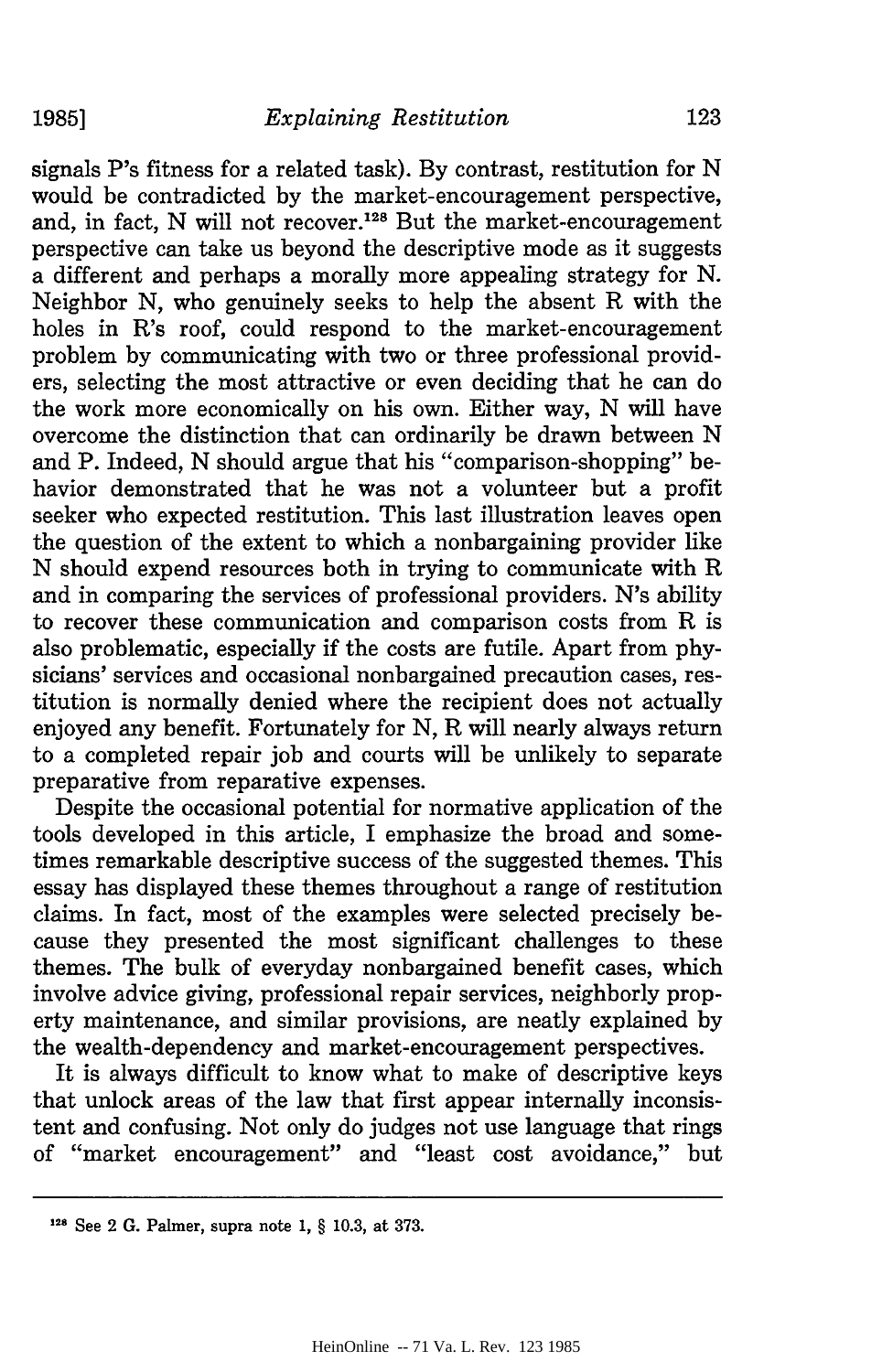signals P's fitness for a related task). By contrast, restitution for N would be contradicted by the market-encouragement perspective, and, in fact, N will not recover.<sup>128</sup> But the market-encouragement perspective can take us beyond the descriptive mode as it suggests a different and perhaps a morally more appealing strategy for N. Neighbor N, who genuinely seeks to help the absent R with the holes in R's roof, could respond to the market-encouragement problem by communicating with two or three professional providers, selecting the most attractive or even deciding that he can do the work more economically on his own. Either way, N will have overcome the distinction that can ordinarily be drawn between N and P. Indeed, N should argue that his "comparison-shopping" behavior demonstrated that he was not a volunteer but a profit seeker who expected restitution. This last illustration leaves open the question of the extent to which a nonbargaining provider like N should expend resources both in trying to communicate with R and in comparing the services of professional providers. N's ability to recover these communication and comparison costs from R is also problematic, especially if the costs are futile. Apart from physicians' services and occasional nonbargained precaution cases, restitution is normally denied where the recipient does not actually enjoyed any benefit. Fortunately for N, R will nearly always return to a completed repair job and courts will be unlikely to separate preparative from reparative expenses.

Despite the occasional potential for normative application of the tools developed in this article, I emphasize the broad and sometimes remarkable descriptive success of the suggested themes. This essay has displayed these themes throughout a range of restitution claims. In fact, most of the examples were selected precisely because they presented the most significant challenges to these themes. The bulk of everyday nonbargained benefit cases, which involve advice giving, professional repair services, neighborly property maintenance, and similar provisions, are neatly explained by the wealth-dependency and market-encouragement perspectives.

It is always difficult to know what to make of descriptive keys that unlock areas of the law that first appear internally inconsistent and confusing. Not only do judges not use language that rings of "market encouragement" and "least cost avoidance," but

**<sup>128</sup>**See 2 **G.** Palmer, supra note 1, § **10.3,** at **373.**